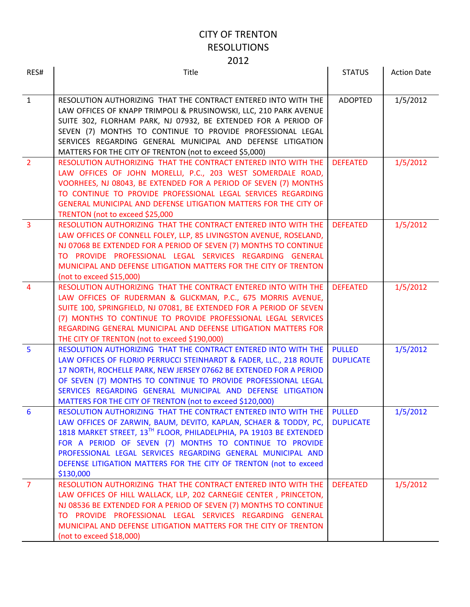| RES#            | Title                                                                                                                                                                                                                                                                                                                                                                                                                | <b>STATUS</b>                     | <b>Action Date</b> |
|-----------------|----------------------------------------------------------------------------------------------------------------------------------------------------------------------------------------------------------------------------------------------------------------------------------------------------------------------------------------------------------------------------------------------------------------------|-----------------------------------|--------------------|
|                 |                                                                                                                                                                                                                                                                                                                                                                                                                      |                                   |                    |
| $\mathbf{1}$    | RESOLUTION AUTHORIZING THAT THE CONTRACT ENTERED INTO WITH THE<br>LAW OFFICES OF KNAPP TRIMPOLI & PRUSINOWSKI, LLC, 210 PARK AVENUE<br>SUITE 302, FLORHAM PARK, NJ 07932, BE EXTENDED FOR A PERIOD OF<br>SEVEN (7) MONTHS TO CONTINUE TO PROVIDE PROFESSIONAL LEGAL<br>SERVICES REGARDING GENERAL MUNICIPAL AND DEFENSE LITIGATION<br>MATTERS FOR THE CITY OF TRENTON (not to exceed \$5,000)                        | <b>ADOPTED</b>                    | 1/5/2012           |
| $\overline{2}$  | RESOLUTION AUTHORIZING THAT THE CONTRACT ENTERED INTO WITH THE<br>LAW OFFICES OF JOHN MORELLI, P.C., 203 WEST SOMERDALE ROAD,<br>VOORHEES, NJ 08043, BE EXTENDED FOR A PERIOD OF SEVEN (7) MONTHS<br>TO CONTINUE TO PROVIDE PROFESSIONAL LEGAL SERVICES REGARDING<br>GENERAL MUNICIPAL AND DEFENSE LITIGATION MATTERS FOR THE CITY OF<br>TRENTON (not to exceed \$25,000                                             | <b>DEFEATED</b>                   | 1/5/2012           |
| $\overline{3}$  | RESOLUTION AUTHORIZING THAT THE CONTRACT ENTERED INTO WITH THE<br>LAW OFFICES OF CONNELL FOLEY, LLP, 85 LIVINGSTON AVENUE, ROSELAND,<br>NJ 07068 BE EXTENDED FOR A PERIOD OF SEVEN (7) MONTHS TO CONTINUE<br>TO PROVIDE PROFESSIONAL LEGAL SERVICES REGARDING GENERAL<br>MUNICIPAL AND DEFENSE LITIGATION MATTERS FOR THE CITY OF TRENTON<br>(not to exceed \$15,000)                                                | <b>DEFEATED</b>                   | 1/5/2012           |
| $\overline{4}$  | RESOLUTION AUTHORIZING THAT THE CONTRACT ENTERED INTO WITH THE<br>LAW OFFICES OF RUDERMAN & GLICKMAN, P.C., 675 MORRIS AVENUE,<br>SUITE 100, SPRINGFIELD, NJ 07081, BE EXTENDED FOR A PERIOD OF SEVEN<br>(7) MONTHS TO CONTINUE TO PROVIDE PROFESSIONAL LEGAL SERVICES<br>REGARDING GENERAL MUNICIPAL AND DEFENSE LITIGATION MATTERS FOR<br>THE CITY OF TRENTON (not to exceed \$190,000)                            | <b>DEFEATED</b>                   | 1/5/2012           |
| $5\phantom{1}$  | RESOLUTION AUTHORIZING THAT THE CONTRACT ENTERED INTO WITH THE<br>LAW OFFICES OF FLORIO PERRUCCI STEINHARDT & FADER, LLC., 218 ROUTE<br>17 NORTH, ROCHELLE PARK, NEW JERSEY 07662 BE EXTENDED FOR A PERIOD<br>OF SEVEN (7) MONTHS TO CONTINUE TO PROVIDE PROFESSIONAL LEGAL<br>SERVICES REGARDING GENERAL MUNICIPAL AND DEFENSE LITIGATION<br>MATTERS FOR THE CITY OF TRENTON (not to exceed \$120,000)              | <b>PULLED</b><br><b>DUPLICATE</b> | 1/5/2012           |
| $6\phantom{1}6$ | RESOLUTION AUTHORIZING THAT THE CONTRACT ENTERED INTO WITH THE<br>LAW OFFICES OF ZARWIN, BAUM, DEVITO, KAPLAN, SCHAER & TODDY, PC,<br>1818 MARKET STREET, 13TH FLOOR, PHILADELPHIA, PA 19103 BE EXTENDED<br>FOR A PERIOD OF SEVEN (7) MONTHS TO CONTINUE TO PROVIDE<br>PROFESSIONAL LEGAL SERVICES REGARDING GENERAL MUNICIPAL AND<br>DEFENSE LITIGATION MATTERS FOR THE CITY OF TRENTON (not to exceed<br>\$130,000 | <b>PULLED</b><br><b>DUPLICATE</b> | 1/5/2012           |
| $\overline{7}$  | RESOLUTION AUTHORIZING THAT THE CONTRACT ENTERED INTO WITH THE<br>LAW OFFICES OF HILL WALLACK, LLP, 202 CARNEGIE CENTER, PRINCETON,<br>NJ 08536 BE EXTENDED FOR A PERIOD OF SEVEN (7) MONTHS TO CONTINUE<br>TO PROVIDE PROFESSIONAL LEGAL SERVICES REGARDING GENERAL<br>MUNICIPAL AND DEFENSE LITIGATION MATTERS FOR THE CITY OF TRENTON<br>(not to exceed \$18,000)                                                 | <b>DEFEATED</b>                   | 1/5/2012           |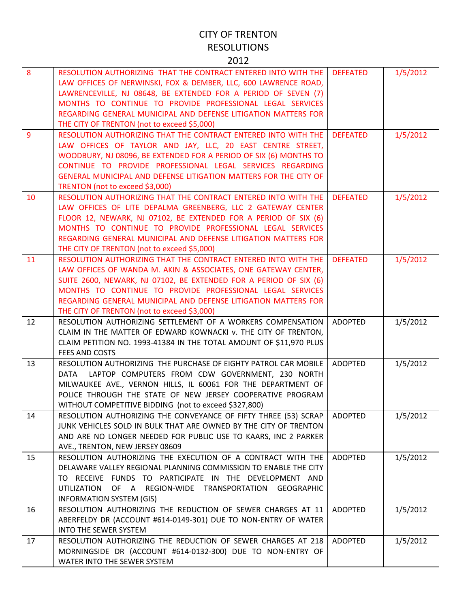|    | ᅩ◡∸▵                                                                                                                                                                                                                                                                                                                                                                                |                 |          |
|----|-------------------------------------------------------------------------------------------------------------------------------------------------------------------------------------------------------------------------------------------------------------------------------------------------------------------------------------------------------------------------------------|-----------------|----------|
| 8  | RESOLUTION AUTHORIZING THAT THE CONTRACT ENTERED INTO WITH THE<br>LAW OFFICES OF NERWINSKI, FOX & DEMBER, LLC, 600 LAWRENCE ROAD,<br>LAWRENCEVILLE, NJ 08648, BE EXTENDED FOR A PERIOD OF SEVEN (7)<br>MONTHS TO CONTINUE TO PROVIDE PROFESSIONAL LEGAL SERVICES<br>REGARDING GENERAL MUNICIPAL AND DEFENSE LITIGATION MATTERS FOR<br>THE CITY OF TRENTON (not to exceed \$5,000)   | <b>DEFEATED</b> | 1/5/2012 |
| 9  | RESOLUTION AUTHORIZING THAT THE CONTRACT ENTERED INTO WITH THE<br>LAW OFFICES OF TAYLOR AND JAY, LLC, 20 EAST CENTRE STREET,<br>WOODBURY, NJ 08096, BE EXTENDED FOR A PERIOD OF SIX (6) MONTHS TO<br>CONTINUE TO PROVIDE PROFESSIONAL LEGAL SERVICES REGARDING<br>GENERAL MUNICIPAL AND DEFENSE LITIGATION MATTERS FOR THE CITY OF<br>TRENTON (not to exceed \$3,000)               | <b>DEFEATED</b> | 1/5/2012 |
| 10 | RESOLUTION AUTHORIZING THAT THE CONTRACT ENTERED INTO WITH THE<br>LAW OFFICES OF LITE DEPALMA GREENBERG, LLC 2 GATEWAY CENTER<br>FLOOR 12, NEWARK, NJ 07102, BE EXTENDED FOR A PERIOD OF SIX (6)<br>MONTHS TO CONTINUE TO PROVIDE PROFESSIONAL LEGAL SERVICES<br>REGARDING GENERAL MUNICIPAL AND DEFENSE LITIGATION MATTERS FOR<br>THE CITY OF TRENTON (not to exceed \$5,000)      | <b>DEFEATED</b> | 1/5/2012 |
| 11 | RESOLUTION AUTHORIZING THAT THE CONTRACT ENTERED INTO WITH THE<br>LAW OFFICES OF WANDA M. AKIN & ASSOCIATES, ONE GATEWAY CENTER,<br>SUITE 2600, NEWARK, NJ 07102, BE EXTENDED FOR A PERIOD OF SIX (6)<br>MONTHS TO CONTINUE TO PROVIDE PROFESSIONAL LEGAL SERVICES<br>REGARDING GENERAL MUNICIPAL AND DEFENSE LITIGATION MATTERS FOR<br>THE CITY OF TRENTON (not to exceed \$3,000) | <b>DEFEATED</b> | 1/5/2012 |
| 12 | RESOLUTION AUTHORIZING SETTLEMENT OF A WORKERS COMPENSATION<br>CLAIM IN THE MATTER OF EDWARD KOWNACKI v. THE CITY OF TRENTON,<br>CLAIM PETITION NO. 1993-41384 IN THE TOTAL AMOUNT OF \$11,970 PLUS<br>FEES AND COSTS                                                                                                                                                               | <b>ADOPTED</b>  | 1/5/2012 |
| 13 | RESOLUTION AUTHORIZING THE PURCHASE OF EIGHTY PATROL CAR MOBILE<br>LAPTOP COMPUTERS FROM CDW GOVERNMENT, 230 NORTH<br>DATA<br>MILWAUKEE AVE., VERNON HILLS, IL 60061 FOR THE DEPARTMENT OF<br>POLICE THROUGH THE STATE OF NEW JERSEY COOPERATIVE PROGRAM<br>WITHOUT COMPETITIVE BIDDING (not to exceed \$327,800)                                                                   | <b>ADOPTED</b>  | 1/5/2012 |
| 14 | RESOLUTION AUTHORIZING THE CONVEYANCE OF FIFTY THREE (53) SCRAP<br>JUNK VEHICLES SOLD IN BULK THAT ARE OWNED BY THE CITY OF TRENTON<br>AND ARE NO LONGER NEEDED FOR PUBLIC USE TO KAARS, INC 2 PARKER<br>AVE., TRENTON, NEW JERSEY 08609                                                                                                                                            | <b>ADOPTED</b>  | 1/5/2012 |
| 15 | RESOLUTION AUTHORIZING THE EXECUTION OF A CONTRACT WITH THE<br>DELAWARE VALLEY REGIONAL PLANNING COMMISSION TO ENABLE THE CITY<br>TO RECEIVE FUNDS TO PARTICIPATE IN THE DEVELOPMENT AND<br>OF A REGION-WIDE TRANSPORTATION GEOGRAPHIC<br>UTILIZATION<br><b>INFORMATION SYSTEM (GIS)</b>                                                                                            | <b>ADOPTED</b>  | 1/5/2012 |
| 16 | RESOLUTION AUTHORIZING THE REDUCTION OF SEWER CHARGES AT 11<br>ABERFELDY DR (ACCOUNT #614-0149-301) DUE TO NON-ENTRY OF WATER<br><b>INTO THE SEWER SYSTEM</b>                                                                                                                                                                                                                       | <b>ADOPTED</b>  | 1/5/2012 |
| 17 | RESOLUTION AUTHORIZING THE REDUCTION OF SEWER CHARGES AT 218<br>MORNINGSIDE DR (ACCOUNT #614-0132-300) DUE TO NON-ENTRY OF<br>WATER INTO THE SEWER SYSTEM                                                                                                                                                                                                                           | ADOPTED         | 1/5/2012 |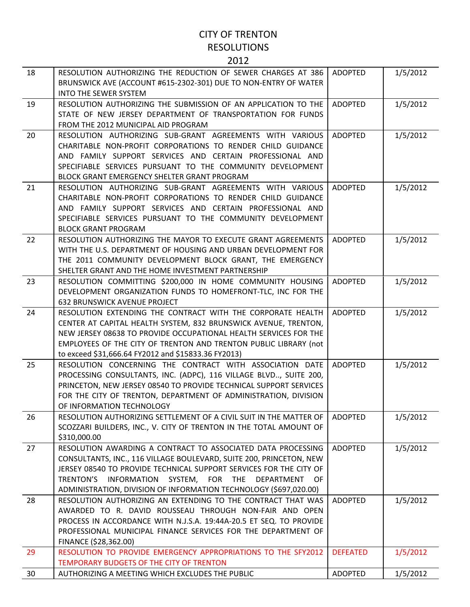| 18 | RESOLUTION AUTHORIZING THE REDUCTION OF SEWER CHARGES AT 386<br>BRUNSWICK AVE (ACCOUNT #615-2302-301) DUE TO NON-ENTRY OF WATER<br><b>INTO THE SEWER SYSTEM</b>                                                                                                                                                                             | <b>ADOPTED</b>  | 1/5/2012 |
|----|---------------------------------------------------------------------------------------------------------------------------------------------------------------------------------------------------------------------------------------------------------------------------------------------------------------------------------------------|-----------------|----------|
| 19 | RESOLUTION AUTHORIZING THE SUBMISSION OF AN APPLICATION TO THE<br>STATE OF NEW JERSEY DEPARTMENT OF TRANSPORTATION FOR FUNDS<br>FROM THE 2012 MUNICIPAL AID PROGRAM                                                                                                                                                                         | <b>ADOPTED</b>  | 1/5/2012 |
| 20 | RESOLUTION AUTHORIZING SUB-GRANT AGREEMENTS WITH VARIOUS<br>CHARITABLE NON-PROFIT CORPORATIONS TO RENDER CHILD GUIDANCE<br>AND FAMILY SUPPORT SERVICES AND CERTAIN PROFESSIONAL AND<br>SPECIFIABLE SERVICES PURSUANT TO THE COMMUNITY DEVELOPMENT<br>BLOCK GRANT EMERGENCY SHELTER GRANT PROGRAM                                            | <b>ADOPTED</b>  | 1/5/2012 |
| 21 | RESOLUTION AUTHORIZING SUB-GRANT AGREEMENTS WITH VARIOUS<br>CHARITABLE NON-PROFIT CORPORATIONS TO RENDER CHILD GUIDANCE<br>AND FAMILY SUPPORT SERVICES AND CERTAIN PROFESSIONAL AND<br>SPECIFIABLE SERVICES PURSUANT TO THE COMMUNITY DEVELOPMENT<br><b>BLOCK GRANT PROGRAM</b>                                                             | <b>ADOPTED</b>  | 1/5/2012 |
| 22 | RESOLUTION AUTHORIZING THE MAYOR TO EXECUTE GRANT AGREEMENTS<br>WITH THE U.S. DEPARTMENT OF HOUSING AND URBAN DEVELOPMENT FOR<br>THE 2011 COMMUNITY DEVELOPMENT BLOCK GRANT, THE EMERGENCY<br>SHELTER GRANT AND THE HOME INVESTMENT PARTNERSHIP                                                                                             | <b>ADOPTED</b>  | 1/5/2012 |
| 23 | RESOLUTION COMMITTING \$200,000 IN HOME COMMUNITY HOUSING<br>DEVELOPMENT ORGANIZATION FUNDS TO HOMEFRONT-TLC, INC FOR THE<br><b>632 BRUNSWICK AVENUE PROJECT</b>                                                                                                                                                                            | <b>ADOPTED</b>  | 1/5/2012 |
| 24 | RESOLUTION EXTENDING THE CONTRACT WITH THE CORPORATE HEALTH<br>CENTER AT CAPITAL HEALTH SYSTEM, 832 BRUNSWICK AVENUE, TRENTON,<br>NEW JERSEY 08638 TO PROVIDE OCCUPATIONAL HEALTH SERVICES FOR THE<br>EMPLOYEES OF THE CITY OF TRENTON AND TRENTON PUBLIC LIBRARY (not<br>to exceed \$31,666.64 FY2012 and \$15833.36 FY2013)               | <b>ADOPTED</b>  | 1/5/2012 |
| 25 | RESOLUTION CONCERNING THE CONTRACT WITH ASSOCIATION DATE<br>PROCESSING CONSULTANTS, INC. (ADPC), 116 VILLAGE BLVD, SUITE 200,<br>PRINCETON, NEW JERSEY 08540 TO PROVIDE TECHNICAL SUPPORT SERVICES<br>FOR THE CITY OF TRENTON, DEPARTMENT OF ADMINISTRATION, DIVISION<br>OF INFORMATION TECHNOLOGY                                          | <b>ADOPTED</b>  | 1/5/2012 |
| 26 | RESOLUTION AUTHORIZING SETTLEMENT OF A CIVIL SUIT IN THE MATTER OF<br>SCOZZARI BUILDERS, INC., V. CITY OF TRENTON IN THE TOTAL AMOUNT OF<br>\$310,000.00                                                                                                                                                                                    | ADOPTED         | 1/5/2012 |
| 27 | RESOLUTION AWARDING A CONTRACT TO ASSOCIATED DATA PROCESSING<br>CONSULTANTS, INC., 116 VILLAGE BOULEVARD, SUITE 200, PRINCETON, NEW<br>JERSEY 08540 TO PROVIDE TECHNICAL SUPPORT SERVICES FOR THE CITY OF<br>INFORMATION SYSTEM, FOR THE<br>DEPARTMENT OF<br>TRENTON'S<br>ADMINISTRATION, DIVISION OF INFORMATION TECHNOLOGY (\$697,020.00) | <b>ADOPTED</b>  | 1/5/2012 |
| 28 | RESOLUTION AUTHORIZING AN EXTENDING TO THE CONTRACT THAT WAS<br>AWARDED TO R. DAVID ROUSSEAU THROUGH NON-FAIR AND OPEN<br>PROCESS IN ACCORDANCE WITH N.J.S.A. 19:44A-20.5 ET SEQ. TO PROVIDE<br>PROFESSIONAL MUNICIPAL FINANCE SERVICES FOR THE DEPARTMENT OF<br>FINANCE (\$28,362.00)                                                      | <b>ADOPTED</b>  | 1/5/2012 |
| 29 | RESOLUTION TO PROVIDE EMERGENCY APPROPRIATIONS TO THE SFY2012<br>TEMPORARY BUDGETS OF THE CITY OF TRENTON                                                                                                                                                                                                                                   | <b>DEFEATED</b> | 1/5/2012 |
| 30 | AUTHORIZING A MEETING WHICH EXCLUDES THE PUBLIC                                                                                                                                                                                                                                                                                             | <b>ADOPTED</b>  | 1/5/2012 |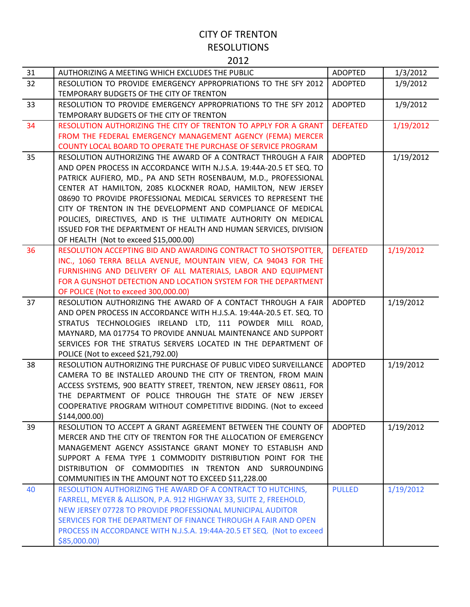| 31 | AUTHORIZING A MEETING WHICH EXCLUDES THE PUBLIC                                                                      | <b>ADOPTED</b>  | 1/3/2012  |
|----|----------------------------------------------------------------------------------------------------------------------|-----------------|-----------|
| 32 | RESOLUTION TO PROVIDE EMERGENCY APPROPRIATIONS TO THE SFY 2012                                                       | <b>ADOPTED</b>  | 1/9/2012  |
|    | TEMPORARY BUDGETS OF THE CITY OF TRENTON                                                                             |                 |           |
| 33 | RESOLUTION TO PROVIDE EMERGENCY APPROPRIATIONS TO THE SFY 2012                                                       | ADOPTED         | 1/9/2012  |
|    | TEMPORARY BUDGETS OF THE CITY OF TRENTON                                                                             |                 |           |
| 34 | RESOLUTION AUTHORIZING THE CITY OF TRENTON TO APPLY FOR A GRANT                                                      | <b>DEFEATED</b> | 1/19/2012 |
|    | FROM THE FEDERAL EMERGENCY MANAGEMENT AGENCY (FEMA) MERCER                                                           |                 |           |
|    | <b>COUNTY LOCAL BOARD TO OPERATE THE PURCHASE OF SERVICE PROGRAM</b>                                                 |                 |           |
| 35 | RESOLUTION AUTHORIZING THE AWARD OF A CONTRACT THROUGH A FAIR                                                        | <b>ADOPTED</b>  | 1/19/2012 |
|    | AND OPEN PROCESS IN ACCORDANCE WITH N.J.S.A. 19:44A-20.5 ET SEQ. TO                                                  |                 |           |
|    | PATRICK AUFIERO, MD., PA AND SETH ROSENBAUM, M.D., PROFESSIONAL                                                      |                 |           |
|    | CENTER AT HAMILTON, 2085 KLOCKNER ROAD, HAMILTON, NEW JERSEY                                                         |                 |           |
|    | 08690 TO PROVIDE PROFESSIONAL MEDICAL SERVICES TO REPRESENT THE                                                      |                 |           |
|    | CITY OF TRENTON IN THE DEVELOPMENT AND COMPLIANCE OF MEDICAL                                                         |                 |           |
|    | POLICIES, DIRECTIVES, AND IS THE ULTIMATE AUTHORITY ON MEDICAL                                                       |                 |           |
|    | ISSUED FOR THE DEPARTMENT OF HEALTH AND HUMAN SERVICES, DIVISION                                                     |                 |           |
|    | OF HEALTH (Not to exceed \$15,000.00)                                                                                |                 |           |
| 36 | RESOLUTION ACCEPTING BID AND AWARDING CONTRACT TO SHOTSPOTTER,                                                       | <b>DEFEATED</b> | 1/19/2012 |
|    | INC., 1060 TERRA BELLA AVENUE, MOUNTAIN VIEW, CA 94043 FOR THE                                                       |                 |           |
|    | FURNISHING AND DELIVERY OF ALL MATERIALS, LABOR AND EQUIPMENT                                                        |                 |           |
|    | FOR A GUNSHOT DETECTION AND LOCATION SYSTEM FOR THE DEPARTMENT                                                       |                 |           |
|    | OF POLICE (Not to exceed 300,000.00)                                                                                 |                 |           |
| 37 | RESOLUTION AUTHORIZING THE AWARD OF A CONTACT THROUGH A FAIR                                                         | ADOPTED         | 1/19/2012 |
|    | AND OPEN PROCESS IN ACCORDANCE WITH H.J.S.A. 19:44A-20.5 ET. SEQ. TO                                                 |                 |           |
|    | STRATUS TECHNOLOGIES IRELAND LTD, 111 POWDER MILL ROAD,                                                              |                 |           |
|    | MAYNARD, MA 017754 TO PROVIDE ANNUAL MAINTENANCE AND SUPPORT                                                         |                 |           |
|    | SERVICES FOR THE STRATUS SERVERS LOCATED IN THE DEPARTMENT OF                                                        |                 |           |
|    | POLICE (Not to exceed \$21,792.00)                                                                                   |                 |           |
| 38 | RESOLUTION AUTHORIZING THE PURCHASE OF PUBLIC VIDEO SURVEILLANCE                                                     | <b>ADOPTED</b>  | 1/19/2012 |
|    | CAMERA TO BE INSTALLED AROUND THE CITY OF TRENTON, FROM MAIN                                                         |                 |           |
|    | ACCESS SYSTEMS, 900 BEATTY STREET, TRENTON, NEW JERSEY 08611, FOR                                                    |                 |           |
|    | THE DEPARTMENT OF POLICE THROUGH THE STATE OF NEW JERSEY                                                             |                 |           |
|    | COOPERATIVE PROGRAM WITHOUT COMPETITIVE BIDDING. (Not to exceed                                                      |                 |           |
|    | \$144,000.00)                                                                                                        |                 |           |
| 39 | RESOLUTION TO ACCEPT A GRANT AGREEMENT BETWEEN THE COUNTY OF                                                         | ADOPTED         | 1/19/2012 |
|    | MERCER AND THE CITY OF TRENTON FOR THE ALLOCATION OF EMERGENCY                                                       |                 |           |
|    | MANAGEMENT AGENCY ASSISTANCE GRANT MONEY TO ESTABLISH AND                                                            |                 |           |
|    | SUPPORT A FEMA TYPE 1 COMMODITY DISTRIBUTION POINT FOR THE<br>DISTRIBUTION OF COMMODITIES IN TRENTON AND SURROUNDING |                 |           |
|    |                                                                                                                      |                 |           |
| 40 | COMMUNITIES IN THE AMOUNT NOT TO EXCEED \$11,228.00<br>RESOLUTION AUTHORIZING THE AWARD OF A CONTRACT TO HUTCHINS,   |                 |           |
|    | FARRELL, MEYER & ALLISON, P.A. 912 HIGHWAY 33, SUITE 2, FREEHOLD,                                                    | <b>PULLED</b>   | 1/19/2012 |
|    | NEW JERSEY 07728 TO PROVIDE PROFESSIONAL MUNICIPAL AUDITOR                                                           |                 |           |
|    | SERVICES FOR THE DEPARTMENT OF FINANCE THROUGH A FAIR AND OPEN                                                       |                 |           |
|    | PROCESS IN ACCORDANCE WITH N.J.S.A. 19:44A-20.5 ET SEQ. (Not to exceed                                               |                 |           |
|    | \$85,000.00]                                                                                                         |                 |           |
|    |                                                                                                                      |                 |           |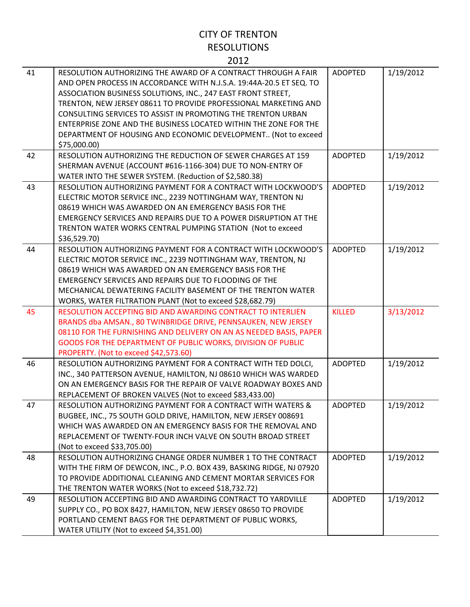| 41 | RESOLUTION AUTHORIZING THE AWARD OF A CONTRACT THROUGH A FAIR<br>AND OPEN PROCESS IN ACCORDANCE WITH N.J.S.A. 19:44A-20.5 ET SEQ. TO<br>ASSOCIATION BUSINESS SOLUTIONS, INC., 247 EAST FRONT STREET,<br>TRENTON, NEW JERSEY 08611 TO PROVIDE PROFESSIONAL MARKETING AND<br>CONSULTING SERVICES TO ASSIST IN PROMOTING THE TRENTON URBAN<br>ENTERPRISE ZONE AND THE BUSINESS LOCATED WITHIN THE ZONE FOR THE<br>DEPARTMENT OF HOUSING AND ECONOMIC DEVELOPMENT (Not to exceed<br>\$75,000.00) | <b>ADOPTED</b> | 1/19/2012 |
|----|----------------------------------------------------------------------------------------------------------------------------------------------------------------------------------------------------------------------------------------------------------------------------------------------------------------------------------------------------------------------------------------------------------------------------------------------------------------------------------------------|----------------|-----------|
| 42 | RESOLUTION AUTHORIZING THE REDUCTION OF SEWER CHARGES AT 159<br>SHERMAN AVENUE (ACCOUNT #616-1166-304) DUE TO NON-ENTRY OF<br>WATER INTO THE SEWER SYSTEM. (Reduction of \$2,580.38)                                                                                                                                                                                                                                                                                                         | <b>ADOPTED</b> | 1/19/2012 |
| 43 | RESOLUTION AUTHORIZING PAYMENT FOR A CONTRACT WITH LOCKWOOD'S<br>ELECTRIC MOTOR SERVICE INC., 2239 NOTTINGHAM WAY, TRENTON NJ<br>08619 WHICH WAS AWARDED ON AN EMERGENCY BASIS FOR THE<br>EMERGENCY SERVICES AND REPAIRS DUE TO A POWER DISRUPTION AT THE<br>TRENTON WATER WORKS CENTRAL PUMPING STATION (Not to exceed<br>\$36,529.70)                                                                                                                                                      | <b>ADOPTED</b> | 1/19/2012 |
| 44 | RESOLUTION AUTHORIZING PAYMENT FOR A CONTRACT WITH LOCKWOOD'S<br>ELECTRIC MOTOR SERVICE INC., 2239 NOTTINGHAM WAY, TRENTON, NJ<br>08619 WHICH WAS AWARDED ON AN EMERGENCY BASIS FOR THE<br>EMERGENCY SERVICES AND REPAIRS DUE TO FLOODING OF THE<br>MECHANICAL DEWATERING FACILITY BASEMENT OF THE TRENTON WATER<br>WORKS, WATER FILTRATION PLANT (Not to exceed \$28,682.79)                                                                                                                | <b>ADOPTED</b> | 1/19/2012 |
| 45 | RESOLUTION ACCEPTING BID AND AWARDING CONTRACT TO INTERLIEN<br>BRANDS dba AMSAN., 80 TWINBRIDGE DRIVE, PENNSAUKEN, NEW JERSEY<br>08110 FOR THE FURNISHING AND DELIVERY ON AN AS NEEDED BASIS, PAPER<br>GOODS FOR THE DEPARTMENT OF PUBLIC WORKS, DIVISION OF PUBLIC<br>PROPERTY. (Not to exceed \$42,573.60)                                                                                                                                                                                 | <b>KILLED</b>  | 3/13/2012 |
| 46 | RESOLUTION AUTHORIZING PAYMENT FOR A CONTRACT WITH TED DOLCI,<br>INC., 340 PATTERSON AVENUE, HAMILTON, NJ 08610 WHICH WAS WARDED<br>ON AN EMERGENCY BASIS FOR THE REPAIR OF VALVE ROADWAY BOXES AND<br>REPLACEMENT OF BROKEN VALVES (Not to exceed \$83,433.00)                                                                                                                                                                                                                              | <b>ADOPTED</b> | 1/19/2012 |
| 47 | RESOLUTION AUTHORIZING PAYMENT FOR A CONTRACT WITH WATERS &<br>BUGBEE, INC., 75 SOUTH GOLD DRIVE, HAMILTON, NEW JERSEY 008691<br>WHICH WAS AWARDED ON AN EMERGENCY BASIS FOR THE REMOVAL AND<br>REPLACEMENT OF TWENTY-FOUR INCH VALVE ON SOUTH BROAD STREET<br>(Not to exceed \$33,705.00)                                                                                                                                                                                                   | <b>ADOPTED</b> | 1/19/2012 |
| 48 | RESOLUTION AUTHORIZING CHANGE ORDER NUMBER 1 TO THE CONTRACT<br>WITH THE FIRM OF DEWCON, INC., P.O. BOX 439, BASKING RIDGE, NJ 07920<br>TO PROVIDE ADDITIONAL CLEANING AND CEMENT MORTAR SERVICES FOR<br>THE TRENTON WATER WORKS (Not to exceed \$18,732.72)                                                                                                                                                                                                                                 | <b>ADOPTED</b> | 1/19/2012 |
| 49 | RESOLUTION ACCEPTING BID AND AWARDING CONTRACT TO YARDVILLE<br>SUPPLY CO., PO BOX 8427, HAMILTON, NEW JERSEY 08650 TO PROVIDE<br>PORTLAND CEMENT BAGS FOR THE DEPARTMENT OF PUBLIC WORKS,<br>WATER UTILITY (Not to exceed \$4,351.00)                                                                                                                                                                                                                                                        | <b>ADOPTED</b> | 1/19/2012 |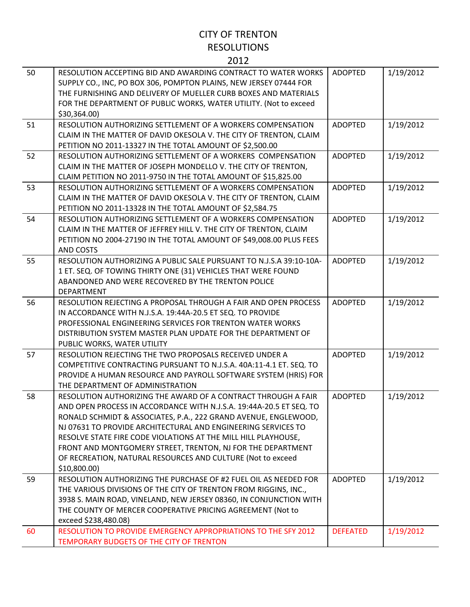| 50 | RESOLUTION ACCEPTING BID AND AWARDING CONTRACT TO WATER WORKS<br>SUPPLY CO., INC, PO BOX 306, POMPTON PLAINS, NEW JERSEY 07444 FOR<br>THE FURNISHING AND DELIVERY OF MUELLER CURB BOXES AND MATERIALS<br>FOR THE DEPARTMENT OF PUBLIC WORKS, WATER UTILITY. (Not to exceed<br>\$30,364.00)                                                                                                                                                                                              | <b>ADOPTED</b>  | 1/19/2012 |
|----|-----------------------------------------------------------------------------------------------------------------------------------------------------------------------------------------------------------------------------------------------------------------------------------------------------------------------------------------------------------------------------------------------------------------------------------------------------------------------------------------|-----------------|-----------|
| 51 | RESOLUTION AUTHORIZING SETTLEMENT OF A WORKERS COMPENSATION<br>CLAIM IN THE MATTER OF DAVID OKESOLA V. THE CITY OF TRENTON, CLAIM<br>PETITION NO 2011-13327 IN THE TOTAL AMOUNT OF \$2,500.00                                                                                                                                                                                                                                                                                           | <b>ADOPTED</b>  | 1/19/2012 |
| 52 | RESOLUTION AUTHORIZING SETTLEMENT OF A WORKERS COMPENSATION<br>CLAIM IN THE MATTER OF JOSEPH MONDELLO V. THE CITY OF TRENTON,<br>CLAIM PETITION NO 2011-9750 IN THE TOTAL AMOUNT OF \$15,825.00                                                                                                                                                                                                                                                                                         | <b>ADOPTED</b>  | 1/19/2012 |
| 53 | RESOLUTION AUTHORIZING SETTLEMENT OF A WORKERS COMPENSATION<br>CLAIM IN THE MATTER OF DAVID OKESOLA V. THE CITY OF TRENTON, CLAIM<br>PETITION NO 2011-13328 IN THE TOTAL AMOUNT OF \$2,584.75                                                                                                                                                                                                                                                                                           | <b>ADOPTED</b>  | 1/19/2012 |
| 54 | RESOLUTION AUTHORIZING SETTLEMENT OF A WORKERS COMPENSATION<br>CLAIM IN THE MATTER OF JEFFREY HILL V. THE CITY OF TRENTON, CLAIM<br>PETITION NO 2004-27190 IN THE TOTAL AMOUNT OF \$49,008.00 PLUS FEES<br><b>AND COSTS</b>                                                                                                                                                                                                                                                             | <b>ADOPTED</b>  | 1/19/2012 |
| 55 | RESOLUTION AUTHORIZING A PUBLIC SALE PURSUANT TO N.J.S.A 39:10-10A-<br>1 ET. SEQ. OF TOWING THIRTY ONE (31) VEHICLES THAT WERE FOUND<br>ABANDONED AND WERE RECOVERED BY THE TRENTON POLICE<br><b>DEPARTMENT</b>                                                                                                                                                                                                                                                                         | <b>ADOPTED</b>  | 1/19/2012 |
| 56 | RESOLUTION REJECTING A PROPOSAL THROUGH A FAIR AND OPEN PROCESS<br>IN ACCORDANCE WITH N.J.S.A. 19:44A-20.5 ET SEQ. TO PROVIDE<br>PROFESSIONAL ENGINEERING SERVICES FOR TRENTON WATER WORKS<br>DISTRIBUTION SYSTEM MASTER PLAN UPDATE FOR THE DEPARTMENT OF<br>PUBLIC WORKS, WATER UTILITY                                                                                                                                                                                               | <b>ADOPTED</b>  | 1/19/2012 |
| 57 | RESOLUTION REJECTING THE TWO PROPOSALS RECEIVED UNDER A<br>COMPETITIVE CONTRACTING PURSUANT TO N.J.S.A. 40A:11-4.1 ET. SEQ. TO<br>PROVIDE A HUMAN RESOURCE AND PAYROLL SOFTWARE SYSTEM (HRIS) FOR<br>THE DEPARTMENT OF ADMINISTRATION                                                                                                                                                                                                                                                   | <b>ADOPTED</b>  | 1/19/2012 |
| 58 | RESOLUTION AUTHORIZING THE AWARD OF A CONTRACT THROUGH A FAIR<br>AND OPEN PROCESS IN ACCORDANCE WITH N.J.S.A. 19:44A-20.5 ET SEQ. TO<br>RONALD SCHMIDT & ASSOCIATES, P.A., 222 GRAND AVENUE, ENGLEWOOD,<br>NJ 07631 TO PROVIDE ARCHITECTURAL AND ENGINEERING SERVICES TO<br>RESOLVE STATE FIRE CODE VIOLATIONS AT THE MILL HILL PLAYHOUSE,<br>FRONT AND MONTGOMERY STREET, TRENTON, NJ FOR THE DEPARTMENT<br>OF RECREATION, NATURAL RESOURCES AND CULTURE (Not to exceed<br>\$10,800.00 | <b>ADOPTED</b>  | 1/19/2012 |
| 59 | RESOLUTION AUTHORIZING THE PURCHASE OF #2 FUEL OIL AS NEEDED FOR<br>THE VARIOUS DIVISIONS OF THE CITY OF TRENTON FROM RIGGINS, INC.,<br>3938 S. MAIN ROAD, VINELAND, NEW JERSEY 08360, IN CONJUNCTION WITH<br>THE COUNTY OF MERCER COOPERATIVE PRICING AGREEMENT (Not to<br>exceed \$238,480.08)                                                                                                                                                                                        | <b>ADOPTED</b>  | 1/19/2012 |
| 60 | RESOLUTION TO PROVIDE EMERGENCY APPROPRIATIONS TO THE SFY 2012<br>TEMPORARY BUDGETS OF THE CITY OF TRENTON                                                                                                                                                                                                                                                                                                                                                                              | <b>DEFEATED</b> | 1/19/2012 |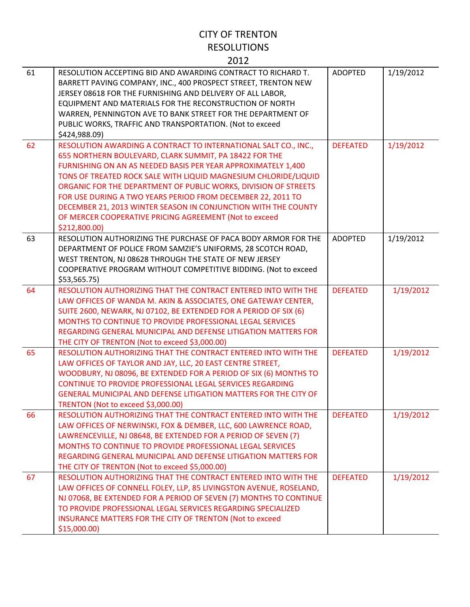| 61 | RESOLUTION ACCEPTING BID AND AWARDING CONTRACT TO RICHARD T.<br>BARRETT PAVING COMPANY, INC., 400 PROSPECT STREET, TRENTON NEW<br>JERSEY 08618 FOR THE FURNISHING AND DELIVERY OF ALL LABOR,<br>EQUIPMENT AND MATERIALS FOR THE RECONSTRUCTION OF NORTH<br>WARREN, PENNINGTON AVE TO BANK STREET FOR THE DEPARTMENT OF<br>PUBLIC WORKS, TRAFFIC AND TRANSPORTATION. (Not to exceed<br>\$424,988.09)                                                                                                                                          | <b>ADOPTED</b>  | 1/19/2012 |
|----|----------------------------------------------------------------------------------------------------------------------------------------------------------------------------------------------------------------------------------------------------------------------------------------------------------------------------------------------------------------------------------------------------------------------------------------------------------------------------------------------------------------------------------------------|-----------------|-----------|
| 62 | RESOLUTION AWARDING A CONTRACT TO INTERNATIONAL SALT CO., INC.,<br>655 NORTHERN BOULEVARD, CLARK SUMMIT, PA 18422 FOR THE<br>FURNISHING ON AN AS NEEDED BASIS PER YEAR APPROXIMATELY 1,400<br>TONS OF TREATED ROCK SALE WITH LIQUID MAGNESIUM CHLORIDE/LIQUID<br>ORGANIC FOR THE DEPARTMENT OF PUBLIC WORKS, DIVISION OF STREETS<br>FOR USE DURING A TWO YEARS PERIOD FROM DECEMBER 22, 2011 TO<br>DECEMBER 21, 2013 WINTER SEASON IN CONJUNCTION WITH THE COUNTY<br>OF MERCER COOPERATIVE PRICING AGREEMENT (Not to exceed<br>\$212,800.00) | <b>DEFEATED</b> | 1/19/2012 |
| 63 | RESOLUTION AUTHORIZING THE PURCHASE OF PACA BODY ARMOR FOR THE<br>DEPARTMENT OF POLICE FROM SAMZIE'S UNIFORMS, 28 SCOTCH ROAD,<br>WEST TRENTON, NJ 08628 THROUGH THE STATE OF NEW JERSEY<br>COOPERATIVE PROGRAM WITHOUT COMPETITIVE BIDDING. (Not to exceed<br>\$53,565.75                                                                                                                                                                                                                                                                   | <b>ADOPTED</b>  | 1/19/2012 |
| 64 | RESOLUTION AUTHORIZING THAT THE CONTRACT ENTERED INTO WITH THE<br>LAW OFFICES OF WANDA M. AKIN & ASSOCIATES, ONE GATEWAY CENTER,<br>SUITE 2600, NEWARK, NJ 07102, BE EXTENDED FOR A PERIOD OF SIX (6)<br>MONTHS TO CONTINUE TO PROVIDE PROFESSIONAL LEGAL SERVICES<br>REGARDING GENERAL MUNICIPAL AND DEFENSE LITIGATION MATTERS FOR<br>THE CITY OF TRENTON (Not to exceed \$3,000.00)                                                                                                                                                       | <b>DEFEATED</b> | 1/19/2012 |
| 65 | RESOLUTION AUTHORIZING THAT THE CONTRACT ENTERED INTO WITH THE<br>LAW OFFICES OF TAYLOR AND JAY, LLC, 20 EAST CENTRE STREET,<br>WOODBURY, NJ 08096, BE EXTENDED FOR A PERIOD OF SIX (6) MONTHS TO<br>CONTINUE TO PROVIDE PROFESSIONAL LEGAL SERVICES REGARDING<br><b>GENERAL MUNICIPAL AND DEFENSE LITIGATION MATTERS FOR THE CITY OF</b><br>TRENTON (Not to exceed \$3,000.00)                                                                                                                                                              | <b>DEFEATED</b> | 1/19/2012 |
| 66 | RESOLUTION AUTHORIZING THAT THE CONTRACT ENTERED INTO WITH THE<br>LAW OFFICES OF NERWINSKI, FOX & DEMBER, LLC, 600 LAWRENCE ROAD,<br>LAWRENCEVILLE, NJ 08648, BE EXTENDED FOR A PERIOD OF SEVEN (7)<br>MONTHS TO CONTINUE TO PROVIDE PROFESSIONAL LEGAL SERVICES<br>REGARDING GENERAL MUNICIPAL AND DEFENSE LITIGATION MATTERS FOR<br>THE CITY OF TRENTON (Not to exceed \$5,000.00)                                                                                                                                                         | <b>DEFEATED</b> | 1/19/2012 |
| 67 | RESOLUTION AUTHORIZING THAT THE CONTRACT ENTERED INTO WITH THE<br>LAW OFFICES OF CONNELL FOLEY, LLP, 85 LIVINGSTON AVENUE, ROSELAND,<br>NJ 07068, BE EXTENDED FOR A PERIOD OF SEVEN (7) MONTHS TO CONTINUE<br>TO PROVIDE PROFESSIONAL LEGAL SERVICES REGARDING SPECIALIZED<br>INSURANCE MATTERS FOR THE CITY OF TRENTON (Not to exceed<br>\$15,000.00                                                                                                                                                                                        | <b>DEFEATED</b> | 1/19/2012 |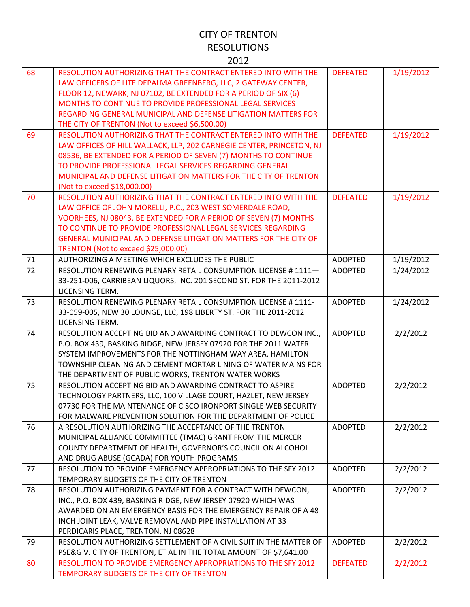| ۰. |  |
|----|--|

| 68 | RESOLUTION AUTHORIZING THAT THE CONTRACT ENTERED INTO WITH THE<br>LAW OFFICERS OF LITE DEPALMA GREENBERG, LLC, 2 GATEWAY CENTER,<br>FLOOR 12, NEWARK, NJ 07102, BE EXTENDED FOR A PERIOD OF SIX (6)<br>MONTHS TO CONTINUE TO PROVIDE PROFESSIONAL LEGAL SERVICES<br>REGARDING GENERAL MUNICIPAL AND DEFENSE LITIGATION MATTERS FOR<br>THE CITY OF TRENTON (Not to exceed \$6,500.00) | <b>DEFEATED</b> | 1/19/2012 |
|----|--------------------------------------------------------------------------------------------------------------------------------------------------------------------------------------------------------------------------------------------------------------------------------------------------------------------------------------------------------------------------------------|-----------------|-----------|
| 69 | RESOLUTION AUTHORIZING THAT THE CONTRACT ENTERED INTO WITH THE<br>LAW OFFICES OF HILL WALLACK, LLP, 202 CARNEGIE CENTER, PRINCETON, NJ<br>08536, BE EXTENDED FOR A PERIOD OF SEVEN (7) MONTHS TO CONTINUE<br>TO PROVIDE PROFESSIONAL LEGAL SERVICES REGARDING GENERAL<br>MUNICIPAL AND DEFENSE LITIGATION MATTERS FOR THE CITY OF TRENTON<br>(Not to exceed \$18,000.00)             | <b>DEFEATED</b> | 1/19/2012 |
| 70 | RESOLUTION AUTHORIZING THAT THE CONTRACT ENTERED INTO WITH THE<br>LAW OFFICE OF JOHN MORELLI, P.C., 203 WEST SOMERDALE ROAD,<br>VOORHEES, NJ 08043, BE EXTENDED FOR A PERIOD OF SEVEN (7) MONTHS<br>TO CONTINUE TO PROVIDE PROFESSIONAL LEGAL SERVICES REGARDING<br><b>GENERAL MUNICIPAL AND DEFENSE LITIGATION MATTERS FOR THE CITY OF</b><br>TRENTON (Not to exceed \$25,000.00)   | <b>DEFEATED</b> | 1/19/2012 |
| 71 | AUTHORIZING A MEETING WHICH EXCLUDES THE PUBLIC                                                                                                                                                                                                                                                                                                                                      | <b>ADOPTED</b>  | 1/19/2012 |
| 72 | RESOLUTION RENEWING PLENARY RETAIL CONSUMPTION LICENSE #1111-<br>33-251-006, CARRIBEAN LIQUORS, INC. 201 SECOND ST. FOR THE 2011-2012<br>LICENSING TERM.                                                                                                                                                                                                                             | <b>ADOPTED</b>  | 1/24/2012 |
| 73 | RESOLUTION RENEWING PLENARY RETAIL CONSUMPTION LICENSE # 1111-<br>33-059-005, NEW 30 LOUNGE, LLC, 198 LIBERTY ST. FOR THE 2011-2012<br>LICENSING TERM.                                                                                                                                                                                                                               | <b>ADOPTED</b>  | 1/24/2012 |
| 74 | RESOLUTION ACCEPTING BID AND AWARDING CONTRACT TO DEWCON INC.,<br>P.O. BOX 439, BASKING RIDGE, NEW JERSEY 07920 FOR THE 2011 WATER<br>SYSTEM IMPROVEMENTS FOR THE NOTTINGHAM WAY AREA, HAMILTON<br>TOWNSHIP CLEANING AND CEMENT MORTAR LINING OF WATER MAINS FOR<br>THE DEPARTMENT OF PUBLIC WORKS, TRENTON WATER WORKS                                                              | <b>ADOPTED</b>  | 2/2/2012  |
| 75 | RESOLUTION ACCEPTING BID AND AWARDING CONTRACT TO ASPIRE<br>TECHNOLOGY PARTNERS, LLC, 100 VILLAGE COURT, HAZLET, NEW JERSEY<br>07730 FOR THE MAINTENANCE OF CISCO IRONPORT SINGLE WEB SECURITY<br>FOR MALWARE PREVENTION SOLUTION FOR THE DEPARTMENT OF POLICE                                                                                                                       | <b>ADOPTED</b>  | 2/2/2012  |
| 76 | A RESOLUTION AUTHORIZING THE ACCEPTANCE OF THE TRENTON<br>MUNICIPAL ALLIANCE COMMITTEE (TMAC) GRANT FROM THE MERCER<br>COUNTY DEPARTMENT OF HEALTH, GOVERNOR'S COUNCIL ON ALCOHOL<br>AND DRUG ABUSE (GCADA) FOR YOUTH PROGRAMS                                                                                                                                                       | <b>ADOPTED</b>  | 2/2/2012  |
| 77 | RESOLUTION TO PROVIDE EMERGENCY APPROPRIATIONS TO THE SFY 2012<br>TEMPORARY BUDGETS OF THE CITY OF TRENTON                                                                                                                                                                                                                                                                           | <b>ADOPTED</b>  | 2/2/2012  |
| 78 | RESOLUTION AUTHORIZING PAYMENT FOR A CONTRACT WITH DEWCON,<br>INC., P.O. BOX 439, BASKING RIDGE, NEW JERSEY 07920 WHICH WAS<br>AWARDED ON AN EMERGENCY BASIS FOR THE EMERGENCY REPAIR OF A 48<br>INCH JOINT LEAK, VALVE REMOVAL AND PIPE INSTALLATION AT 33<br>PERDICARIS PLACE, TRENTON, NJ 08628                                                                                   | <b>ADOPTED</b>  | 2/2/2012  |
| 79 | RESOLUTION AUTHORIZING SETTLEMENT OF A CIVIL SUIT IN THE MATTER OF<br>PSE&G V. CITY OF TRENTON, ET AL IN THE TOTAL AMOUNT OF \$7,641.00                                                                                                                                                                                                                                              | <b>ADOPTED</b>  | 2/2/2012  |
| 80 | RESOLUTION TO PROVIDE EMERGENCY APPROPRIATIONS TO THE SFY 2012<br>TEMPORARY BUDGETS OF THE CITY OF TRENTON                                                                                                                                                                                                                                                                           | <b>DEFEATED</b> | 2/2/2012  |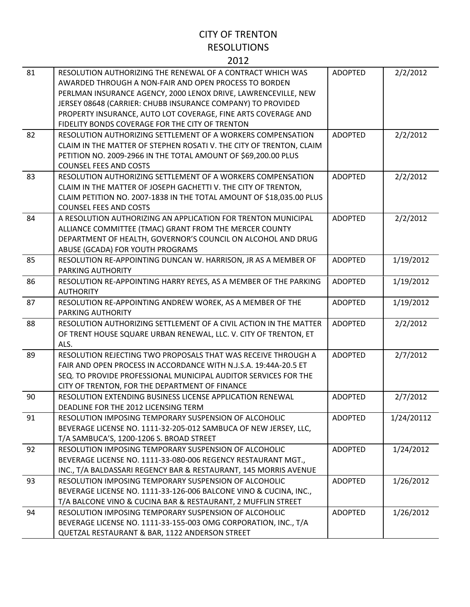| ×<br>۰. |  |
|---------|--|

| 81 | RESOLUTION AUTHORIZING THE RENEWAL OF A CONTRACT WHICH WAS<br>AWARDED THROUGH A NON-FAIR AND OPEN PROCESS TO BORDEN<br>PERLMAN INSURANCE AGENCY, 2000 LENOX DRIVE, LAWRENCEVILLE, NEW<br>JERSEY 08648 (CARRIER: CHUBB INSURANCE COMPANY) TO PROVIDED<br>PROPERTY INSURANCE, AUTO LOT COVERAGE, FINE ARTS COVERAGE AND | <b>ADOPTED</b> | 2/2/2012   |
|----|-----------------------------------------------------------------------------------------------------------------------------------------------------------------------------------------------------------------------------------------------------------------------------------------------------------------------|----------------|------------|
|    | FIDELITY BONDS COVERAGE FOR THE CITY OF TRENTON                                                                                                                                                                                                                                                                       |                |            |
| 82 | RESOLUTION AUTHORIZING SETTLEMENT OF A WORKERS COMPENSATION<br>CLAIM IN THE MATTER OF STEPHEN ROSATI V. THE CITY OF TRENTON, CLAIM<br>PETITION NO. 2009-2966 IN THE TOTAL AMOUNT OF \$69,200.00 PLUS<br><b>COUNSEL FEES AND COSTS</b>                                                                                 | <b>ADOPTED</b> | 2/2/2012   |
| 83 | RESOLUTION AUTHORIZING SETTLEMENT OF A WORKERS COMPENSATION<br>CLAIM IN THE MATTER OF JOSEPH GACHETTI V. THE CITY OF TRENTON,<br>CLAIM PETITION NO. 2007-1838 IN THE TOTAL AMOUNT OF \$18,035.00 PLUS<br><b>COUNSEL FEES AND COSTS</b>                                                                                | <b>ADOPTED</b> | 2/2/2012   |
| 84 | A RESOLUTION AUTHORIZING AN APPLICATION FOR TRENTON MUNICIPAL<br>ALLIANCE COMMITTEE (TMAC) GRANT FROM THE MERCER COUNTY<br>DEPARTMENT OF HEALTH, GOVERNOR'S COUNCIL ON ALCOHOL AND DRUG<br>ABUSE (GCADA) FOR YOUTH PROGRAMS                                                                                           | <b>ADOPTED</b> | 2/2/2012   |
| 85 | RESOLUTION RE-APPOINTING DUNCAN W. HARRISON, JR AS A MEMBER OF<br>PARKING AUTHORITY                                                                                                                                                                                                                                   | <b>ADOPTED</b> | 1/19/2012  |
| 86 | RESOLUTION RE-APPOINTING HARRY REYES, AS A MEMBER OF THE PARKING<br><b>AUTHORITY</b>                                                                                                                                                                                                                                  | <b>ADOPTED</b> | 1/19/2012  |
| 87 | RESOLUTION RE-APPOINTING ANDREW WOREK, AS A MEMBER OF THE<br>PARKING AUTHORITY                                                                                                                                                                                                                                        | <b>ADOPTED</b> | 1/19/2012  |
| 88 | RESOLUTION AUTHORIZING SETTLEMENT OF A CIVIL ACTION IN THE MATTER<br>OF TRENT HOUSE SQUARE URBAN RENEWAL, LLC. V. CITY OF TRENTON, ET<br>ALS.                                                                                                                                                                         | <b>ADOPTED</b> | 2/2/2012   |
| 89 | RESOLUTION REJECTING TWO PROPOSALS THAT WAS RECEIVE THROUGH A<br>FAIR AND OPEN PROCESS IN ACCORDANCE WITH N.J.S.A. 19:44A-20.5 ET<br>SEQ. TO PROVIDE PROFESSIONAL MUNICIPAL AUDITOR SERVICES FOR THE<br>CITY OF TRENTON, FOR THE DEPARTMENT OF FINANCE                                                                | <b>ADOPTED</b> | 2/7/2012   |
| 90 | RESOLUTION EXTENDING BUSINESS LICENSE APPLICATION RENEWAL<br>DEADLINE FOR THE 2012 LICENSING TERM                                                                                                                                                                                                                     | <b>ADOPTED</b> | 2/7/2012   |
| 91 | RESOLUTION IMPOSING TEMPORARY SUSPENSION OF ALCOHOLIC<br>BEVERAGE LICENSE NO. 1111-32-205-012 SAMBUCA OF NEW JERSEY, LLC,<br>T/A SAMBUCA'S, 1200-1206 S. BROAD STREET                                                                                                                                                 | <b>ADOPTED</b> | 1/24/20112 |
| 92 | RESOLUTION IMPOSING TEMPORARY SUSPENSION OF ALCOHOLIC<br>BEVERAGE LICENSE NO. 1111-33-080-006 REGENCY RESTAURANT MGT.,<br>INC., T/A BALDASSARI REGENCY BAR & RESTAURANT, 145 MORRIS AVENUE                                                                                                                            | <b>ADOPTED</b> | 1/24/2012  |
| 93 | RESOLUTION IMPOSING TEMPORARY SUSPENSION OF ALCOHOLIC<br>BEVERAGE LICENSE NO. 1111-33-126-006 BALCONE VINO & CUCINA, INC.,<br>T/A BALCONE VINO & CUCINA BAR & RESTAURANT, 2 MUFFLIN STREET                                                                                                                            | <b>ADOPTED</b> | 1/26/2012  |
| 94 | RESOLUTION IMPOSING TEMPORARY SUSPENSION OF ALCOHOLIC<br>BEVERAGE LICENSE NO. 1111-33-155-003 OMG CORPORATION, INC., T/A<br>QUETZAL RESTAURANT & BAR, 1122 ANDERSON STREET                                                                                                                                            | <b>ADOPTED</b> | 1/26/2012  |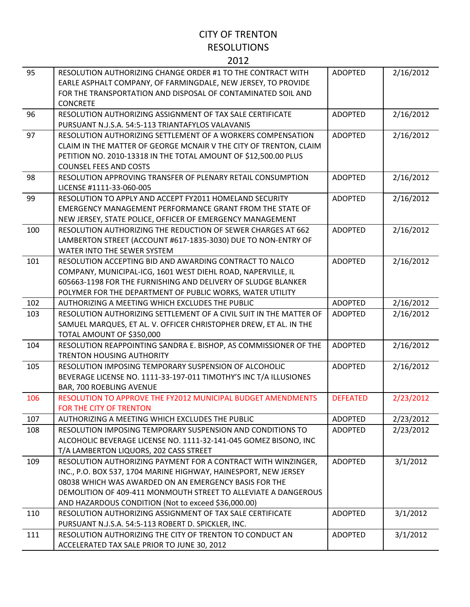| 95  | RESOLUTION AUTHORIZING CHANGE ORDER #1 TO THE CONTRACT WITH<br>EARLE ASPHALT COMPANY, OF FARMINGDALE, NEW JERSEY, TO PROVIDE<br>FOR THE TRANSPORTATION AND DISPOSAL OF CONTAMINATED SOIL AND<br><b>CONCRETE</b> | <b>ADOPTED</b>  | 2/16/2012 |
|-----|-----------------------------------------------------------------------------------------------------------------------------------------------------------------------------------------------------------------|-----------------|-----------|
| 96  | RESOLUTION AUTHORIZING ASSIGNMENT OF TAX SALE CERTIFICATE                                                                                                                                                       | <b>ADOPTED</b>  | 2/16/2012 |
|     | PURSUANT N.J.S.A. 54:5-113 TRIANTAFYLOS VALAVANIS                                                                                                                                                               |                 |           |
| 97  | RESOLUTION AUTHORIZING SETTLEMENT OF A WORKERS COMPENSATION                                                                                                                                                     | <b>ADOPTED</b>  | 2/16/2012 |
|     | CLAIM IN THE MATTER OF GEORGE MCNAIR V THE CITY OF TRENTON, CLAIM                                                                                                                                               |                 |           |
|     | PETITION NO. 2010-13318 IN THE TOTAL AMOUNT OF \$12,500.00 PLUS                                                                                                                                                 |                 |           |
|     | <b>COUNSEL FEES AND COSTS</b>                                                                                                                                                                                   |                 |           |
| 98  | RESOLUTION APPROVING TRANSFER OF PLENARY RETAIL CONSUMPTION                                                                                                                                                     | <b>ADOPTED</b>  | 2/16/2012 |
|     | LICENSE #1111-33-060-005                                                                                                                                                                                        |                 |           |
| 99  | RESOLUTION TO APPLY AND ACCEPT FY2011 HOMELAND SECURITY                                                                                                                                                         | <b>ADOPTED</b>  | 2/16/2012 |
|     | <b>EMERGENCY MANAGEMENT PERFORMANCE GRANT FROM THE STATE OF</b>                                                                                                                                                 |                 |           |
|     | NEW JERSEY, STATE POLICE, OFFICER OF EMERGENCY MANAGEMENT                                                                                                                                                       |                 |           |
| 100 | RESOLUTION AUTHORIZING THE REDUCTION OF SEWER CHARGES AT 662                                                                                                                                                    | <b>ADOPTED</b>  | 2/16/2012 |
|     | LAMBERTON STREET (ACCOUNT #617-1835-3030) DUE TO NON-ENTRY OF                                                                                                                                                   |                 |           |
|     | WATER INTO THE SEWER SYSTEM                                                                                                                                                                                     |                 |           |
| 101 | RESOLUTION ACCEPTING BID AND AWARDING CONTRACT TO NALCO                                                                                                                                                         | <b>ADOPTED</b>  | 2/16/2012 |
|     | COMPANY, MUNICIPAL-ICG, 1601 WEST DIEHL ROAD, NAPERVILLE, IL                                                                                                                                                    |                 |           |
|     | 605663-1198 FOR THE FURNISHING AND DELIVERY OF SLUDGE BLANKER                                                                                                                                                   |                 |           |
| 102 | POLYMER FOR THE DEPARTMENT OF PUBLIC WORKS, WATER UTILITY<br>AUTHORIZING A MEETING WHICH EXCLUDES THE PUBLIC                                                                                                    | <b>ADOPTED</b>  | 2/16/2012 |
| 103 | RESOLUTION AUTHORIZING SETTLEMENT OF A CIVIL SUIT IN THE MATTER OF                                                                                                                                              | <b>ADOPTED</b>  | 2/16/2012 |
|     | SAMUEL MARQUES, ET AL. V. OFFICER CHRISTOPHER DREW, ET AL. IN THE                                                                                                                                               |                 |           |
|     | TOTAL AMOUNT OF \$350,000                                                                                                                                                                                       |                 |           |
| 104 | RESOLUTION REAPPOINTING SANDRA E. BISHOP, AS COMMISSIONER OF THE                                                                                                                                                | <b>ADOPTED</b>  | 2/16/2012 |
|     | <b>TRENTON HOUSING AUTHORITY</b>                                                                                                                                                                                |                 |           |
| 105 | RESOLUTION IMPOSING TEMPORARY SUSPENSION OF ALCOHOLIC                                                                                                                                                           | <b>ADOPTED</b>  | 2/16/2012 |
|     | BEVERAGE LICENSE NO. 1111-33-197-011 TIMOTHY'S INC T/A ILLUSIONES                                                                                                                                               |                 |           |
|     | BAR, 700 ROEBLING AVENUE                                                                                                                                                                                        |                 |           |
| 106 | RESOLUTION TO APPROVE THE FY2012 MUNICIPAL BUDGET AMENDMENTS                                                                                                                                                    | <b>DEFEATED</b> | 2/23/2012 |
|     | FOR THE CITY OF TRENTON                                                                                                                                                                                         |                 |           |
| 107 | AUTHORIZING A MEETING WHICH EXCLUDES THE PUBLIC                                                                                                                                                                 | <b>ADOPTED</b>  | 2/23/2012 |
| 108 | RESOLUTION IMPOSING TEMPORARY SUSPENSION AND CONDITIONS TO                                                                                                                                                      | <b>ADOPTED</b>  | 2/23/2012 |
|     | ALCOHOLIC BEVERAGE LICENSE NO. 1111-32-141-045 GOMEZ BISONO, INC                                                                                                                                                |                 |           |
|     | T/A LAMBERTON LIQUORS, 202 CASS STREET                                                                                                                                                                          |                 |           |
| 109 | RESOLUTION AUTHORIZING PAYMENT FOR A CONTRACT WITH WINZINGER,                                                                                                                                                   | <b>ADOPTED</b>  | 3/1/2012  |
|     | INC., P.O. BOX 537, 1704 MARINE HIGHWAY, HAINESPORT, NEW JERSEY                                                                                                                                                 |                 |           |
|     | 08038 WHICH WAS AWARDED ON AN EMERGENCY BASIS FOR THE                                                                                                                                                           |                 |           |
|     | DEMOLITION OF 409-411 MONMOUTH STREET TO ALLEVIATE A DANGEROUS                                                                                                                                                  |                 |           |
|     | AND HAZARDOUS CONDITION (Not to exceed \$36,000.00)                                                                                                                                                             |                 |           |
| 110 | RESOLUTION AUTHORIZING ASSIGNMENT OF TAX SALE CERTIFICATE                                                                                                                                                       | <b>ADOPTED</b>  | 3/1/2012  |
|     | PURSUANT N.J.S.A. 54:5-113 ROBERT D. SPICKLER, INC.                                                                                                                                                             |                 |           |
| 111 | RESOLUTION AUTHORIZING THE CITY OF TRENTON TO CONDUCT AN                                                                                                                                                        | <b>ADOPTED</b>  | 3/1/2012  |
|     | ACCELERATED TAX SALE PRIOR TO JUNE 30, 2012                                                                                                                                                                     |                 |           |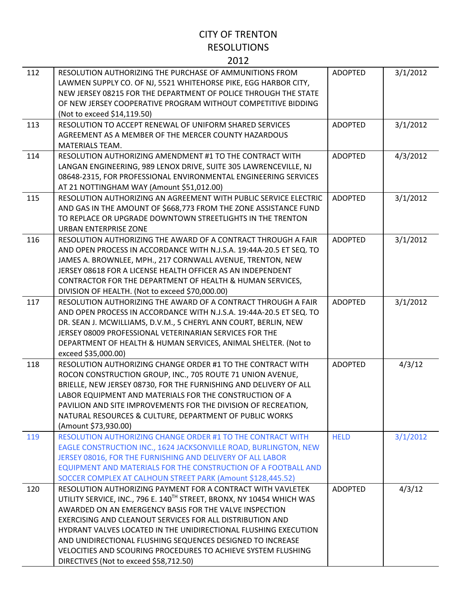| 112 | RESOLUTION AUTHORIZING THE PURCHASE OF AMMUNITIONS FROM<br>LAWMEN SUPPLY CO. OF NJ, 5521 WHITEHORSE PIKE, EGG HARBOR CITY,<br>NEW JERSEY 08215 FOR THE DEPARTMENT OF POLICE THROUGH THE STATE<br>OF NEW JERSEY COOPERATIVE PROGRAM WITHOUT COMPETITIVE BIDDING<br>(Not to exceed \$14,119.50)                                                                                                                                                                                                                       | <b>ADOPTED</b> | 3/1/2012 |
|-----|---------------------------------------------------------------------------------------------------------------------------------------------------------------------------------------------------------------------------------------------------------------------------------------------------------------------------------------------------------------------------------------------------------------------------------------------------------------------------------------------------------------------|----------------|----------|
| 113 | RESOLUTION TO ACCEPT RENEWAL OF UNIFORM SHARED SERVICES<br>AGREEMENT AS A MEMBER OF THE MERCER COUNTY HAZARDOUS<br><b>MATERIALS TEAM.</b>                                                                                                                                                                                                                                                                                                                                                                           | <b>ADOPTED</b> | 3/1/2012 |
| 114 | RESOLUTION AUTHORIZING AMENDMENT #1 TO THE CONTRACT WITH<br>LANGAN ENGINEERING, 989 LENOX DRIVE, SUITE 305 LAWRENCEVILLE, NJ<br>08648-2315, FOR PROFESSIONAL ENVIRONMENTAL ENGINEERING SERVICES<br>AT 21 NOTTINGHAM WAY (Amount \$51,012.00)                                                                                                                                                                                                                                                                        | <b>ADOPTED</b> | 4/3/2012 |
| 115 | RESOLUTION AUTHORIZING AN AGREEMENT WITH PUBLIC SERVICE ELECTRIC<br>AND GAS IN THE AMOUNT OF \$668,773 FROM THE ZONE ASSISTANCE FUND<br>TO REPLACE OR UPGRADE DOWNTOWN STREETLIGHTS IN THE TRENTON<br>URBAN ENTERPRISE ZONE                                                                                                                                                                                                                                                                                         | <b>ADOPTED</b> | 3/1/2012 |
| 116 | RESOLUTION AUTHORIZING THE AWARD OF A CONTRACT THROUGH A FAIR<br>AND OPEN PROCESS IN ACCORDANCE WITH N.J.S.A. 19:44A-20.5 ET SEQ. TO<br>JAMES A. BROWNLEE, MPH., 217 CORNWALL AVENUE, TRENTON, NEW<br>JERSEY 08618 FOR A LICENSE HEALTH OFFICER AS AN INDEPENDENT<br>CONTRACTOR FOR THE DEPARTMENT OF HEALTH & HUMAN SERVICES,<br>DIVISION OF HEALTH. (Not to exceed \$70,000.00)                                                                                                                                   | <b>ADOPTED</b> | 3/1/2012 |
| 117 | RESOLUTION AUTHORIZING THE AWARD OF A CONTRACT THROUGH A FAIR<br>AND OPEN PROCESS IN ACCORDANCE WITH N.J.S.A. 19:44A-20.5 ET SEQ. TO<br>DR. SEAN J. MCWILLIAMS, D.V.M., 5 CHERYL ANN COURT, BERLIN, NEW<br>JERSEY 08009 PROFESSIONAL VETERINARIAN SERVICES FOR THE<br>DEPARTMENT OF HEALTH & HUMAN SERVICES, ANIMAL SHELTER. (Not to<br>exceed \$35,000.00)                                                                                                                                                         | <b>ADOPTED</b> | 3/1/2012 |
| 118 | RESOLUTION AUTHORIZING CHANGE ORDER #1 TO THE CONTRACT WITH<br>ROCON CONSTRUCTION GROUP, INC., 705 ROUTE 71 UNION AVENUE,<br>BRIELLE, NEW JERSEY 08730, FOR THE FURNISHING AND DELIVERY OF ALL<br>LABOR EQUIPMENT AND MATERIALS FOR THE CONSTRUCTION OF A<br>PAVILION AND SITE IMPROVEMENTS FOR THE DIVISION OF RECREATION,<br>NATURAL RESOURCES & CULTURE, DEPARTMENT OF PUBLIC WORKS<br>(Amount \$73,930.00)                                                                                                      | <b>ADOPTED</b> | 4/3/12   |
| 119 | RESOLUTION AUTHORIZING CHANGE ORDER #1 TO THE CONTRACT WITH<br>EAGLE CONSTRUCTION INC., 1624 JACKSONVILLE ROAD, BURLINGTON, NEW<br>JERSEY 08016, FOR THE FURNISHING AND DELIVERY OF ALL LABOR<br>EQUIPMENT AND MATERIALS FOR THE CONSTRUCTION OF A FOOTBALL AND<br>SOCCER COMPLEX AT CALHOUN STREET PARK (Amount \$128,445.52)                                                                                                                                                                                      | <b>HELD</b>    | 3/1/2012 |
| 120 | RESOLUTION AUTHORIZING PAYMENT FOR A CONTRACT WITH VAVLETEK<br>UTILITY SERVICE, INC., 796 E. 140 <sup>TH</sup> STREET, BRONX, NY 10454 WHICH WAS<br>AWARDED ON AN EMERGENCY BASIS FOR THE VALVE INSPECTION<br>EXERCISING AND CLEANOUT SERVICES FOR ALL DISTRIBUTION AND<br>HYDRANT VALVES LOCATED IN THE UNIDIRECTIONAL FLUSHING EXECUTION<br>AND UNIDIRECTIONAL FLUSHING SEQUENCES DESIGNED TO INCREASE<br>VELOCITIES AND SCOURING PROCEDURES TO ACHIEVE SYSTEM FLUSHING<br>DIRECTIVES (Not to exceed \$58,712.50) | <b>ADOPTED</b> | 4/3/12   |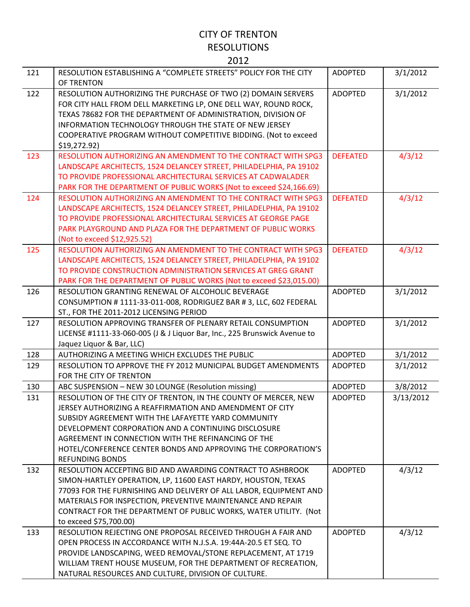| 121 | RESOLUTION ESTABLISHING A "COMPLETE STREETS" POLICY FOR THE CITY<br>OF TRENTON                                                                                                                                                                                                                                                                                                              | <b>ADOPTED</b>  | 3/1/2012  |
|-----|---------------------------------------------------------------------------------------------------------------------------------------------------------------------------------------------------------------------------------------------------------------------------------------------------------------------------------------------------------------------------------------------|-----------------|-----------|
| 122 | RESOLUTION AUTHORIZING THE PURCHASE OF TWO (2) DOMAIN SERVERS<br>FOR CITY HALL FROM DELL MARKETING LP, ONE DELL WAY, ROUND ROCK,<br>TEXAS 78682 FOR THE DEPARTMENT OF ADMINISTRATION, DIVISION OF<br>INFORMATION TECHNOLOGY THROUGH THE STATE OF NEW JERSEY<br>COOPERATIVE PROGRAM WITHOUT COMPETITIVE BIDDING. (Not to exceed<br>\$19,272.92)                                              | <b>ADOPTED</b>  | 3/1/2012  |
| 123 | RESOLUTION AUTHORIZING AN AMENDMENT TO THE CONTRACT WITH SPG3<br>LANDSCAPE ARCHITECTS, 1524 DELANCEY STREET, PHILADELPHIA, PA 19102<br>TO PROVIDE PROFESSIONAL ARCHITECTURAL SERVICES AT CADWALADER<br>PARK FOR THE DEPARTMENT OF PUBLIC WORKS (Not to exceed \$24,166.69)                                                                                                                  | <b>DEFEATED</b> | 4/3/12    |
| 124 | RESOLUTION AUTHORIZING AN AMENDMENT TO THE CONTRACT WITH SPG3<br>LANDSCAPE ARCHITECTS, 1524 DELANCEY STREET, PHILADELPHIA, PA 19102<br>TO PROVIDE PROFESSIONAL ARCHITECTURAL SERVICES AT GEORGE PAGE<br>PARK PLAYGROUND AND PLAZA FOR THE DEPARTMENT OF PUBLIC WORKS<br>(Not to exceed \$12,925.52)                                                                                         | <b>DEFEATED</b> | 4/3/12    |
| 125 | RESOLUTION AUTHORIZING AN AMENDMENT TO THE CONTRACT WITH SPG3<br>LANDSCAPE ARCHITECTS, 1524 DELANCEY STREET, PHILADELPHIA, PA 19102<br>TO PROVIDE CONSTRUCTION ADMINISTRATION SERVICES AT GREG GRANT<br>PARK FOR THE DEPARTMENT OF PUBLIC WORKS (Not to exceed \$23,015.00)                                                                                                                 | <b>DEFEATED</b> | 4/3/12    |
| 126 | RESOLUTION GRANTING RENEWAL OF ALCOHOLIC BEVERAGE<br>CONSUMPTION #1111-33-011-008, RODRIGUEZ BAR #3, LLC, 602 FEDERAL<br>ST., FOR THE 2011-2012 LICENSING PERIOD                                                                                                                                                                                                                            | <b>ADOPTED</b>  | 3/1/2012  |
| 127 | RESOLUTION APPROVING TRANSFER OF PLENARY RETAIL CONSUMPTION<br>LICENSE #1111-33-060-005 (J & J Liquor Bar, Inc., 225 Brunswick Avenue to<br>Jaquez Liquor & Bar, LLC)                                                                                                                                                                                                                       | <b>ADOPTED</b>  | 3/1/2012  |
| 128 | AUTHORIZING A MEETING WHICH EXCLUDES THE PUBLIC                                                                                                                                                                                                                                                                                                                                             | <b>ADOPTED</b>  | 3/1/2012  |
| 129 | RESOLUTION TO APPROVE THE FY 2012 MUNICIPAL BUDGET AMENDMENTS<br>FOR THE CITY OF TRENTON                                                                                                                                                                                                                                                                                                    | <b>ADOPTED</b>  | 3/1/2012  |
| 130 | ABC SUSPENSION - NEW 30 LOUNGE (Resolution missing)                                                                                                                                                                                                                                                                                                                                         | <b>ADOPTED</b>  | 3/8/2012  |
| 131 | RESOLUTION OF THE CITY OF TRENTON, IN THE COUNTY OF MERCER, NEW<br>JERSEY AUTHORIZING A REAFFIRMATION AND AMENDMENT OF CITY<br>SUBSIDY AGREEMENT WITH THE LAFAYETTE YARD COMMUNITY<br>DEVELOPMENT CORPORATION AND A CONTINUING DISCLOSURE<br>AGREEMENT IN CONNECTION WITH THE REFINANCING OF THE<br>HOTEL/CONFERENCE CENTER BONDS AND APPROVING THE CORPORATION'S<br><b>REFUNDING BONDS</b> | <b>ADOPTED</b>  | 3/13/2012 |
| 132 | RESOLUTION ACCEPTING BID AND AWARDING CONTRACT TO ASHBROOK<br>SIMON-HARTLEY OPERATION, LP, 11600 EAST HARDY, HOUSTON, TEXAS<br>77093 FOR THE FURNISHING AND DELIVERY OF ALL LABOR, EQUIPMENT AND<br>MATERIALS FOR INSPECTION, PREVENTIVE MAINTENANCE AND REPAIR<br>CONTRACT FOR THE DEPARTMENT OF PUBLIC WORKS, WATER UTILITY. (Not<br>to exceed \$75,700.00)                               | <b>ADOPTED</b>  | 4/3/12    |
| 133 | RESOLUTION REJECTING ONE PROPOSAL RECEIVED THROUGH A FAIR AND<br>OPEN PROCESS IN ACCORDANCE WITH N.J.S.A. 19:44A-20.5 ET SEQ. TO<br>PROVIDE LANDSCAPING, WEED REMOVAL/STONE REPLACEMENT, AT 1719<br>WILLIAM TRENT HOUSE MUSEUM, FOR THE DEPARTMENT OF RECREATION,<br>NATURAL RESOURCES AND CULTURE, DIVISION OF CULTURE.                                                                    | <b>ADOPTED</b>  | 4/3/12    |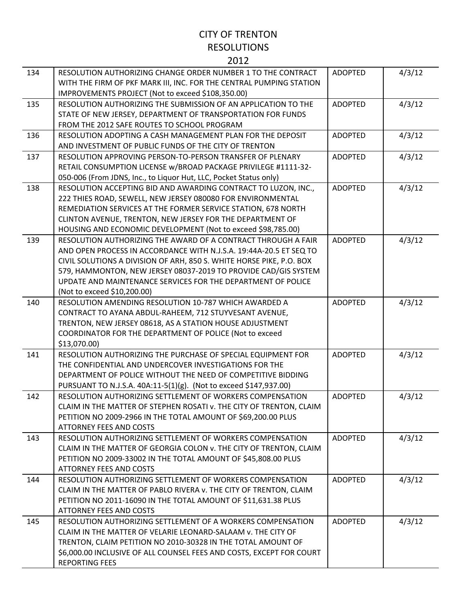| 134 | RESOLUTION AUTHORIZING CHANGE ORDER NUMBER 1 TO THE CONTRACT<br>WITH THE FIRM OF PKF MARK III, INC. FOR THE CENTRAL PUMPING STATION<br>IMPROVEMENTS PROJECT (Not to exceed \$108,350.00)                                                                                                                                                                                      | <b>ADOPTED</b> | 4/3/12 |
|-----|-------------------------------------------------------------------------------------------------------------------------------------------------------------------------------------------------------------------------------------------------------------------------------------------------------------------------------------------------------------------------------|----------------|--------|
| 135 | RESOLUTION AUTHORIZING THE SUBMISSION OF AN APPLICATION TO THE<br>STATE OF NEW JERSEY, DEPARTMENT OF TRANSPORTATION FOR FUNDS<br>FROM THE 2012 SAFE ROUTES TO SCHOOL PROGRAM                                                                                                                                                                                                  | <b>ADOPTED</b> | 4/3/12 |
| 136 | RESOLUTION ADOPTING A CASH MANAGEMENT PLAN FOR THE DEPOSIT<br>AND INVESTMENT OF PUBLIC FUNDS OF THE CITY OF TRENTON                                                                                                                                                                                                                                                           | <b>ADOPTED</b> | 4/3/12 |
| 137 | RESOLUTION APPROVING PERSON-TO-PERSON TRANSFER OF PLENARY<br>RETAIL CONSUMPTION LICENSE w/BROAD PACKAGE PRIVILEGE #1111-32-<br>050-006 (From JDNS, Inc., to Liquor Hut, LLC, Pocket Status only)                                                                                                                                                                              | <b>ADOPTED</b> | 4/3/12 |
| 138 | RESOLUTION ACCEPTING BID AND AWARDING CONTRACT TO LUZON, INC.,<br>222 THIES ROAD, SEWELL, NEW JERSEY 080080 FOR ENVIRONMENTAL<br>REMEDIATION SERVICES AT THE FORMER SERVICE STATION, 678 NORTH<br>CLINTON AVENUE, TRENTON, NEW JERSEY FOR THE DEPARTMENT OF<br>HOUSING AND ECONOMIC DEVELOPMENT (Not to exceed \$98,785.00)                                                   | <b>ADOPTED</b> | 4/3/12 |
| 139 | RESOLUTION AUTHORIZING THE AWARD OF A CONTRACT THROUGH A FAIR<br>AND OPEN PROCESS IN ACCORDANCE WITH N.J.S.A. 19:44A-20.5 ET SEQ TO<br>CIVIL SOLUTIONS A DIVISION OF ARH, 850 S. WHITE HORSE PIKE, P.O. BOX<br>579, HAMMONTON, NEW JERSEY 08037-2019 TO PROVIDE CAD/GIS SYSTEM<br>UPDATE AND MAINTENANCE SERVICES FOR THE DEPARTMENT OF POLICE<br>(Not to exceed \$10,200.00) | <b>ADOPTED</b> | 4/3/12 |
| 140 | RESOLUTION AMENDING RESOLUTION 10-787 WHICH AWARDED A<br>CONTRACT TO AYANA ABDUL-RAHEEM, 712 STUYVESANT AVENUE,<br>TRENTON, NEW JERSEY 08618, AS A STATION HOUSE ADJUSTMENT<br>COORDINATOR FOR THE DEPARTMENT OF POLICE (Not to exceed<br>\$13,070.00                                                                                                                         | <b>ADOPTED</b> | 4/3/12 |
| 141 | RESOLUTION AUTHORIZING THE PURCHASE OF SPECIAL EQUIPMENT FOR<br>THE CONFIDENTIAL AND UNDERCOVER INVESTIGATIONS FOR THE<br>DEPARTMENT OF POLICE WITHOUT THE NEED OF COMPETITIVE BIDDING<br>PURSUANT TO N.J.S.A. 40A:11-5(1)(g). (Not to exceed \$147,937.00)                                                                                                                   | <b>ADOPTED</b> | 4/3/12 |
| 142 | RESOLUTION AUTHORIZING SETTLEMENT OF WORKERS COMPENSATION<br>CLAIM IN THE MATTER OF STEPHEN ROSATI V. THE CITY OF TRENTON, CLAIM<br>PETITION NO 2009-2966 IN THE TOTAL AMOUNT OF \$69,200.00 PLUS<br><b>ATTORNEY FEES AND COSTS</b>                                                                                                                                           | <b>ADOPTED</b> | 4/3/12 |
| 143 | RESOLUTION AUTHORIZING SETTLEMENT OF WORKERS COMPENSATION<br>CLAIM IN THE MATTER OF GEORGIA COLON v. THE CITY OF TRENTON, CLAIM<br>PETITION NO 2009-33002 IN THE TOTAL AMOUNT OF \$45,808.00 PLUS<br><b>ATTORNEY FEES AND COSTS</b>                                                                                                                                           | <b>ADOPTED</b> | 4/3/12 |
| 144 | RESOLUTION AUTHORIZING SETTLEMENT OF WORKERS COMPENSATION<br>CLAIM IN THE MATTER OF PABLO RIVERA v. THE CITY OF TRENTON, CLAIM<br>PETITION NO 2011-16090 IN THE TOTAL AMOUNT OF \$11,631.38 PLUS<br><b>ATTORNEY FEES AND COSTS</b>                                                                                                                                            | <b>ADOPTED</b> | 4/3/12 |
| 145 | RESOLUTION AUTHORIZING SETTLEMENT OF A WORKERS COMPENSATION<br>CLAIM IN THE MATTER OF VELARIE LEONARD-SALAAM v. THE CITY OF<br>TRENTON, CLAIM PETITION NO 2010-30328 IN THE TOTAL AMOUNT OF<br>\$6,000.00 INCLUSIVE OF ALL COUNSEL FEES AND COSTS, EXCEPT FOR COURT<br><b>REPORTING FEES</b>                                                                                  | <b>ADOPTED</b> | 4/3/12 |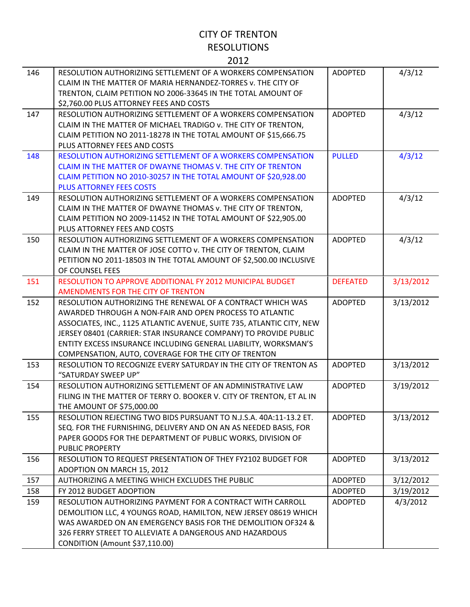| 146 | RESOLUTION AUTHORIZING SETTLEMENT OF A WORKERS COMPENSATION<br>CLAIM IN THE MATTER OF MARIA HERNANDEZ-TORRES v. THE CITY OF<br>TRENTON, CLAIM PETITION NO 2006-33645 IN THE TOTAL AMOUNT OF<br>\$2,760.00 PLUS ATTORNEY FEES AND COSTS                                                                                                                                                        | <b>ADOPTED</b>  | 4/3/12    |
|-----|-----------------------------------------------------------------------------------------------------------------------------------------------------------------------------------------------------------------------------------------------------------------------------------------------------------------------------------------------------------------------------------------------|-----------------|-----------|
| 147 | RESOLUTION AUTHORIZING SETTLEMENT OF A WORKERS COMPENSATION<br>CLAIM IN THE MATTER OF MICHAEL TRADIGO v. THE CITY OF TRENTON,<br>CLAIM PETITION NO 2011-18278 IN THE TOTAL AMOUNT OF \$15,666.75<br>PLUS ATTORNEY FEES AND COSTS                                                                                                                                                              | <b>ADOPTED</b>  | 4/3/12    |
| 148 | RESOLUTION AUTHORIZING SETTLEMENT OF A WORKERS COMPENSATION<br>CLAIM IN THE MATTER OF DWAYNE THOMAS V. THE CITY OF TRENTON<br>CLAIM PETITION NO 2010-30257 IN THE TOTAL AMOUNT OF \$20,928.00<br><b>PLUS ATTORNEY FEES COSTS</b>                                                                                                                                                              | <b>PULLED</b>   | 4/3/12    |
| 149 | RESOLUTION AUTHORIZING SETTLEMENT OF A WORKERS COMPENSATION<br>CLAIM IN THE MATTER OF DWAYNE THOMAS v. THE CITY OF TRENTON,<br>CLAIM PETITION NO 2009-11452 IN THE TOTAL AMOUNT OF \$22,905.00<br>PLUS ATTORNEY FEES AND COSTS                                                                                                                                                                | <b>ADOPTED</b>  | 4/3/12    |
| 150 | RESOLUTION AUTHORIZING SETTLEMENT OF A WORKERS COMPENSATION<br>CLAIM IN THE MATTER OF JOSE COTTO v. THE CITY OF TRENTON, CLAIM<br>PETITION NO 2011-18503 IN THE TOTAL AMOUNT OF \$2,500.00 INCLUSIVE<br>OF COUNSEL FEES                                                                                                                                                                       | <b>ADOPTED</b>  | 4/3/12    |
| 151 | RESOLUTION TO APPROVE ADDITIONAL FY 2012 MUNICIPAL BUDGET<br>AMENDMENTS FOR THE CITY OF TRENTON                                                                                                                                                                                                                                                                                               | <b>DEFEATED</b> | 3/13/2012 |
| 152 | RESOLUTION AUTHORIZING THE RENEWAL OF A CONTRACT WHICH WAS<br>AWARDED THROUGH A NON-FAIR AND OPEN PROCESS TO ATLANTIC<br>ASSOCIATES, INC., 1125 ATLANTIC AVENUE, SUITE 735, ATLANTIC CITY, NEW<br>JERSEY 08401 (CARRIER: STAR INSURANCE COMPANY) TO PROVIDE PUBLIC<br>ENTITY EXCESS INSURANCE INCLUDING GENERAL LIABILITY, WORKSMAN'S<br>COMPENSATION, AUTO, COVERAGE FOR THE CITY OF TRENTON | <b>ADOPTED</b>  | 3/13/2012 |
| 153 | RESOLUTION TO RECOGNIZE EVERY SATURDAY IN THE CITY OF TRENTON AS<br>"SATURDAY SWEEP UP"                                                                                                                                                                                                                                                                                                       | <b>ADOPTED</b>  | 3/13/2012 |
| 154 | RESOLUTION AUTHORIZING SETTLEMENT OF AN ADMINISTRATIVE LAW<br>FILING IN THE MATTER OF TERRY O. BOOKER V. CITY OF TRENTON, ET AL IN<br>THE AMOUNT OF \$75,000.00                                                                                                                                                                                                                               | <b>ADOPTED</b>  | 3/19/2012 |
| 155 | RESOLUTION REJECTING TWO BIDS PURSUANT TO N.J.S.A. 40A:11-13.2 ET.<br>SEQ. FOR THE FURNISHING, DELIVERY AND ON AN AS NEEDED BASIS, FOR<br>PAPER GOODS FOR THE DEPARTMENT OF PUBLIC WORKS, DIVISION OF<br><b>PUBLIC PROPERTY</b>                                                                                                                                                               | <b>ADOPTED</b>  | 3/13/2012 |
| 156 | RESOLUTION TO REQUEST PRESENTATION OF THEY FY2102 BUDGET FOR<br>ADOPTION ON MARCH 15, 2012                                                                                                                                                                                                                                                                                                    | <b>ADOPTED</b>  | 3/13/2012 |
| 157 | AUTHORIZING A MEETING WHICH EXCLUDES THE PUBLIC                                                                                                                                                                                                                                                                                                                                               | <b>ADOPTED</b>  | 3/12/2012 |
| 158 | FY 2012 BUDGET ADOPTION                                                                                                                                                                                                                                                                                                                                                                       | <b>ADOPTED</b>  | 3/19/2012 |
| 159 | RESOLUTION AUTHORIZING PAYMENT FOR A CONTRACT WITH CARROLL<br>DEMOLITION LLC, 4 YOUNGS ROAD, HAMILTON, NEW JERSEY 08619 WHICH<br>WAS AWARDED ON AN EMERGENCY BASIS FOR THE DEMOLITION OF324 &<br>326 FERRY STREET TO ALLEVIATE A DANGEROUS AND HAZARDOUS<br>CONDITION (Amount \$37,110.00)                                                                                                    | <b>ADOPTED</b>  | 4/3/2012  |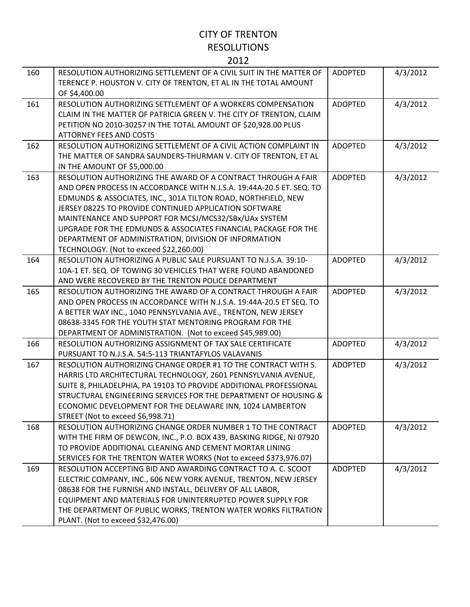| 160 | RESOLUTION AUTHORIZING SETTLEMENT OF A CIVIL SUIT IN THE MATTER OF<br>TERENCE P. HOUSTON V. CITY OF TRENTON, ET AL IN THE TOTAL AMOUNT | <b>ADOPTED</b> | 4/3/2012 |
|-----|----------------------------------------------------------------------------------------------------------------------------------------|----------------|----------|
|     | OF \$4,400.00                                                                                                                          |                |          |
| 161 | RESOLUTION AUTHORIZING SETTLEMENT OF A WORKERS COMPENSATION                                                                            | <b>ADOPTED</b> | 4/3/2012 |
|     | CLAIM IN THE MATTER OF PATRICIA GREEN V. THE CITY OF TRENTON, CLAIM                                                                    |                |          |
|     | PETITION NO 2010-30257 IN THE TOTAL AMOUNT OF \$20,928.00 PLUS                                                                         |                |          |
|     | <b>ATTORNEY FEES AND COSTS</b>                                                                                                         |                |          |
| 162 | RESOLUTION AUTHORIZING SETTLEMENT OF A CIVIL ACTION COMPLAINT IN                                                                       | <b>ADOPTED</b> | 4/3/2012 |
|     | THE MATTER OF SANDRA SAUNDERS-THURMAN V. CITY OF TRENTON, ET AL                                                                        |                |          |
|     | IN THE AMOUNT OF \$5,000.00                                                                                                            |                |          |
| 163 | RESOLUTION AUTHORIZING THE AWARD OF A CONTRACT THROUGH A FAIR                                                                          | <b>ADOPTED</b> | 4/3/2012 |
|     | AND OPEN PROCESS IN ACCORDANCE WITH N.J.S.A. 19:44A-20.5 ET. SEQ. TO                                                                   |                |          |
|     | EDMUNDS & ASSOCIATES, INC., 301A TILTON ROAD, NORTHFIELD, NEW                                                                          |                |          |
|     | JERSEY 08225 TO PROVIDE CONTINUED APPLICATION SOFTWARE                                                                                 |                |          |
|     | MAINTENANCE AND SUPPORT FOR MCSJ/MCS32/SBx/UAx SYSTEM                                                                                  |                |          |
|     | UPGRADE FOR THE EDMUNDS & ASSOCIATES FINANCIAL PACKAGE FOR THE                                                                         |                |          |
|     | DEPARTMENT OF ADMINISTRATION, DIVISION OF INFORMATION                                                                                  |                |          |
|     | TECHNOLOGY. (Not to exceed \$22,260.00)                                                                                                |                |          |
| 164 | RESOLUTION AUTHORIZING A PUBLIC SALE PURSUANT TO N.J.S.A. 39:10-                                                                       | <b>ADOPTED</b> | 4/3/2012 |
|     | 10A-1 ET. SEQ. OF TOWING 30 VEHICLES THAT WERE FOUND ABANDONED                                                                         |                |          |
|     | AND WERE RECOVERED BY THE TRENTON POLICE DEPARTMENT                                                                                    |                |          |
| 165 | RESOLUTION AUTHORIZING THE AWARD OF A CONTRACT THROUGH A FAIR                                                                          | <b>ADOPTED</b> | 4/3/2012 |
|     | AND OPEN PROCESS IN ACCORDANCE WITH N.J.S.A. 19:44A-20.5 ET SEQ. TO                                                                    |                |          |
|     | A BETTER WAY INC., 1040 PENNSYLVANIA AVE., TRENTON, NEW JERSEY                                                                         |                |          |
|     | 08638-3345 FOR THE YOUTH STAT MENTORING PROGRAM FOR THE                                                                                |                |          |
|     | DEPARTMENT OF ADMINISTRATION. (Not to exceed \$45,989.00)                                                                              |                |          |
| 166 | RESOLUTION AUTHORIZING ASSIGNMENT OF TAX SALE CERTIFICATE                                                                              | <b>ADOPTED</b> | 4/3/2012 |
|     | PURSUANT TO N.J.S.A. 54:5-113 TRIANTAFYLOS VALAVANIS                                                                                   |                |          |
| 167 | RESOLUTION AUTHORIZING CHANGE ORDER #1 TO THE CONTRACT WITH S.                                                                         | <b>ADOPTED</b> | 4/3/2012 |
|     | HARRIS LTD ARCHITECTURAL TECHNOLOGY, 2601 PENNSYLVANIA AVENUE,                                                                         |                |          |
|     | SUITE 8, PHILADELPHIA, PA 19103 TO PROVIDE ADDITIONAL PROFESSIONAL                                                                     |                |          |
|     | STRUCTURAL ENGINEERING SERVICES FOR THE DEPARTMENT OF HOUSING &                                                                        |                |          |
|     | ECONOMIC DEVELOPMENT FOR THE DELAWARE INN, 1024 LAMBERTON                                                                              |                |          |
|     | STREET (Not to exceed \$6,998.71)                                                                                                      |                |          |
| 168 | RESOLUTION AUTHORIZING CHANGE ORDER NUMBER 1 TO THE CONTRACT                                                                           | <b>ADOPTED</b> | 4/3/2012 |
|     | WITH THE FIRM OF DEWCON, INC., P.O. BOX 439, BASKING RIDGE, NJ 07920                                                                   |                |          |
|     | TO PROVIDE ADDITIONAL CLEANING AND CEMENT MORTAR LINING                                                                                |                |          |
|     | SERVICES FOR THE TRENTON WATER WORKS (Not to exceed \$373,976.07)                                                                      |                |          |
| 169 | RESOLUTION ACCEPTING BID AND AWARDING CONTRACT TO A. C. SCOOT                                                                          | <b>ADOPTED</b> | 4/3/2012 |
|     | ELECTRIC COMPANY, INC., 606 NEW YORK AVENUE, TRENTON, NEW JERSEY                                                                       |                |          |
|     | 08638 FOR THE FURNISH AND INSTALL, DELIVERY OF ALL LABOR,                                                                              |                |          |
|     | EQUIPMENT AND MATERIALS FOR UNINTERRUPTED POWER SUPPLY FOR                                                                             |                |          |
|     | THE DEPARTMENT OF PUBLIC WORKS, TRENTON WATER WORKS FILTRATION                                                                         |                |          |
|     | PLANT. (Not to exceed \$32,476.00)                                                                                                     |                |          |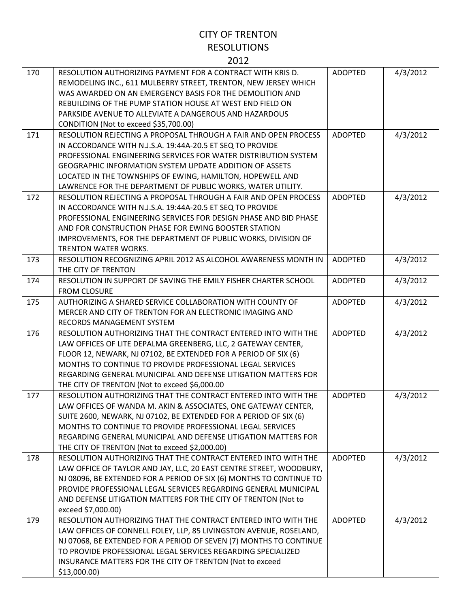| 170 | RESOLUTION AUTHORIZING PAYMENT FOR A CONTRACT WITH KRIS D.<br>REMODELING INC., 611 MULBERRY STREET, TRENTON, NEW JERSEY WHICH<br>WAS AWARDED ON AN EMERGENCY BASIS FOR THE DEMOLITION AND<br>REBUILDING OF THE PUMP STATION HOUSE AT WEST END FIELD ON<br>PARKSIDE AVENUE TO ALLEVIATE A DANGEROUS AND HAZARDOUS<br>CONDITION (Not to exceed \$35,700.00)                              | <b>ADOPTED</b> | 4/3/2012 |
|-----|----------------------------------------------------------------------------------------------------------------------------------------------------------------------------------------------------------------------------------------------------------------------------------------------------------------------------------------------------------------------------------------|----------------|----------|
| 171 | RESOLUTION REJECTING A PROPOSAL THROUGH A FAIR AND OPEN PROCESS<br>IN ACCORDANCE WITH N.J.S.A. 19:44A-20.5 ET SEQ TO PROVIDE<br>PROFESSIONAL ENGINEERING SERVICES FOR WATER DISTRIBUTION SYSTEM<br>GEOGRAPHIC INFORMATION SYSTEM UPDATE ADDITION OF ASSETS<br>LOCATED IN THE TOWNSHIPS OF EWING, HAMILTON, HOPEWELL AND<br>LAWRENCE FOR THE DEPARTMENT OF PUBLIC WORKS, WATER UTILITY. | <b>ADOPTED</b> | 4/3/2012 |
| 172 | RESOLUTION REJECTING A PROPOSAL THROUGH A FAIR AND OPEN PROCESS<br>IN ACCORDANCE WITH N.J.S.A. 19:44A-20.5 ET SEQ TO PROVIDE<br>PROFESSIONAL ENGINEERING SERVICES FOR DESIGN PHASE AND BID PHASE<br>AND FOR CONSTRUCTION PHASE FOR EWING BOOSTER STATION<br>IMPROVEMENTS, FOR THE DEPARTMENT OF PUBLIC WORKS, DIVISION OF<br><b>TRENTON WATER WORKS.</b>                               | <b>ADOPTED</b> | 4/3/2012 |
| 173 | RESOLUTION RECOGNIZING APRIL 2012 AS ALCOHOL AWARENESS MONTH IN<br>THE CITY OF TRENTON                                                                                                                                                                                                                                                                                                 | <b>ADOPTED</b> | 4/3/2012 |
| 174 | RESOLUTION IN SUPPORT OF SAVING THE EMILY FISHER CHARTER SCHOOL<br><b>FROM CLOSURE</b>                                                                                                                                                                                                                                                                                                 | <b>ADOPTED</b> | 4/3/2012 |
| 175 | AUTHORIZING A SHARED SERVICE COLLABORATION WITH COUNTY OF<br>MERCER AND CITY OF TRENTON FOR AN ELECTRONIC IMAGING AND<br>RECORDS MANAGEMENT SYSTEM                                                                                                                                                                                                                                     | <b>ADOPTED</b> | 4/3/2012 |
| 176 | RESOLUTION AUTHORIZING THAT THE CONTRACT ENTERED INTO WITH THE<br>LAW OFFICES OF LITE DEPALMA GREENBERG, LLC, 2 GATEWAY CENTER,<br>FLOOR 12, NEWARK, NJ 07102, BE EXTENDED FOR A PERIOD OF SIX (6)<br>MONTHS TO CONTINUE TO PROVIDE PROFESSIONAL LEGAL SERVICES<br>REGARDING GENERAL MUNICIPAL AND DEFENSE LITIGATION MATTERS FOR<br>THE CITY OF TRENTON (Not to exceed \$6,000.00     | <b>ADOPTED</b> | 4/3/2012 |
| 177 | RESOLUTION AUTHORIZING THAT THE CONTRACT ENTERED INTO WITH THE<br>LAW OFFICES OF WANDA M. AKIN & ASSOCIATES, ONE GATEWAY CENTER,<br>SUITE 2600, NEWARK, NJ 07102, BE EXTENDED FOR A PERIOD OF SIX (6)<br>MONTHS TO CONTINUE TO PROVIDE PROFESSIONAL LEGAL SERVICES<br>REGARDING GENERAL MUNICIPAL AND DEFENSE LITIGATION MATTERS FOR<br>THE CITY OF TRENTON (Not to exceed \$2,000.00) | <b>ADOPTED</b> | 4/3/2012 |
| 178 | RESOLUTION AUTHORIZING THAT THE CONTRACT ENTERED INTO WITH THE<br>LAW OFFICE OF TAYLOR AND JAY, LLC, 20 EAST CENTRE STREET, WOODBURY,<br>NJ 08096, BE EXTENDED FOR A PERIOD OF SIX (6) MONTHS TO CONTINUE TO<br>PROVIDE PROFESSIONAL LEGAL SERVICES REGARDING GENERAL MUNICIPAL<br>AND DEFENSE LITIGATION MATTERS FOR THE CITY OF TRENTON (Not to<br>exceed \$7,000.00)                | <b>ADOPTED</b> | 4/3/2012 |
| 179 | RESOLUTION AUTHORIZING THAT THE CONTRACT ENTERED INTO WITH THE<br>LAW OFFICES OF CONNELL FOLEY, LLP, 85 LIVINGSTON AVENUE, ROSELAND,<br>NJ 07068, BE EXTENDED FOR A PERIOD OF SEVEN (7) MONTHS TO CONTINUE<br>TO PROVIDE PROFESSIONAL LEGAL SERVICES REGARDING SPECIALIZED<br>INSURANCE MATTERS FOR THE CITY OF TRENTON (Not to exceed<br>\$13,000.00                                  | <b>ADOPTED</b> | 4/3/2012 |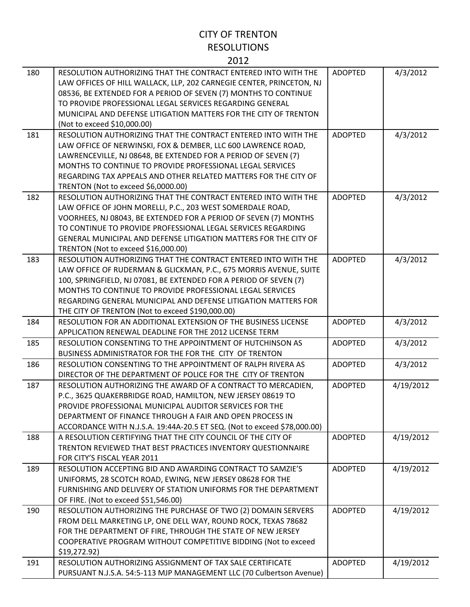| ۰.<br>× |
|---------|
|---------|

| 180 | RESOLUTION AUTHORIZING THAT THE CONTRACT ENTERED INTO WITH THE<br>LAW OFFICES OF HILL WALLACK, LLP, 202 CARNEGIE CENTER, PRINCETON, NJ<br>08536, BE EXTENDED FOR A PERIOD OF SEVEN (7) MONTHS TO CONTINUE<br>TO PROVIDE PROFESSIONAL LEGAL SERVICES REGARDING GENERAL<br>MUNICIPAL AND DEFENSE LITIGATION MATTERS FOR THE CITY OF TRENTON<br>(Not to exceed \$10,000.00)                    | <b>ADOPTED</b> | 4/3/2012  |
|-----|---------------------------------------------------------------------------------------------------------------------------------------------------------------------------------------------------------------------------------------------------------------------------------------------------------------------------------------------------------------------------------------------|----------------|-----------|
| 181 | RESOLUTION AUTHORIZING THAT THE CONTRACT ENTERED INTO WITH THE<br>LAW OFFICE OF NERWINSKI, FOX & DEMBER, LLC 600 LAWRENCE ROAD,<br>LAWRENCEVILLE, NJ 08648, BE EXTENDED FOR A PERIOD OF SEVEN (7)<br>MONTHS TO CONTINUE TO PROVIDE PROFESSIONAL LEGAL SERVICES<br>REGARDING TAX APPEALS AND OTHER RELATED MATTERS FOR THE CITY OF<br>TRENTON (Not to exceed \$6,0000.00)                    | <b>ADOPTED</b> | 4/3/2012  |
| 182 | RESOLUTION AUTHORIZING THAT THE CONTRACT ENTERED INTO WITH THE<br>LAW OFFICE OF JOHN MORELLI, P.C., 203 WEST SOMERDALE ROAD,<br>VOORHEES, NJ 08043, BE EXTENDED FOR A PERIOD OF SEVEN (7) MONTHS<br>TO CONTINUE TO PROVIDE PROFESSIONAL LEGAL SERVICES REGARDING<br>GENERAL MUNICIPAL AND DEFENSE LITIGATION MATTERS FOR THE CITY OF<br>TRENTON (Not to exceed \$16,000.00)                 | <b>ADOPTED</b> | 4/3/2012  |
| 183 | RESOLUTION AUTHORIZING THAT THE CONTRACT ENTERED INTO WITH THE<br>LAW OFFICE OF RUDERMAN & GLICKMAN, P.C., 675 MORRIS AVENUE, SUITE<br>100, SPRINGFIELD, NJ 07081, BE EXTENDED FOR A PERIOD OF SEVEN (7)<br>MONTHS TO CONTINUE TO PROVIDE PROFESSIONAL LEGAL SERVICES<br>REGARDING GENERAL MUNICIPAL AND DEFENSE LITIGATION MATTERS FOR<br>THE CITY OF TRENTON (Not to exceed \$190,000.00) | <b>ADOPTED</b> | 4/3/2012  |
| 184 | RESOLUTION FOR AN ADDITIONAL EXTENSION OF THE BUSINESS LICENSE<br>APPLICATION RENEWAL DEADLINE FOR THE 2012 LICENSE TERM                                                                                                                                                                                                                                                                    | <b>ADOPTED</b> | 4/3/2012  |
| 185 | RESOLUTION CONSENTING TO THE APPOINTMENT OF HUTCHINSON AS<br>BUSINESS ADMINISTRATOR FOR THE FOR THE CITY OF TRENTON                                                                                                                                                                                                                                                                         | <b>ADOPTED</b> | 4/3/2012  |
| 186 | RESOLUTION CONSENTING TO THE APPOINTMENT OF RALPH RIVERA AS<br>DIRECTOR OF THE DEPARTMENT OF POLICE FOR THE CITY OF TRENTON                                                                                                                                                                                                                                                                 | <b>ADOPTED</b> | 4/3/2012  |
| 187 | RESOLUTION AUTHORIZING THE AWARD OF A CONTRACT TO MERCADIEN,<br>P.C., 3625 QUAKERBRIDGE ROAD, HAMILTON, NEW JERSEY 08619 TO<br>PROVIDE PROFESSIONAL MUNICIPAL AUDITOR SERVICES FOR THE<br>DEPARTMENT OF FINANCE THROUGH A FAIR AND OPEN PROCESS IN<br>ACCORDANCE WITH N.J.S.A. 19:44A-20.5 ET SEQ. (Not to exceed \$78,000.00)                                                              | <b>ADOPTED</b> | 4/19/2012 |
| 188 | A RESOLUTION CERTIFYING THAT THE CITY COUNCIL OF THE CITY OF<br>TRENTON REVIEWED THAT BEST PRACTICES INVENTORY QUESTIONNAIRE<br>FOR CITY'S FISCAL YEAR 2011                                                                                                                                                                                                                                 | <b>ADOPTED</b> | 4/19/2012 |
| 189 | RESOLUTION ACCEPTING BID AND AWARDING CONTRACT TO SAMZIE'S<br>UNIFORMS, 28 SCOTCH ROAD, EWING, NEW JERSEY 08628 FOR THE<br>FURNISHING AND DELIVERY OF STATION UNIFORMS FOR THE DEPARTMENT<br>OF FIRE. (Not to exceed \$51,546.00)                                                                                                                                                           | <b>ADOPTED</b> | 4/19/2012 |
| 190 | RESOLUTION AUTHORIZING THE PURCHASE OF TWO (2) DOMAIN SERVERS<br>FROM DELL MARKETING LP, ONE DELL WAY, ROUND ROCK, TEXAS 78682<br>FOR THE DEPARTMENT OF FIRE, THROUGH THE STATE OF NEW JERSEY<br>COOPERATIVE PROGRAM WITHOUT COMPETITIVE BIDDING (Not to exceed<br>\$19,272.92)                                                                                                             | <b>ADOPTED</b> | 4/19/2012 |
| 191 | RESOLUTION AUTHORIZING ASSIGNMENT OF TAX SALE CERTIFICATE<br>PURSUANT N.J.S.A. 54:5-113 MJP MANAGEMENT LLC (70 Culbertson Avenue)                                                                                                                                                                                                                                                           | <b>ADOPTED</b> | 4/19/2012 |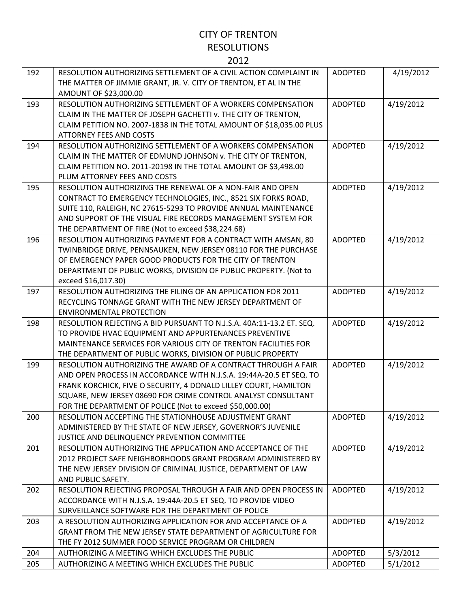| 192 | RESOLUTION AUTHORIZING SETTLEMENT OF A CIVIL ACTION COMPLAINT IN<br>THE MATTER OF JIMMIE GRANT, JR. V. CITY OF TRENTON, ET AL IN THE<br>AMOUNT OF \$23,000.00                                                                                                                                                                         | <b>ADOPTED</b> | 4/19/2012 |
|-----|---------------------------------------------------------------------------------------------------------------------------------------------------------------------------------------------------------------------------------------------------------------------------------------------------------------------------------------|----------------|-----------|
| 193 | RESOLUTION AUTHORIZING SETTLEMENT OF A WORKERS COMPENSATION<br>CLAIM IN THE MATTER OF JOSEPH GACHETTI v. THE CITY OF TRENTON,<br>CLAIM PETITION NO. 2007-1838 IN THE TOTAL AMOUNT OF \$18,035.00 PLUS                                                                                                                                 | <b>ADOPTED</b> | 4/19/2012 |
| 194 | <b>ATTORNEY FEES AND COSTS</b><br>RESOLUTION AUTHORIZING SETTLEMENT OF A WORKERS COMPENSATION<br>CLAIM IN THE MATTER OF EDMUND JOHNSON v. THE CITY OF TRENTON,<br>CLAIM PETITION NO. 2011-20198 IN THE TOTAL AMOUNT OF \$3,498.00<br>PLUM ATTORNEY FEES AND COSTS                                                                     | <b>ADOPTED</b> | 4/19/2012 |
| 195 | RESOLUTION AUTHORIZING THE RENEWAL OF A NON-FAIR AND OPEN<br>CONTRACT TO EMERGENCY TECHNOLOGIES, INC., 8521 SIX FORKS ROAD,<br>SUITE 110, RALEIGH, NC 27615-5293 TO PROVIDE ANNUAL MAINTENANCE<br>AND SUPPORT OF THE VISUAL FIRE RECORDS MANAGEMENT SYSTEM FOR<br>THE DEPARTMENT OF FIRE (Not to exceed \$38,224.68)                  | <b>ADOPTED</b> | 4/19/2012 |
| 196 | RESOLUTION AUTHORIZING PAYMENT FOR A CONTRACT WITH AMSAN, 80<br>TWINBRIDGE DRIVE, PENNSAUKEN, NEW JERSEY 08110 FOR THE PURCHASE<br>OF EMERGENCY PAPER GOOD PRODUCTS FOR THE CITY OF TRENTON<br>DEPARTMENT OF PUBLIC WORKS, DIVISION OF PUBLIC PROPERTY. (Not to<br>exceed \$16,017.30)                                                | <b>ADOPTED</b> | 4/19/2012 |
| 197 | RESOLUTION AUTHORIZING THE FILING OF AN APPLICATION FOR 2011<br>RECYCLING TONNAGE GRANT WITH THE NEW JERSEY DEPARTMENT OF<br><b>ENVIRONMENTAL PROTECTION</b>                                                                                                                                                                          | <b>ADOPTED</b> | 4/19/2012 |
| 198 | RESOLUTION REJECTING A BID PURSUANT TO N.J.S.A. 40A:11-13.2 ET. SEQ.<br>TO PROVIDE HVAC EQUIPMENT AND APPURTENANCES PREVENTIVE<br>MAINTENANCE SERVICES FOR VARIOUS CITY OF TRENTON FACILITIES FOR<br>THE DEPARTMENT OF PUBLIC WORKS, DIVISION OF PUBLIC PROPERTY                                                                      | <b>ADOPTED</b> | 4/19/2012 |
| 199 | RESOLUTION AUTHORIZING THE AWARD OF A CONTRACT THROUGH A FAIR<br>AND OPEN PROCESS IN ACCORDANCE WITH N.J.S.A. 19:44A-20.5 ET SEQ. TO<br>FRANK KORCHICK, FIVE O SECURITY, 4 DONALD LILLEY COURT, HAMILTON<br>SQUARE, NEW JERSEY 08690 FOR CRIME CONTROL ANALYST CONSULTANT<br>FOR THE DEPARTMENT OF POLICE (Not to exceed \$50,000.00) | <b>ADOPTED</b> | 4/19/2012 |
| 200 | RESOLUTION ACCEPTING THE STATIONHOUSE ADJUSTMENT GRANT<br>ADMINISTERED BY THE STATE OF NEW JERSEY, GOVERNOR'S JUVENILE<br>JUSTICE AND DELINQUENCY PREVENTION COMMITTEE                                                                                                                                                                | <b>ADOPTED</b> | 4/19/2012 |
| 201 | RESOLUTION AUTHORIZING THE APPLICATION AND ACCEPTANCE OF THE<br>2012 PROJECT SAFE NEIGHBORHOODS GRANT PROGRAM ADMINISTERED BY<br>THE NEW JERSEY DIVISION OF CRIMINAL JUSTICE, DEPARTMENT OF LAW<br>AND PUBLIC SAFETY.                                                                                                                 | <b>ADOPTED</b> | 4/19/2012 |
| 202 | RESOLUTION REJECTING PROPOSAL THROUGH A FAIR AND OPEN PROCESS IN<br>ACCORDANCE WITH N.J.S.A. 19:44A-20.5 ET SEQ. TO PROVIDE VIDEO<br>SURVEILLANCE SOFTWARE FOR THE DEPARTMENT OF POLICE                                                                                                                                               | <b>ADOPTED</b> | 4/19/2012 |
| 203 | A RESOLUTION AUTHORIZING APPLICATION FOR AND ACCEPTANCE OF A<br>GRANT FROM THE NEW JERSEY STATE DEPARTMENT OF AGRICULTURE FOR<br>THE FY 2012 SUMMER FOOD SERVICE PROGRAM OR CHILDREN                                                                                                                                                  | <b>ADOPTED</b> | 4/19/2012 |
| 204 | AUTHORIZING A MEETING WHICH EXCLUDES THE PUBLIC                                                                                                                                                                                                                                                                                       | <b>ADOPTED</b> | 5/3/2012  |
| 205 | AUTHORIZING A MEETING WHICH EXCLUDES THE PUBLIC                                                                                                                                                                                                                                                                                       | <b>ADOPTED</b> | 5/1/2012  |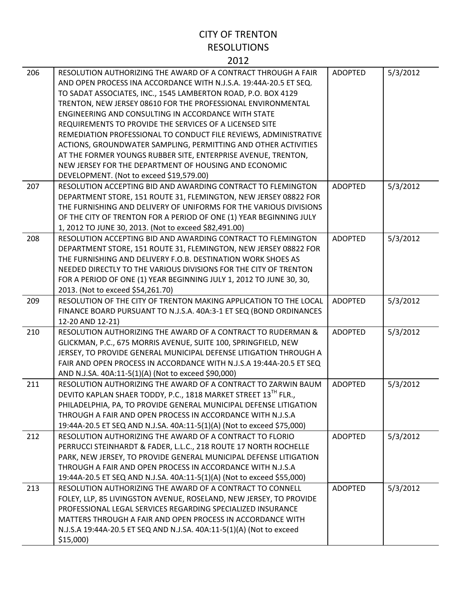| 206 | RESOLUTION AUTHORIZING THE AWARD OF A CONTRACT THROUGH A FAIR<br>AND OPEN PROCESS INA ACCORDANCE WITH N.J.S.A. 19:44A-20.5 ET SEQ.<br>TO SADAT ASSOCIATES, INC., 1545 LAMBERTON ROAD, P.O. BOX 4129<br>TRENTON, NEW JERSEY 08610 FOR THE PROFESSIONAL ENVIRONMENTAL<br>ENGINEERING AND CONSULTING IN ACCORDANCE WITH STATE<br>REQUIREMENTS TO PROVIDE THE SERVICES OF A LICENSED SITE<br>REMEDIATION PROFESSIONAL TO CONDUCT FILE REVIEWS, ADMINISTRATIVE<br>ACTIONS, GROUNDWATER SAMPLING, PERMITTING AND OTHER ACTIVITIES<br>AT THE FORMER YOUNGS RUBBER SITE, ENTERPRISE AVENUE, TRENTON,<br>NEW JERSEY FOR THE DEPARTMENT OF HOUSING AND ECONOMIC<br>DEVELOPMENT. (Not to exceed \$19,579.00) | <b>ADOPTED</b> | 5/3/2012 |
|-----|---------------------------------------------------------------------------------------------------------------------------------------------------------------------------------------------------------------------------------------------------------------------------------------------------------------------------------------------------------------------------------------------------------------------------------------------------------------------------------------------------------------------------------------------------------------------------------------------------------------------------------------------------------------------------------------------------|----------------|----------|
| 207 | RESOLUTION ACCEPTING BID AND AWARDING CONTRACT TO FLEMINGTON<br>DEPARTMENT STORE, 151 ROUTE 31, FLEMINGTON, NEW JERSEY 08822 FOR<br>THE FURNISHING AND DELIVERY OF UNIFORMS FOR THE VARIOUS DIVISIONS<br>OF THE CITY OF TRENTON FOR A PERIOD OF ONE (1) YEAR BEGINNING JULY<br>1, 2012 TO JUNE 30, 2013. (Not to exceed \$82,491.00)                                                                                                                                                                                                                                                                                                                                                              | <b>ADOPTED</b> | 5/3/2012 |
| 208 | RESOLUTION ACCEPTING BID AND AWARDING CONTRACT TO FLEMINGTON<br>DEPARTMENT STORE, 151 ROUTE 31, FLEMINGTON, NEW JERSEY 08822 FOR<br>THE FURNISHING AND DELIVERY F.O.B. DESTINATION WORK SHOES AS<br>NEEDED DIRECTLY TO THE VARIOUS DIVISIONS FOR THE CITY OF TRENTON<br>FOR A PERIOD OF ONE (1) YEAR BEGINNING JULY 1, 2012 TO JUNE 30, 30,<br>2013. (Not to exceed \$54,261.70)                                                                                                                                                                                                                                                                                                                  | <b>ADOPTED</b> | 5/3/2012 |
| 209 | RESOLUTION OF THE CITY OF TRENTON MAKING APPLICATION TO THE LOCAL<br>FINANCE BOARD PURSUANT TO N.J.S.A. 40A:3-1 ET SEQ (BOND ORDINANCES<br>12-20 AND 12-21)                                                                                                                                                                                                                                                                                                                                                                                                                                                                                                                                       | <b>ADOPTED</b> | 5/3/2012 |
| 210 | RESOLUTION AUTHORIZING THE AWARD OF A CONTRACT TO RUDERMAN &<br>GLICKMAN, P.C., 675 MORRIS AVENUE, SUITE 100, SPRINGFIELD, NEW<br>JERSEY, TO PROVIDE GENERAL MUNICIPAL DEFENSE LITIGATION THROUGH A<br>FAIR AND OPEN PROCESS IN ACCORDANCE WITH N.J.S.A 19:44A-20.5 ET SEQ<br>AND N.J.SA. 40A:11-5(1)(A) (Not to exceed \$90,000)                                                                                                                                                                                                                                                                                                                                                                 | <b>ADOPTED</b> | 5/3/2012 |
| 211 | RESOLUTION AUTHORIZING THE AWARD OF A CONTRACT TO ZARWIN BAUM<br>DEVITO KAPLAN SHAER TODDY, P.C., 1818 MARKET STREET 13 <sup>TH</sup> FLR.,<br>PHILADELPHIA, PA, TO PROVIDE GENERAL MUNICIPAL DEFENSE LITIGATION<br>THROUGH A FAIR AND OPEN PROCESS IN ACCORDANCE WITH N.J.S.A<br>19:44A-20.5 ET SEQ AND N.J.SA. 40A:11-5(1)(A) (Not to exceed \$75,000)                                                                                                                                                                                                                                                                                                                                          | <b>ADOPTED</b> | 5/3/2012 |
| 212 | RESOLUTION AUTHORIZING THE AWARD OF A CONTRACT TO FLORIO<br>PERRUCCI STEINHARDT & FADER, L.L.C., 218 ROUTE 17 NORTH ROCHELLE<br>PARK, NEW JERSEY, TO PROVIDE GENERAL MUNICIPAL DEFENSE LITIGATION<br>THROUGH A FAIR AND OPEN PROCESS IN ACCORDANCE WITH N.J.S.A<br>19:44A-20.5 ET SEQ AND N.J.SA. 40A:11-5(1)(A) (Not to exceed \$55,000)                                                                                                                                                                                                                                                                                                                                                         | <b>ADOPTED</b> | 5/3/2012 |
| 213 | RESOLUTION AUTHORIZING THE AWARD OF A CONTRACT TO CONNELL<br>FOLEY, LLP, 85 LIVINGSTON AVENUE, ROSELAND, NEW JERSEY, TO PROVIDE<br>PROFESSIONAL LEGAL SERVICES REGARDING SPECIALIZED INSURANCE<br>MATTERS THROUGH A FAIR AND OPEN PROCESS IN ACCORDANCE WITH<br>N.J.S.A 19:44A-20.5 ET SEQ AND N.J.SA. 40A:11-5(1)(A) (Not to exceed<br>$$15,000$ )                                                                                                                                                                                                                                                                                                                                               | <b>ADOPTED</b> | 5/3/2012 |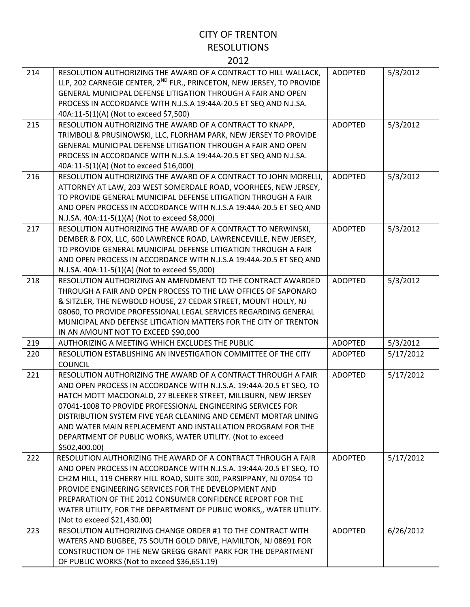| 214 | RESOLUTION AUTHORIZING THE AWARD OF A CONTRACT TO HILL WALLACK,<br>LLP, 202 CARNEGIE CENTER, 2 <sup>ND</sup> FLR., PRINCETON, NEW JERSEY, TO PROVIDE<br>GENERAL MUNICIPAL DEFENSE LITIGATION THROUGH A FAIR AND OPEN<br>PROCESS IN ACCORDANCE WITH N.J.S.A 19:44A-20.5 ET SEQ AND N.J.SA.<br>40A:11-5(1)(A) (Not to exceed \$7,500)                                                                                                                                                  | <b>ADOPTED</b> | 5/3/2012  |
|-----|--------------------------------------------------------------------------------------------------------------------------------------------------------------------------------------------------------------------------------------------------------------------------------------------------------------------------------------------------------------------------------------------------------------------------------------------------------------------------------------|----------------|-----------|
| 215 | RESOLUTION AUTHORIZING THE AWARD OF A CONTRACT TO KNAPP,<br>TRIMBOLI & PRUSINOWSKI, LLC, FLORHAM PARK, NEW JERSEY TO PROVIDE<br><b>GENERAL MUNICIPAL DEFENSE LITIGATION THROUGH A FAIR AND OPEN</b><br>PROCESS IN ACCORDANCE WITH N.J.S.A 19:44A-20.5 ET SEQ AND N.J.SA.<br>40A:11-5(1)(A) (Not to exceed \$16,000)                                                                                                                                                                  | <b>ADOPTED</b> | 5/3/2012  |
| 216 | RESOLUTION AUTHORIZING THE AWARD OF A CONTRACT TO JOHN MORELLI,<br>ATTORNEY AT LAW, 203 WEST SOMERDALE ROAD, VOORHEES, NEW JERSEY,<br>TO PROVIDE GENERAL MUNICIPAL DEFENSE LITIGATION THROUGH A FAIR<br>AND OPEN PROCESS IN ACCORDANCE WITH N.J.S.A 19:44A-20.5 ET SEQ AND<br>N.J.SA. 40A:11-5(1)(A) (Not to exceed \$8,000)                                                                                                                                                         | <b>ADOPTED</b> | 5/3/2012  |
| 217 | RESOLUTION AUTHORIZING THE AWARD OF A CONTRACT TO NERWINSKI,<br>DEMBER & FOX, LLC, 600 LAWRENCE ROAD, LAWRENCEVILLE, NEW JERSEY,<br>TO PROVIDE GENERAL MUNICIPAL DEFENSE LITIGATION THROUGH A FAIR<br>AND OPEN PROCESS IN ACCORDANCE WITH N.J.S.A 19:44A-20.5 ET SEQ AND<br>N.J.SA. 40A:11-5(1)(A) (Not to exceed \$5,000)                                                                                                                                                           | <b>ADOPTED</b> | 5/3/2012  |
| 218 | RESOLUTION AUTHORIZING AN AMENDMENT TO THE CONTRACT AWARDED<br>THROUGH A FAIR AND OPEN PROCESS TO THE LAW OFFICES OF SAPONARO<br>& SITZLER, THE NEWBOLD HOUSE, 27 CEDAR STREET, MOUNT HOLLY, NJ<br>08060, TO PROVIDE PROFESSIONAL LEGAL SERVICES REGARDING GENERAL<br>MUNICIPAL AND DEFENSE LITIGATION MATTERS FOR THE CITY OF TRENTON<br>IN AN AMOUNT NOT TO EXCEED \$90,000                                                                                                        | <b>ADOPTED</b> | 5/3/2012  |
| 219 | AUTHORIZING A MEETING WHICH EXCLUDES THE PUBLIC                                                                                                                                                                                                                                                                                                                                                                                                                                      | <b>ADOPTED</b> | 5/3/2012  |
| 220 | RESOLUTION ESTABLISHING AN INVESTIGATION COMMITTEE OF THE CITY<br><b>COUNCIL</b>                                                                                                                                                                                                                                                                                                                                                                                                     | <b>ADOPTED</b> | 5/17/2012 |
| 221 | RESOLUTION AUTHORIZING THE AWARD OF A CONTRACT THROUGH A FAIR<br>AND OPEN PROCESS IN ACCORDANCE WITH N.J.S.A. 19:44A-20.5 ET SEQ. TO<br>HATCH MOTT MACDONALD, 27 BLEEKER STREET, MILLBURN, NEW JERSEY<br>07041-1008 TO PROVIDE PROFESSIONAL ENGINEERING SERVICES FOR<br>DISTRIBUTION SYSTEM FIVE YEAR CLEANING AND CEMENT MORTAR LINING<br>AND WATER MAIN REPLACEMENT AND INSTALLATION PROGRAM FOR THE<br>DEPARTMENT OF PUBLIC WORKS, WATER UTILITY. (Not to exceed<br>\$502,400.00) | <b>ADOPTED</b> | 5/17/2012 |
| 222 | RESOLUTION AUTHORIZING THE AWARD OF A CONTRACT THROUGH A FAIR<br>AND OPEN PROCESS IN ACCORDANCE WITH N.J.S.A. 19:44A-20.5 ET SEQ. TO<br>CH2M HILL, 119 CHERRY HILL ROAD, SUITE 300, PARSIPPANY, NJ 07054 TO<br>PROVIDE ENGINEERING SERVICES FOR THE DEVELOPMENT AND<br>PREPARATION OF THE 2012 CONSUMER CONFIDENCE REPORT FOR THE<br>WATER UTILITY, FOR THE DEPARTMENT OF PUBLIC WORKS,, WATER UTILITY.<br>(Not to exceed \$21,430.00)                                               | <b>ADOPTED</b> | 5/17/2012 |
| 223 | RESOLUTION AUTHORIZING CHANGE ORDER #1 TO THE CONTRACT WITH<br>WATERS AND BUGBEE, 75 SOUTH GOLD DRIVE, HAMILTON, NJ 08691 FOR<br>CONSTRUCTION OF THE NEW GREGG GRANT PARK FOR THE DEPARTMENT<br>OF PUBLIC WORKS (Not to exceed \$36,651.19)                                                                                                                                                                                                                                          | <b>ADOPTED</b> | 6/26/2012 |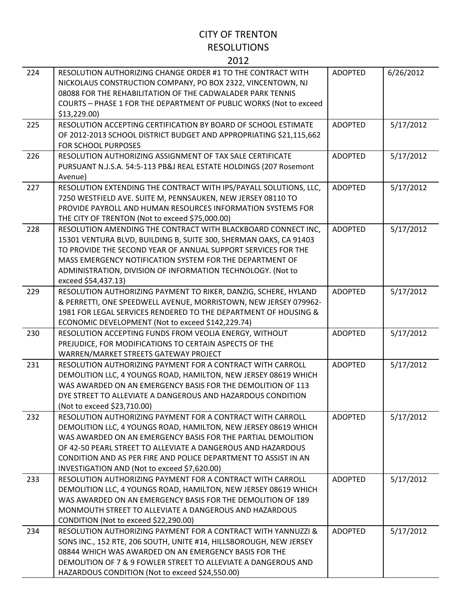| 224 | RESOLUTION AUTHORIZING CHANGE ORDER #1 TO THE CONTRACT WITH<br>NICKOLAUS CONSTRUCTION COMPANY, PO BOX 2322, VINCENTOWN, NJ<br>08088 FOR THE REHABILITATION OF THE CADWALADER PARK TENNIS<br>COURTS - PHASE 1 FOR THE DEPARTMENT OF PUBLIC WORKS (Not to exceed<br>\$13,229.00                                                                                                    | <b>ADOPTED</b> | 6/26/2012 |
|-----|----------------------------------------------------------------------------------------------------------------------------------------------------------------------------------------------------------------------------------------------------------------------------------------------------------------------------------------------------------------------------------|----------------|-----------|
| 225 | RESOLUTION ACCEPTING CERTIFICATION BY BOARD OF SCHOOL ESTIMATE<br>OF 2012-2013 SCHOOL DISTRICT BUDGET AND APPROPRIATING \$21,115,662<br>FOR SCHOOL PURPOSES                                                                                                                                                                                                                      | <b>ADOPTED</b> | 5/17/2012 |
| 226 | RESOLUTION AUTHORIZING ASSIGNMENT OF TAX SALE CERTIFICATE<br>PURSUANT N.J.S.A. 54:5-113 PB&J REAL ESTATE HOLDINGS (207 Rosemont<br>Avenue)                                                                                                                                                                                                                                       | <b>ADOPTED</b> | 5/17/2012 |
| 227 | RESOLUTION EXTENDING THE CONTRACT WITH IPS/PAYALL SOLUTIONS, LLC,<br>7250 WESTFIELD AVE. SUITE M, PENNSAUKEN, NEW JERSEY 08110 TO<br>PROVIDE PAYROLL AND HUMAN RESOURCES INFORMATION SYSTEMS FOR<br>THE CITY OF TRENTON (Not to exceed \$75,000.00)                                                                                                                              | <b>ADOPTED</b> | 5/17/2012 |
| 228 | RESOLUTION AMENDING THE CONTRACT WITH BLACKBOARD CONNECT INC,<br>15301 VENTURA BLVD, BUILDING B, SUITE 300, SHERMAN OAKS, CA 91403<br>TO PROVIDE THE SECOND YEAR OF ANNUAL SUPPORT SERVICES FOR THE<br>MASS EMERGENCY NOTIFICATION SYSTEM FOR THE DEPARTMENT OF<br>ADMINISTRATION, DIVISION OF INFORMATION TECHNOLOGY. (Not to<br>exceed \$54,437.13)                            | <b>ADOPTED</b> | 5/17/2012 |
| 229 | RESOLUTION AUTHORIZING PAYMENT TO RIKER, DANZIG, SCHERE, HYLAND<br>& PERRETTI, ONE SPEEDWELL AVENUE, MORRISTOWN, NEW JERSEY 079962-<br>1981 FOR LEGAL SERVICES RENDERED TO THE DEPARTMENT OF HOUSING &<br>ECONOMIC DEVELOPMENT (Not to exceed \$142,229.74)                                                                                                                      | <b>ADOPTED</b> | 5/17/2012 |
| 230 | RESOLUTION ACCEPTING FUNDS FROM VEOLIA ENERGY, WITHOUT<br>PREJUDICE, FOR MODIFICATIONS TO CERTAIN ASPECTS OF THE<br>WARREN/MARKET STREETS GATEWAY PROJECT                                                                                                                                                                                                                        | <b>ADOPTED</b> | 5/17/2012 |
| 231 | RESOLUTION AUTHORIZING PAYMENT FOR A CONTRACT WITH CARROLL<br>DEMOLITION LLC, 4 YOUNGS ROAD, HAMILTON, NEW JERSEY 08619 WHICH<br>WAS AWARDED ON AN EMERGENCY BASIS FOR THE DEMOLITION OF 113<br>DYE STREET TO ALLEVIATE A DANGEROUS AND HAZARDOUS CONDITION<br>(Not to exceed \$23,710.00)                                                                                       | <b>ADOPTED</b> | 5/17/2012 |
| 232 | RESOLUTION AUTHORIZING PAYMENT FOR A CONTRACT WITH CARROLL<br>DEMOLITION LLC, 4 YOUNGS ROAD, HAMILTON, NEW JERSEY 08619 WHICH<br>WAS AWARDED ON AN EMERGENCY BASIS FOR THE PARTIAL DEMOLITION<br>OF 42-50 PEARL STREET TO ALLEVIATE A DANGEROUS AND HAZARDOUS<br>CONDITION AND AS PER FIRE AND POLICE DEPARTMENT TO ASSIST IN AN<br>INVESTIGATION AND (Not to exceed \$7,620.00) | <b>ADOPTED</b> | 5/17/2012 |
| 233 | RESOLUTION AUTHORIZING PAYMENT FOR A CONTRACT WITH CARROLL<br>DEMOLITION LLC, 4 YOUNGS ROAD, HAMILTON, NEW JERSEY 08619 WHICH<br>WAS AWARDED ON AN EMERGENCY BASIS FOR THE DEMOLITION OF 189<br>MONMOUTH STREET TO ALLEVIATE A DANGEROUS AND HAZARDOUS<br>CONDITION (Not to exceed \$22,290.00)                                                                                  | <b>ADOPTED</b> | 5/17/2012 |
| 234 | RESOLUTION AUTHORIZING PAYMENT FOR A CONTRACT WITH YANNUZZI &<br>SONS INC., 152 RTE, 206 SOUTH, UNITE #14, HILLSBOROUGH, NEW JERSEY<br>08844 WHICH WAS AWARDED ON AN EMERGENCY BASIS FOR THE<br>DEMOLITION OF 7 & 9 FOWLER STREET TO ALLEVIATE A DANGEROUS AND<br>HAZARDOUS CONDITION (Not to exceed \$24,550.00)                                                                | <b>ADOPTED</b> | 5/17/2012 |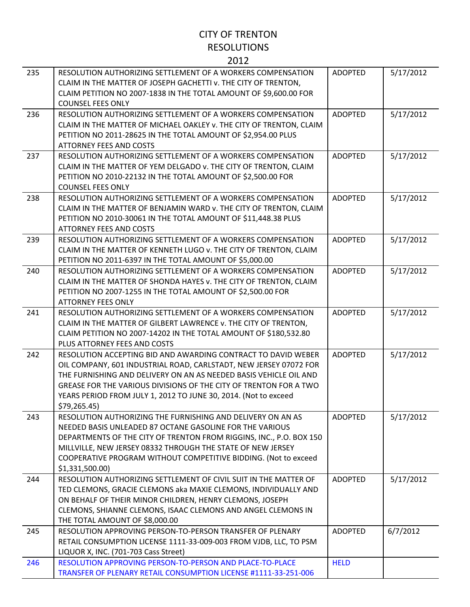| 235 | RESOLUTION AUTHORIZING SETTLEMENT OF A WORKERS COMPENSATION<br>CLAIM IN THE MATTER OF JOSEPH GACHETTI v. THE CITY OF TRENTON,<br>CLAIM PETITION NO 2007-1838 IN THE TOTAL AMOUNT OF \$9,600.00 FOR<br><b>COUNSEL FEES ONLY</b>                                                                                                                                 | <b>ADOPTED</b> | 5/17/2012 |
|-----|----------------------------------------------------------------------------------------------------------------------------------------------------------------------------------------------------------------------------------------------------------------------------------------------------------------------------------------------------------------|----------------|-----------|
| 236 | RESOLUTION AUTHORIZING SETTLEMENT OF A WORKERS COMPENSATION<br>CLAIM IN THE MATTER OF MICHAEL OAKLEY v. THE CITY OF TRENTON, CLAIM<br>PETITION NO 2011-28625 IN THE TOTAL AMOUNT OF \$2,954.00 PLUS<br><b>ATTORNEY FEES AND COSTS</b>                                                                                                                          | <b>ADOPTED</b> | 5/17/2012 |
| 237 | RESOLUTION AUTHORIZING SETTLEMENT OF A WORKERS COMPENSATION<br>CLAIM IN THE MATTER OF YEM DELGADO v. THE CITY OF TRENTON, CLAIM<br>PETITION NO 2010-22132 IN THE TOTAL AMOUNT OF \$2,500.00 FOR<br><b>COUNSEL FEES ONLY</b>                                                                                                                                    | <b>ADOPTED</b> | 5/17/2012 |
| 238 | RESOLUTION AUTHORIZING SETTLEMENT OF A WORKERS COMPENSATION<br>CLAIM IN THE MATTER OF BENJAMIN WARD v. THE CITY OF TRENTON, CLAIM<br>PETITION NO 2010-30061 IN THE TOTAL AMOUNT OF \$11,448.38 PLUS<br><b>ATTORNEY FEES AND COSTS</b>                                                                                                                          | <b>ADOPTED</b> | 5/17/2012 |
| 239 | RESOLUTION AUTHORIZING SETTLEMENT OF A WORKERS COMPENSATION<br>CLAIM IN THE MATTER OF KENNETH LUGO v. THE CITY OF TRENTON, CLAIM<br>PETITION NO 2011-6397 IN THE TOTAL AMOUNT OF \$5,000.00                                                                                                                                                                    | <b>ADOPTED</b> | 5/17/2012 |
| 240 | RESOLUTION AUTHORIZING SETTLEMENT OF A WORKERS COMPENSATION<br>CLAIM IN THE MATTER OF SHONDA HAYES v. THE CITY OF TRENTON, CLAIM<br>PETITION NO 2007-1255 IN THE TOTAL AMOUNT OF \$2,500.00 FOR<br><b>ATTORNEY FEES ONLY</b>                                                                                                                                   | <b>ADOPTED</b> | 5/17/2012 |
| 241 | RESOLUTION AUTHORIZING SETTLEMENT OF A WORKERS COMPENSATION<br>CLAIM IN THE MATTER OF GILBERT LAWRENCE v. THE CITY OF TRENTON,<br>CLAIM PETITION NO 2007-14202 IN THE TOTAL AMOUNT OF \$180,532.80<br>PLUS ATTORNEY FEES AND COSTS                                                                                                                             | <b>ADOPTED</b> | 5/17/2012 |
| 242 | RESOLUTION ACCEPTING BID AND AWARDING CONTRACT TO DAVID WEBER<br>OIL COMPANY, 601 INDUSTRIAL ROAD, CARLSTADT, NEW JERSEY 07072 FOR<br>THE FURNISHING AND DELIVERY ON AN AS NEEDED BASIS VEHICLE OIL AND<br>GREASE FOR THE VARIOUS DIVISIONS OF THE CITY OF TRENTON FOR A TWO<br>YEARS PERIOD FROM JULY 1, 2012 TO JUNE 30, 2014. (Not to exceed<br>\$79,265.45 | <b>ADOPTED</b> | 5/17/2012 |
| 243 | RESOLUTION AUTHORIZING THE FURNISHING AND DELIVERY ON AN AS<br>NEEDED BASIS UNLEADED 87 OCTANE GASOLINE FOR THE VARIOUS<br>DEPARTMENTS OF THE CITY OF TRENTON FROM RIGGINS, INC., P.O. BOX 150<br>MILLVILLE, NEW JERSEY 08332 THROUGH THE STATE OF NEW JERSEY<br>COOPERATIVE PROGRAM WITHOUT COMPETITIVE BIDDING. (Not to exceed<br>\$1,331,500.00             | <b>ADOPTED</b> | 5/17/2012 |
| 244 | RESOLUTION AUTHORIZING SETTLEMENT OF CIVIL SUIT IN THE MATTER OF<br>TED CLEMONS, GRACIE CLEMONS aka MAXIE CLEMONS, INDIVIDUALLY AND<br>ON BEHALF OF THEIR MINOR CHILDREN, HENRY CLEMONS, JOSEPH<br>CLEMONS, SHIANNE CLEMONS, ISAAC CLEMONS AND ANGEL CLEMONS IN<br>THE TOTAL AMOUNT OF \$8,000.00                                                              | <b>ADOPTED</b> | 5/17/2012 |
| 245 | RESOLUTION APPROVING PERSON-TO-PERSON TRANSFER OF PLENARY<br>RETAIL CONSUMPTION LICENSE 1111-33-009-003 FROM VJDB, LLC, TO PSM<br>LIQUOR X, INC. (701-703 Cass Street)                                                                                                                                                                                         | <b>ADOPTED</b> | 6/7/2012  |
| 246 | RESOLUTION APPROVING PERSON-TO-PERSON AND PLACE-TO-PLACE<br>TRANSFER OF PLENARY RETAIL CONSUMPTION LICENSE #1111-33-251-006                                                                                                                                                                                                                                    | <b>HELD</b>    |           |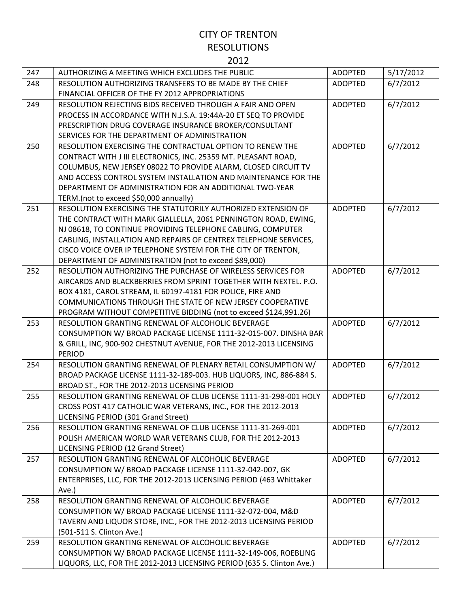| 247 | AUTHORIZING A MEETING WHICH EXCLUDES THE PUBLIC                                                                       | <b>ADOPTED</b> | 5/17/2012 |
|-----|-----------------------------------------------------------------------------------------------------------------------|----------------|-----------|
| 248 | RESOLUTION AUTHORIZING TRANSFERS TO BE MADE BY THE CHIEF                                                              | <b>ADOPTED</b> | 6/7/2012  |
|     | FINANCIAL OFFICER OF THE FY 2012 APPROPRIATIONS                                                                       |                |           |
| 249 | RESOLUTION REJECTING BIDS RECEIVED THROUGH A FAIR AND OPEN                                                            | <b>ADOPTED</b> | 6/7/2012  |
|     | PROCESS IN ACCORDANCE WITH N.J.S.A. 19:44A-20 ET SEQ TO PROVIDE                                                       |                |           |
|     | PRESCRIPTION DRUG COVERAGE INSURANCE BROKER/CONSULTANT                                                                |                |           |
|     | SERVICES FOR THE DEPARTMENT OF ADMINISTRATION                                                                         |                |           |
| 250 | RESOLUTION EXERCISING THE CONTRACTUAL OPTION TO RENEW THE                                                             | <b>ADOPTED</b> | 6/7/2012  |
|     | CONTRACT WITH J III ELECTRONICS, INC. 25359 MT. PLEASANT ROAD,                                                        |                |           |
|     | COLUMBUS, NEW JERSEY 08022 TO PROVIDE ALARM, CLOSED CIRCUIT TV                                                        |                |           |
|     | AND ACCESS CONTROL SYSTEM INSTALLATION AND MAINTENANCE FOR THE                                                        |                |           |
|     | DEPARTMENT OF ADMINISTRATION FOR AN ADDITIONAL TWO-YEAR                                                               |                |           |
|     | TERM.(not to exceed \$50,000 annually)                                                                                |                |           |
| 251 | RESOLUTION EXERCISING THE STATUTORILY AUTHORIZED EXTENSION OF                                                         | <b>ADOPTED</b> | 6/7/2012  |
|     | THE CONTRACT WITH MARK GIALLELLA, 2061 PENNINGTON ROAD, EWING,                                                        |                |           |
|     | NJ 08618, TO CONTINUE PROVIDING TELEPHONE CABLING, COMPUTER                                                           |                |           |
|     | CABLING, INSTALLATION AND REPAIRS OF CENTREX TELEPHONE SERVICES,                                                      |                |           |
|     | CISCO VOICE OVER IP TELEPHONE SYSTEM FOR THE CITY OF TRENTON,                                                         |                |           |
| 252 | DEPARTMENT OF ADMINISTRATION (not to exceed \$89,000)<br>RESOLUTION AUTHORIZING THE PURCHASE OF WIRELESS SERVICES FOR | <b>ADOPTED</b> |           |
|     | AIRCARDS AND BLACKBERRIES FROM SPRINT TOGETHER WITH NEXTEL. P.O.                                                      |                | 6/7/2012  |
|     | BOX 4181, CAROL STREAM, IL 60197-4181 FOR POLICE, FIRE AND                                                            |                |           |
|     | COMMUNICATIONS THROUGH THE STATE OF NEW JERSEY COOPERATIVE                                                            |                |           |
|     | PROGRAM WITHOUT COMPETITIVE BIDDING (not to exceed \$124,991.26)                                                      |                |           |
| 253 | RESOLUTION GRANTING RENEWAL OF ALCOHOLIC BEVERAGE                                                                     | <b>ADOPTED</b> | 6/7/2012  |
|     | CONSUMPTION W/ BROAD PACKAGE LICENSE 1111-32-015-007. DINSHA BAR                                                      |                |           |
|     | & GRILL, INC, 900-902 CHESTNUT AVENUE, FOR THE 2012-2013 LICENSING                                                    |                |           |
|     | <b>PERIOD</b>                                                                                                         |                |           |
| 254 | RESOLUTION GRANTING RENEWAL OF PLENARY RETAIL CONSUMPTION W/                                                          | <b>ADOPTED</b> | 6/7/2012  |
|     | BROAD PACKAGE LICENSE 1111-32-189-003. HUB LIQUORS, INC, 886-884 S.                                                   |                |           |
|     | BROAD ST., FOR THE 2012-2013 LICENSING PERIOD                                                                         |                |           |
| 255 | RESOLUTION GRANTING RENEWAL OF CLUB LICENSE 1111-31-298-001 HOLY                                                      | <b>ADOPTED</b> | 6/7/2012  |
|     | CROSS POST 417 CATHOLIC WAR VETERANS, INC., FOR THE 2012-2013                                                         |                |           |
|     | LICENSING PERIOD (301 Grand Street)                                                                                   |                |           |
| 256 | RESOLUTION GRANTING RENEWAL OF CLUB LICENSE 1111-31-269-001                                                           | <b>ADOPTED</b> | 6/7/2012  |
|     | POLISH AMERICAN WORLD WAR VETERANS CLUB, FOR THE 2012-2013                                                            |                |           |
|     | LICENSING PERIOD (12 Grand Street)                                                                                    |                |           |
| 257 | RESOLUTION GRANTING RENEWAL OF ALCOHOLIC BEVERAGE                                                                     | <b>ADOPTED</b> | 6/7/2012  |
|     | CONSUMPTION W/ BROAD PACKAGE LICENSE 1111-32-042-007, GK                                                              |                |           |
|     | ENTERPRISES, LLC, FOR THE 2012-2013 LICENSING PERIOD (463 Whittaker                                                   |                |           |
|     | Ave.)                                                                                                                 |                |           |
| 258 | RESOLUTION GRANTING RENEWAL OF ALCOHOLIC BEVERAGE                                                                     | <b>ADOPTED</b> | 6/7/2012  |
|     | CONSUMPTION W/ BROAD PACKAGE LICENSE 1111-32-072-004, M&D                                                             |                |           |
|     | TAVERN AND LIQUOR STORE, INC., FOR THE 2012-2013 LICENSING PERIOD                                                     |                |           |
|     | (501-511 S. Clinton Ave.)                                                                                             |                |           |
| 259 | RESOLUTION GRANTING RENEWAL OF ALCOHOLIC BEVERAGE                                                                     | <b>ADOPTED</b> | 6/7/2012  |
|     | CONSUMPTION W/ BROAD PACKAGE LICENSE 1111-32-149-006, ROEBLING                                                        |                |           |
|     | LIQUORS, LLC, FOR THE 2012-2013 LICENSING PERIOD (635 S. Clinton Ave.)                                                |                |           |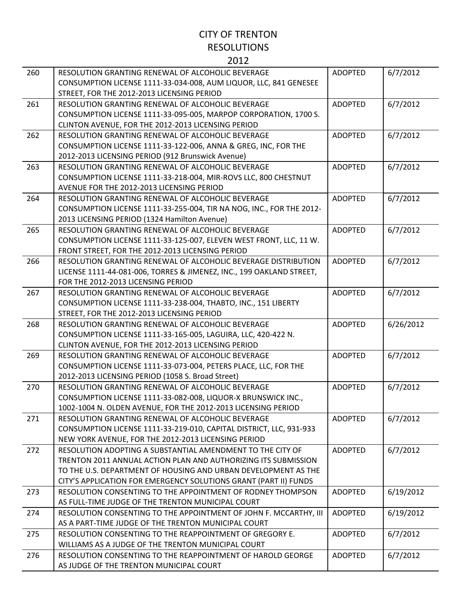| 260 | RESOLUTION GRANTING RENEWAL OF ALCOHOLIC BEVERAGE                    | <b>ADOPTED</b> | 6/7/2012  |
|-----|----------------------------------------------------------------------|----------------|-----------|
|     | CONSUMPTION LICENSE 1111-33-034-008, AUM LIQUOR, LLC, 841 GENESEE    |                |           |
|     | STREET, FOR THE 2012-2013 LICENSING PERIOD                           |                |           |
| 261 | RESOLUTION GRANTING RENEWAL OF ALCOHOLIC BEVERAGE                    | <b>ADOPTED</b> | 6/7/2012  |
|     | CONSUMPTION LICENSE 1111-33-095-005, MARPOP CORPORATION, 1700 S.     |                |           |
|     | CLINTON AVENUE, FOR THE 2012-2013 LICENSING PERIOD                   |                |           |
| 262 | RESOLUTION GRANTING RENEWAL OF ALCOHOLIC BEVERAGE                    | <b>ADOPTED</b> | 6/7/2012  |
|     | CONSUMPTION LICENSE 1111-33-122-006, ANNA & GREG, INC, FOR THE       |                |           |
|     | 2012-2013 LICENSING PERIOD (912 Brunswick Avenue)                    |                |           |
| 263 | RESOLUTION GRANTING RENEWAL OF ALCOHOLIC BEVERAGE                    | <b>ADOPTED</b> | 6/7/2012  |
|     | CONSUMPTION LICENSE 1111-33-218-004, MIR-ROVS LLC, 800 CHESTNUT      |                |           |
|     | AVENUE FOR THE 2012-2013 LICENSING PERIOD                            |                |           |
| 264 | RESOLUTION GRANTING RENEWAL OF ALCOHOLIC BEVERAGE                    | <b>ADOPTED</b> | 6/7/2012  |
|     | CONSUMPTION LICENSE 1111-33-255-004, TIR NA NOG, INC., FOR THE 2012- |                |           |
|     | 2013 LICENSING PERIOD (1324 Hamilton Avenue)                         |                |           |
| 265 | RESOLUTION GRANTING RENEWAL OF ALCOHOLIC BEVERAGE                    | <b>ADOPTED</b> | 6/7/2012  |
|     | CONSUMPTION LICENSE 1111-33-125-007, ELEVEN WEST FRONT, LLC, 11 W.   |                |           |
|     | FRONT STREET, FOR THE 2012-2013 LICENSING PERIOD                     |                |           |
| 266 | RESOLUTION GRANTING RENEWAL OF ALCOHOLIC BEVERAGE DISTRIBUTION       | <b>ADOPTED</b> | 6/7/2012  |
|     | LICENSE 1111-44-081-006, TORRES & JIMENEZ, INC., 199 OAKLAND STREET, |                |           |
|     | FOR THE 2012-2013 LICENSING PERIOD                                   |                |           |
| 267 | RESOLUTION GRANTING RENEWAL OF ALCOHOLIC BEVERAGE                    | <b>ADOPTED</b> | 6/7/2012  |
|     | CONSUMPTION LICENSE 1111-33-238-004, THABTO, INC., 151 LIBERTY       |                |           |
|     | STREET, FOR THE 2012-2013 LICENSING PERIOD                           |                |           |
| 268 | RESOLUTION GRANTING RENEWAL OF ALCOHOLIC BEVERAGE                    | <b>ADOPTED</b> | 6/26/2012 |
|     | CONSUMPTION LICENSE 1111-33-165-005, LAGUIRA, LLC, 420-422 N.        |                |           |
|     | CLINTON AVENUE, FOR THE 2012-2013 LICENSING PERIOD                   |                |           |
| 269 | RESOLUTION GRANTING RENEWAL OF ALCOHOLIC BEVERAGE                    | <b>ADOPTED</b> | 6/7/2012  |
|     | CONSUMPTION LICENSE 1111-33-073-004, PETERS PLACE, LLC, FOR THE      |                |           |
|     | 2012-2013 LICENSING PERIOD (1058 S. Broad Street)                    |                |           |
| 270 | RESOLUTION GRANTING RENEWAL OF ALCOHOLIC BEVERAGE                    | <b>ADOPTED</b> | 6/7/2012  |
|     | CONSUMPTION LICENSE 1111-33-082-008, LIQUOR-X BRUNSWICK INC.,        |                |           |
|     | 1002-1004 N. OLDEN AVENUE, FOR THE 2012-2013 LICENSING PERIOD        |                |           |
| 271 | RESOLUTION GRANTING RENEWAL OF ALCOHOLIC BEVERAGE                    | <b>ADOPTED</b> | 6/7/2012  |
|     | CONSUMPTION LICENSE 1111-33-219-010, CAPITAL DISTRICT, LLC, 931-933  |                |           |
|     | NEW YORK AVENUE, FOR THE 2012-2013 LICENSING PERIOD                  |                |           |
| 272 | RESOLUTION ADOPTING A SUBSTANTIAL AMENDMENT TO THE CITY OF           | <b>ADOPTED</b> | 6/7/2012  |
|     | TRENTON 2011 ANNUAL ACTION PLAN AND AUTHORIZING ITS SUBMISSION       |                |           |
|     | TO THE U.S. DEPARTMENT OF HOUSING AND URBAN DEVELOPMENT AS THE       |                |           |
|     | CITY'S APPLICATION FOR EMERGENCY SOLUTIONS GRANT (PART II) FUNDS     |                |           |
| 273 | RESOLUTION CONSENTING TO THE APPOINTMENT OF RODNEY THOMPSON          | <b>ADOPTED</b> | 6/19/2012 |
|     | AS FULL-TIME JUDGE OF THE TRENTON MUNICIPAL COURT                    |                |           |
| 274 | RESOLUTION CONSENTING TO THE APPOINTMENT OF JOHN F. MCCARTHY, III    | <b>ADOPTED</b> | 6/19/2012 |
|     | AS A PART-TIME JUDGE OF THE TRENTON MUNICIPAL COURT                  |                |           |
| 275 | RESOLUTION CONSENTING TO THE REAPPOINTMENT OF GREGORY E.             | <b>ADOPTED</b> | 6/7/2012  |
|     | WILLIAMS AS A JUDGE OF THE TRENTON MUNICIPAL COURT                   |                |           |
| 276 | RESOLUTION CONSENTING TO THE REAPPOINTMENT OF HAROLD GEORGE          | <b>ADOPTED</b> | 6/7/2012  |
|     | AS JUDGE OF THE TRENTON MUNICIPAL COURT                              |                |           |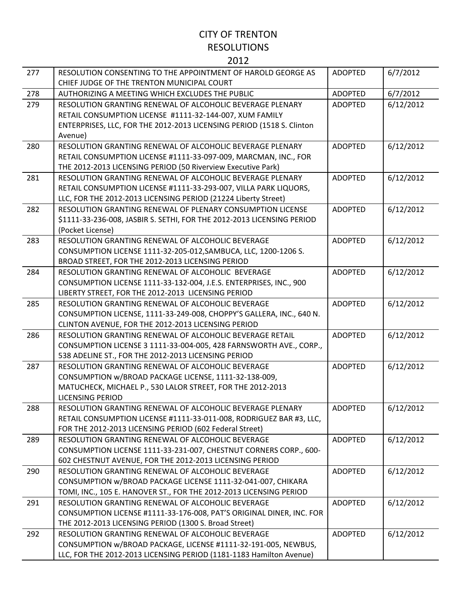| 277 | RESOLUTION CONSENTING TO THE APPOINTMENT OF HAROLD GEORGE AS<br>CHIEF JUDGE OF THE TRENTON MUNICIPAL COURT | <b>ADOPTED</b> | 6/7/2012  |
|-----|------------------------------------------------------------------------------------------------------------|----------------|-----------|
| 278 | AUTHORIZING A MEETING WHICH EXCLUDES THE PUBLIC                                                            | <b>ADOPTED</b> | 6/7/2012  |
| 279 | RESOLUTION GRANTING RENEWAL OF ALCOHOLIC BEVERAGE PLENARY                                                  | <b>ADOPTED</b> | 6/12/2012 |
|     | RETAIL CONSUMPTION LICENSE #1111-32-144-007, XUM FAMILY                                                    |                |           |
|     | ENTERPRISES, LLC, FOR THE 2012-2013 LICENSING PERIOD (1518 S. Clinton                                      |                |           |
|     | Avenue)                                                                                                    |                |           |
| 280 | RESOLUTION GRANTING RENEWAL OF ALCOHOLIC BEVERAGE PLENARY                                                  | <b>ADOPTED</b> | 6/12/2012 |
|     | RETAIL CONSUMPTION LICENSE #1111-33-097-009, MARCMAN, INC., FOR                                            |                |           |
|     | THE 2012-2013 LICENSING PERIOD (50 Riverview Executive Park)                                               |                |           |
| 281 | RESOLUTION GRANTING RENEWAL OF ALCOHOLIC BEVERAGE PLENARY                                                  | <b>ADOPTED</b> | 6/12/2012 |
|     | RETAIL CONSUMPTION LICENSE #1111-33-293-007, VILLA PARK LIQUORS,                                           |                |           |
|     | LLC, FOR THE 2012-2013 LICENSING PERIOD (21224 Liberty Street)                                             |                |           |
| 282 | RESOLUTION GRANTING RENEWAL OF PLENARY CONSUMPTION LICENSE                                                 | <b>ADOPTED</b> | 6/12/2012 |
|     | \$1111-33-236-008, JASBIR S. SETHI, FOR THE 2012-2013 LICENSING PERIOD                                     |                |           |
|     | (Pocket License)                                                                                           |                |           |
| 283 | RESOLUTION GRANTING RENEWAL OF ALCOHOLIC BEVERAGE                                                          | <b>ADOPTED</b> | 6/12/2012 |
|     | CONSUMPTION LICENSE 1111-32-205-012, SAMBUCA, LLC, 1200-1206 S.                                            |                |           |
|     | BROAD STREET, FOR THE 2012-2013 LICENSING PERIOD                                                           |                |           |
| 284 | RESOLUTION GRANTING RENEWAL OF ALCOHOLIC BEVERAGE                                                          | <b>ADOPTED</b> | 6/12/2012 |
|     | CONSUMPTION LICENSE 1111-33-132-004, J.E.S. ENTERPRISES, INC., 900                                         |                |           |
|     | LIBERTY STREET, FOR THE 2012-2013 LICENSING PERIOD                                                         |                |           |
| 285 | RESOLUTION GRANTING RENEWAL OF ALCOHOLIC BEVERAGE                                                          | <b>ADOPTED</b> | 6/12/2012 |
|     | CONSUMPTION LICENSE, 1111-33-249-008, CHOPPY'S GALLERA, INC., 640 N.                                       |                |           |
|     | CLINTON AVENUE, FOR THE 2012-2013 LICENSING PERIOD                                                         |                |           |
| 286 | RESOLUTION GRANTING RENEWAL OF ALCOHOLIC BEVERAGE RETAIL                                                   | <b>ADOPTED</b> | 6/12/2012 |
|     | CONSUMPTION LICENSE 3 1111-33-004-005, 428 FARNSWORTH AVE., CORP.,                                         |                |           |
|     | 538 ADELINE ST., FOR THE 2012-2013 LICENSING PERIOD                                                        |                |           |
| 287 | RESOLUTION GRANTING RENEWAL OF ALCOHOLIC BEVERAGE                                                          | <b>ADOPTED</b> | 6/12/2012 |
|     | CONSUMPTION w/BROAD PACKAGE LICENSE, 1111-32-138-009,                                                      |                |           |
|     | MATUCHECK, MICHAEL P., 530 LALOR STREET, FOR THE 2012-2013                                                 |                |           |
|     | <b>LICENSING PERIOD</b>                                                                                    |                |           |
| 288 | RESOLUTION GRANTING RENEWAL OF ALCOHOLIC BEVERAGE PLENARY                                                  | <b>ADOPTED</b> | 6/12/2012 |
|     | RETAIL CONSUMPTION LICENSE #1111-33-011-008, RODRIGUEZ BAR #3, LLC,                                        |                |           |
|     | FOR THE 2012-2013 LICENSING PERIOD (602 Federal Street)                                                    |                |           |
| 289 | RESOLUTION GRANTING RENEWAL OF ALCOHOLIC BEVERAGE                                                          | <b>ADOPTED</b> | 6/12/2012 |
|     | CONSUMPTION LICENSE 1111-33-231-007, CHESTNUT CORNERS CORP., 600-                                          |                |           |
|     | 602 CHESTNUT AVENUE, FOR THE 2012-2013 LICENSING PERIOD                                                    |                |           |
| 290 | RESOLUTION GRANTING RENEWAL OF ALCOHOLIC BEVERAGE                                                          | <b>ADOPTED</b> | 6/12/2012 |
|     | CONSUMPTION W/BROAD PACKAGE LICENSE 1111-32-041-007, CHIKARA                                               |                |           |
|     | TOMI, INC., 105 E. HANOVER ST., FOR THE 2012-2013 LICENSING PERIOD                                         |                |           |
| 291 | RESOLUTION GRANTING RENEWAL OF ALCOHOLIC BEVERAGE                                                          | <b>ADOPTED</b> | 6/12/2012 |
|     | CONSUMPTION LICENSE #1111-33-176-008, PAT'S ORIGINAL DINER, INC. FOR                                       |                |           |
|     | THE 2012-2013 LICENSING PERIOD (1300 S. Broad Street)                                                      |                |           |
| 292 | RESOLUTION GRANTING RENEWAL OF ALCOHOLIC BEVERAGE                                                          | <b>ADOPTED</b> | 6/12/2012 |
|     | CONSUMPTION w/BROAD PACKAGE, LICENSE #1111-32-191-005, NEWBUS,                                             |                |           |
|     | LLC, FOR THE 2012-2013 LICENSING PERIOD (1181-1183 Hamilton Avenue)                                        |                |           |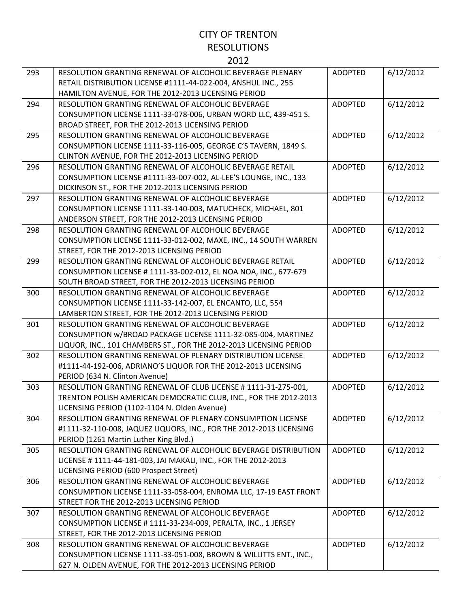| 293 | RESOLUTION GRANTING RENEWAL OF ALCOHOLIC BEVERAGE PLENARY           | <b>ADOPTED</b> | 6/12/2012 |
|-----|---------------------------------------------------------------------|----------------|-----------|
|     | RETAIL DISTRIBUTION LICENSE #1111-44-022-004, ANSHUL INC., 255      |                |           |
|     | HAMILTON AVENUE, FOR THE 2012-2013 LICENSING PERIOD                 |                |           |
| 294 | RESOLUTION GRANTING RENEWAL OF ALCOHOLIC BEVERAGE                   | <b>ADOPTED</b> | 6/12/2012 |
|     | CONSUMPTION LICENSE 1111-33-078-006, URBAN WORD LLC, 439-451 S.     |                |           |
|     | BROAD STREET, FOR THE 2012-2013 LICENSING PERIOD                    |                |           |
| 295 | RESOLUTION GRANTING RENEWAL OF ALCOHOLIC BEVERAGE                   | <b>ADOPTED</b> | 6/12/2012 |
|     | CONSUMPTION LICENSE 1111-33-116-005, GEORGE C'S TAVERN, 1849 S.     |                |           |
|     | CLINTON AVENUE, FOR THE 2012-2013 LICENSING PERIOD                  |                |           |
| 296 | RESOLUTION GRANTING RENEWAL OF ALCOHOLIC BEVERAGE RETAIL            | <b>ADOPTED</b> | 6/12/2012 |
|     | CONSUMPTION LICENSE #1111-33-007-002, AL-LEE'S LOUNGE, INC., 133    |                |           |
|     | DICKINSON ST., FOR THE 2012-2013 LICENSING PERIOD                   |                |           |
| 297 | RESOLUTION GRANTING RENEWAL OF ALCOHOLIC BEVERAGE                   | <b>ADOPTED</b> | 6/12/2012 |
|     | CONSUMPTION LICENSE 1111-33-140-003, MATUCHECK, MICHAEL, 801        |                |           |
|     | ANDERSON STREET, FOR THE 2012-2013 LICENSING PERIOD                 |                |           |
| 298 | RESOLUTION GRANTING RENEWAL OF ALCOHOLIC BEVERAGE                   | <b>ADOPTED</b> | 6/12/2012 |
|     | CONSUMPTION LICENSE 1111-33-012-002, MAXE, INC., 14 SOUTH WARREN    |                |           |
|     | STREET, FOR THE 2012-2013 LICENSING PERIOD                          |                |           |
| 299 | RESOLUTION GRANTING RENEWAL OF ALCOHOLIC BEVERAGE RETAIL            | <b>ADOPTED</b> | 6/12/2012 |
|     | CONSUMPTION LICENSE #1111-33-002-012, EL NOA NOA, INC., 677-679     |                |           |
|     | SOUTH BROAD STREET, FOR THE 2012-2013 LICENSING PERIOD              |                |           |
| 300 | RESOLUTION GRANTING RENEWAL OF ALCOHOLIC BEVERAGE                   | <b>ADOPTED</b> | 6/12/2012 |
|     | CONSUMPTION LICENSE 1111-33-142-007, EL ENCANTO, LLC, 554           |                |           |
|     | LAMBERTON STREET, FOR THE 2012-2013 LICENSING PERIOD                |                |           |
| 301 | RESOLUTION GRANTING RENEWAL OF ALCOHOLIC BEVERAGE                   | <b>ADOPTED</b> | 6/12/2012 |
|     | CONSUMPTION w/BROAD PACKAGE LICENSE 1111-32-085-004, MARTINEZ       |                |           |
|     | LIQUOR, INC., 101 CHAMBERS ST., FOR THE 2012-2013 LICENSING PERIOD  |                |           |
| 302 | RESOLUTION GRANTING RENEWAL OF PLENARY DISTRIBUTION LICENSE         | <b>ADOPTED</b> | 6/12/2012 |
|     | #1111-44-192-006, ADRIANO'S LIQUOR FOR THE 2012-2013 LICENSING      |                |           |
|     | PERIOD (634 N. Clinton Avenue)                                      |                |           |
| 303 | RESOLUTION GRANTING RENEWAL OF CLUB LICENSE # 1111-31-275-001,      | <b>ADOPTED</b> | 6/12/2012 |
|     | TRENTON POLISH AMERICAN DEMOCRATIC CLUB, INC., FOR THE 2012-2013    |                |           |
|     | LICENSING PERIOD (1102-1104 N. Olden Avenue)                        |                |           |
| 304 | RESOLUTION GRANTING RENEWAL OF PLENARY CONSUMPTION LICENSE          | <b>ADOPTED</b> | 6/12/2012 |
|     | #1111-32-110-008, JAQUEZ LIQUORS, INC., FOR THE 2012-2013 LICENSING |                |           |
|     | PERIOD (1261 Martin Luther King Blvd.)                              |                |           |
| 305 | RESOLUTION GRANTING RENEWAL OF ALCOHOLIC BEVERAGE DISTRIBUTION      | <b>ADOPTED</b> | 6/12/2012 |
|     | LICENSE #1111-44-181-003, JAI MAKALI, INC., FOR THE 2012-2013       |                |           |
|     | LICENSING PERIOD (600 Prospect Street)                              |                |           |
| 306 | RESOLUTION GRANTING RENEWAL OF ALCOHOLIC BEVERAGE                   | <b>ADOPTED</b> | 6/12/2012 |
|     | CONSUMPTION LICENSE 1111-33-058-004, ENROMA LLC, 17-19 EAST FRONT   |                |           |
|     | STREET FOR THE 2012-2013 LICENSING PERIOD                           |                |           |
| 307 | RESOLUTION GRANTING RENEWAL OF ALCOHOLIC BEVERAGE                   | ADOPTED        | 6/12/2012 |
|     | CONSUMPTION LICENSE # 1111-33-234-009, PERALTA, INC., 1 JERSEY      |                |           |
|     | STREET, FOR THE 2012-2013 LICENSING PERIOD                          |                |           |
| 308 | RESOLUTION GRANTING RENEWAL OF ALCOHOLIC BEVERAGE                   | <b>ADOPTED</b> | 6/12/2012 |
|     | CONSUMPTION LICENSE 1111-33-051-008, BROWN & WILLITTS ENT., INC.,   |                |           |
|     | 627 N. OLDEN AVENUE, FOR THE 2012-2013 LICENSING PERIOD             |                |           |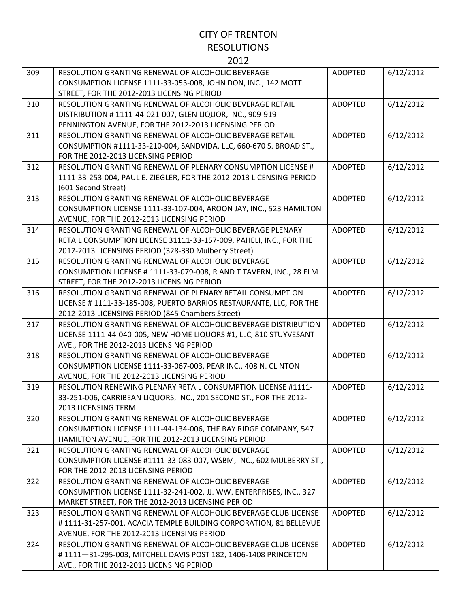| 309 | RESOLUTION GRANTING RENEWAL OF ALCOHOLIC BEVERAGE                    | <b>ADOPTED</b> | 6/12/2012 |
|-----|----------------------------------------------------------------------|----------------|-----------|
|     | CONSUMPTION LICENSE 1111-33-053-008, JOHN DON, INC., 142 MOTT        |                |           |
|     | STREET, FOR THE 2012-2013 LICENSING PERIOD                           |                |           |
| 310 | RESOLUTION GRANTING RENEWAL OF ALCOHOLIC BEVERAGE RETAIL             | <b>ADOPTED</b> | 6/12/2012 |
|     | DISTRIBUTION #1111-44-021-007, GLEN LIQUOR, INC., 909-919            |                |           |
|     | PENNINGTON AVENUE, FOR THE 2012-2013 LICENSING PERIOD                |                |           |
| 311 | RESOLUTION GRANTING RENEWAL OF ALCOHOLIC BEVERAGE RETAIL             | <b>ADOPTED</b> | 6/12/2012 |
|     | CONSUMPTION #1111-33-210-004, SANDVIDA, LLC, 660-670 S. BROAD ST.,   |                |           |
|     | FOR THE 2012-2013 LICENSING PERIOD                                   |                |           |
| 312 | RESOLUTION GRANTING RENEWAL OF PLENARY CONSUMPTION LICENSE #         | <b>ADOPTED</b> | 6/12/2012 |
|     | 1111-33-253-004, PAUL E. ZIEGLER, FOR THE 2012-2013 LICENSING PERIOD |                |           |
|     | (601 Second Street)                                                  |                |           |
| 313 | RESOLUTION GRANTING RENEWAL OF ALCOHOLIC BEVERAGE                    | <b>ADOPTED</b> | 6/12/2012 |
|     | CONSUMPTION LICENSE 1111-33-107-004, AROON JAY, INC., 523 HAMILTON   |                |           |
|     | AVENUE, FOR THE 2012-2013 LICENSING PERIOD                           |                |           |
| 314 | RESOLUTION GRANTING RENEWAL OF ALCOHOLIC BEVERAGE PLENARY            | <b>ADOPTED</b> | 6/12/2012 |
|     | RETAIL CONSUMPTION LICENSE 31111-33-157-009, PAHELI, INC., FOR THE   |                |           |
|     | 2012-2013 LICENSING PERIOD (328-330 Mulberry Street)                 |                |           |
| 315 | RESOLUTION GRANTING RENEWAL OF ALCOHOLIC BEVERAGE                    | <b>ADOPTED</b> | 6/12/2012 |
|     | CONSUMPTION LICENSE #1111-33-079-008, RAND T TAVERN, INC., 28 ELM    |                |           |
|     | STREET, FOR THE 2012-2013 LICENSING PERIOD                           |                |           |
| 316 | RESOLUTION GRANTING RENEWAL OF PLENARY RETAIL CONSUMPTION            | <b>ADOPTED</b> | 6/12/2012 |
|     | LICENSE # 1111-33-185-008, PUERTO BARRIOS RESTAURANTE, LLC, FOR THE  |                |           |
|     | 2012-2013 LICENSING PERIOD (845 Chambers Street)                     |                |           |
| 317 | RESOLUTION GRANTING RENEWAL OF ALCOHOLIC BEVERAGE DISTRIBUTION       | <b>ADOPTED</b> | 6/12/2012 |
|     | LICENSE 1111-44-040-005, NEW HOME LIQUORS #1, LLC, 810 STUYVESANT    |                |           |
|     | AVE., FOR THE 2012-2013 LICENSING PERIOD                             |                |           |
| 318 | RESOLUTION GRANTING RENEWAL OF ALCOHOLIC BEVERAGE                    | <b>ADOPTED</b> | 6/12/2012 |
|     | CONSUMPTION LICENSE 1111-33-067-003, PEAR INC., 408 N. CLINTON       |                |           |
|     | AVENUE, FOR THE 2012-2013 LICENSING PERIOD                           |                |           |
| 319 | RESOLUTION RENEWING PLENARY RETAIL CONSUMPTION LICENSE #1111-        | <b>ADOPTED</b> | 6/12/2012 |
|     | 33-251-006, CARRIBEAN LIQUORS, INC., 201 SECOND ST., FOR THE 2012-   |                |           |
|     | 2013 LICENSING TERM                                                  |                |           |
| 320 | RESOLUTION GRANTING RENEWAL OF ALCOHOLIC BEVERAGE                    | <b>ADOPTED</b> | 6/12/2012 |
|     | CONSUMPTION LICENSE 1111-44-134-006, THE BAY RIDGE COMPANY, 547      |                |           |
|     | HAMILTON AVENUE, FOR THE 2012-2013 LICENSING PERIOD                  |                |           |
| 321 | RESOLUTION GRANTING RENEWAL OF ALCOHOLIC BEVERAGE                    | <b>ADOPTED</b> | 6/12/2012 |
|     | CONSUMPTION LICENSE #1111-33-083-007, WSBM, INC., 602 MULBERRY ST.,  |                |           |
|     | FOR THE 2012-2013 LICENSING PERIOD                                   |                |           |
| 322 | RESOLUTION GRANTING RENEWAL OF ALCOHOLIC BEVERAGE                    | ADOPTED        | 6/12/2012 |
|     | CONSUMPTION LICENSE 1111-32-241-002, JJ. WW. ENTERPRISES, INC., 327  |                |           |
|     | MARKET STREET, FOR THE 2012-2013 LICENSING PERIOD                    |                |           |
| 323 | RESOLUTION GRANTING RENEWAL OF ALCOHOLIC BEVERAGE CLUB LICENSE       | ADOPTED        | 6/12/2012 |
|     | #1111-31-257-001, ACACIA TEMPLE BUILDING CORPORATION, 81 BELLEVUE    |                |           |
|     | AVENUE, FOR THE 2012-2013 LICENSING PERIOD                           |                |           |
| 324 | RESOLUTION GRANTING RENEWAL OF ALCOHOLIC BEVERAGE CLUB LICENSE       | ADOPTED        | 6/12/2012 |
|     | #1111-31-295-003, MITCHELL DAVIS POST 182, 1406-1408 PRINCETON       |                |           |
|     | AVE., FOR THE 2012-2013 LICENSING PERIOD                             |                |           |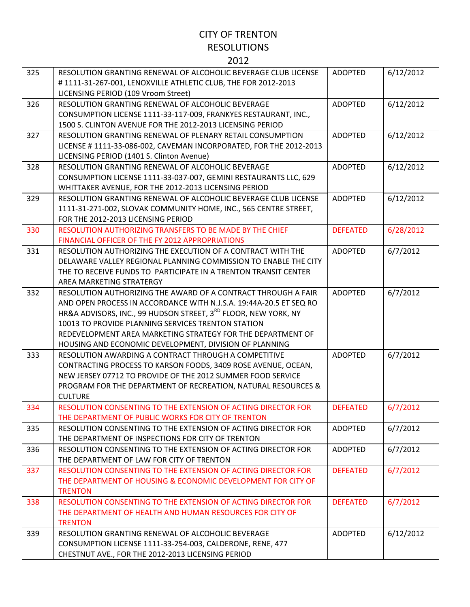| 325 | RESOLUTION GRANTING RENEWAL OF ALCOHOLIC BEVERAGE CLUB LICENSE                                                        | <b>ADOPTED</b>  | 6/12/2012 |
|-----|-----------------------------------------------------------------------------------------------------------------------|-----------------|-----------|
|     | #1111-31-267-001, LENOXVILLE ATHLETIC CLUB, THE FOR 2012-2013                                                         |                 |           |
|     | LICENSING PERIOD (109 Vroom Street)                                                                                   |                 |           |
| 326 | RESOLUTION GRANTING RENEWAL OF ALCOHOLIC BEVERAGE                                                                     | <b>ADOPTED</b>  | 6/12/2012 |
|     | CONSUMPTION LICENSE 1111-33-117-009, FRANKYES RESTAURANT, INC.,                                                       |                 |           |
|     | 1500 S. CLINTON AVENUE FOR THE 2012-2013 LICENSING PERIOD                                                             |                 |           |
| 327 | RESOLUTION GRANTING RENEWAL OF PLENARY RETAIL CONSUMPTION                                                             | <b>ADOPTED</b>  | 6/12/2012 |
|     | LICENSE # 1111-33-086-002, CAVEMAN INCORPORATED, FOR THE 2012-2013                                                    |                 |           |
| 328 | LICENSING PERIOD (1401 S. Clinton Avenue)                                                                             | <b>ADOPTED</b>  |           |
|     | RESOLUTION GRANTING RENEWAL OF ALCOHOLIC BEVERAGE<br>CONSUMPTION LICENSE 1111-33-037-007, GEMINI RESTAURANTS LLC, 629 |                 | 6/12/2012 |
|     | WHITTAKER AVENUE, FOR THE 2012-2013 LICENSING PERIOD                                                                  |                 |           |
| 329 | RESOLUTION GRANTING RENEWAL OF ALCOHOLIC BEVERAGE CLUB LICENSE                                                        | <b>ADOPTED</b>  | 6/12/2012 |
|     | 1111-31-271-002, SLOVAK COMMUNITY HOME, INC., 565 CENTRE STREET,                                                      |                 |           |
|     | FOR THE 2012-2013 LICENSING PERIOD                                                                                    |                 |           |
| 330 | RESOLUTION AUTHORIZING TRANSFERS TO BE MADE BY THE CHIEF                                                              | <b>DEFEATED</b> | 6/28/2012 |
|     | FINANCIAL OFFICER OF THE FY 2012 APPROPRIATIONS                                                                       |                 |           |
| 331 | RESOLUTION AUTHORIZING THE EXECUTION OF A CONTRACT WITH THE                                                           | <b>ADOPTED</b>  | 6/7/2012  |
|     | DELAWARE VALLEY REGIONAL PLANNING COMMISSION TO ENABLE THE CITY                                                       |                 |           |
|     | THE TO RECEIVE FUNDS TO PARTICIPATE IN A TRENTON TRANSIT CENTER                                                       |                 |           |
|     | AREA MARKETING STRATERGY                                                                                              |                 |           |
| 332 | RESOLUTION AUTHORIZING THE AWARD OF A CONTRACT THROUGH A FAIR                                                         | <b>ADOPTED</b>  | 6/7/2012  |
|     | AND OPEN PROCESS IN ACCORDANCE WITH N.J.S.A. 19:44A-20.5 ET SEQ RO                                                    |                 |           |
|     | HR&A ADVISORS, INC., 99 HUDSON STREET, 3 <sup>RD</sup> FLOOR, NEW YORK, NY                                            |                 |           |
|     | 10013 TO PROVIDE PLANNING SERVICES TRENTON STATION                                                                    |                 |           |
|     | REDEVELOPMENT AREA MARKETING STRATEGY FOR THE DEPARTMENT OF                                                           |                 |           |
|     | HOUSING AND ECONOMIC DEVELOPMENT, DIVISION OF PLANNING                                                                |                 |           |
| 333 | RESOLUTION AWARDING A CONTRACT THROUGH A COMPETITIVE                                                                  | <b>ADOPTED</b>  | 6/7/2012  |
|     | CONTRACTING PROCESS TO KARSON FOODS, 3409 ROSE AVENUE, OCEAN,                                                         |                 |           |
|     | NEW JERSEY 07712 TO PROVIDE OF THE 2012 SUMMER FOOD SERVICE                                                           |                 |           |
|     | PROGRAM FOR THE DEPARTMENT OF RECREATION, NATURAL RESOURCES &                                                         |                 |           |
| 334 | <b>CULTURE</b><br>RESOLUTION CONSENTING TO THE EXTENSION OF ACTING DIRECTOR FOR                                       | <b>DEFEATED</b> | 6/7/2012  |
|     | THE DEPARTMENT OF PUBLIC WORKS FOR CITY OF TRENTON                                                                    |                 |           |
| 335 | RESOLUTION CONSENTING TO THE EXTENSION OF ACTING DIRECTOR FOR                                                         | <b>ADOPTED</b>  | 6/7/2012  |
|     | THE DEPARTMENT OF INSPECTIONS FOR CITY OF TRENTON                                                                     |                 |           |
| 336 | RESOLUTION CONSENTING TO THE EXTENSION OF ACTING DIRECTOR FOR                                                         | <b>ADOPTED</b>  | 6/7/2012  |
|     | THE DEPARTMENT OF LAW FOR CITY OF TRENTON                                                                             |                 |           |
| 337 | RESOLUTION CONSENTING TO THE EXTENSION OF ACTING DIRECTOR FOR                                                         | <b>DEFEATED</b> | 6/7/2012  |
|     | THE DEPARTMENT OF HOUSING & ECONOMIC DEVELOPMENT FOR CITY OF                                                          |                 |           |
|     | <b>TRENTON</b>                                                                                                        |                 |           |
| 338 | RESOLUTION CONSENTING TO THE EXTENSION OF ACTING DIRECTOR FOR                                                         | <b>DEFEATED</b> | 6/7/2012  |
|     | THE DEPARTMENT OF HEALTH AND HUMAN RESOURCES FOR CITY OF                                                              |                 |           |
|     | <b>TRENTON</b>                                                                                                        |                 |           |
| 339 | RESOLUTION GRANTING RENEWAL OF ALCOHOLIC BEVERAGE                                                                     | <b>ADOPTED</b>  | 6/12/2012 |
|     | CONSUMPTION LICENSE 1111-33-254-003, CALDERONE, RENE, 477                                                             |                 |           |
|     | CHESTNUT AVE., FOR THE 2012-2013 LICENSING PERIOD                                                                     |                 |           |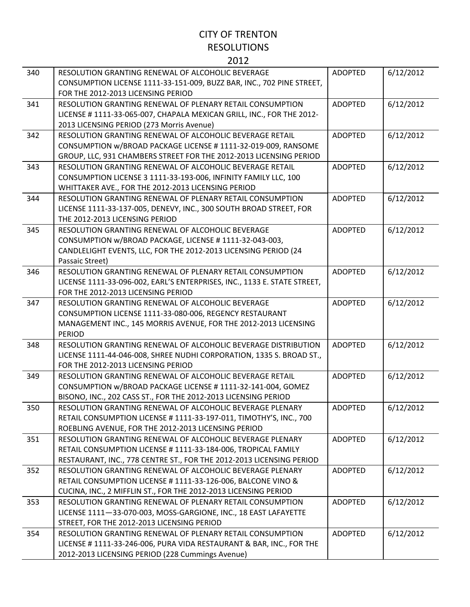| 340 | RESOLUTION GRANTING RENEWAL OF ALCOHOLIC BEVERAGE                        | <b>ADOPTED</b> | 6/12/2012 |
|-----|--------------------------------------------------------------------------|----------------|-----------|
|     | CONSUMPTION LICENSE 1111-33-151-009, BUZZ BAR, INC., 702 PINE STREET,    |                |           |
|     | FOR THE 2012-2013 LICENSING PERIOD                                       |                |           |
| 341 | RESOLUTION GRANTING RENEWAL OF PLENARY RETAIL CONSUMPTION                | <b>ADOPTED</b> | 6/12/2012 |
|     | LICENSE #1111-33-065-007, CHAPALA MEXICAN GRILL, INC., FOR THE 2012-     |                |           |
|     | 2013 LICENSING PERIOD (273 Morris Avenue)                                |                |           |
| 342 | RESOLUTION GRANTING RENEWAL OF ALCOHOLIC BEVERAGE RETAIL                 | <b>ADOPTED</b> | 6/12/2012 |
|     | CONSUMPTION w/BROAD PACKAGE LICENSE # 1111-32-019-009, RANSOME           |                |           |
|     | GROUP, LLC, 931 CHAMBERS STREET FOR THE 2012-2013 LICENSING PERIOD       |                |           |
| 343 | RESOLUTION GRANTING RENEWAL OF ALCOHOLIC BEVERAGE RETAIL                 | <b>ADOPTED</b> | 6/12/2012 |
|     | CONSUMPTION LICENSE 3 1111-33-193-006, INFINITY FAMILY LLC, 100          |                |           |
|     | WHITTAKER AVE., FOR THE 2012-2013 LICENSING PERIOD                       |                |           |
| 344 | RESOLUTION GRANTING RENEWAL OF PLENARY RETAIL CONSUMPTION                | <b>ADOPTED</b> | 6/12/2012 |
|     | LICENSE 1111-33-137-005, DENEVY, INC., 300 SOUTH BROAD STREET, FOR       |                |           |
|     | THE 2012-2013 LICENSING PERIOD                                           |                |           |
| 345 | RESOLUTION GRANTING RENEWAL OF ALCOHOLIC BEVERAGE                        | <b>ADOPTED</b> | 6/12/2012 |
|     | CONSUMPTION w/BROAD PACKAGE, LICENSE #1111-32-043-003,                   |                |           |
|     | CANDLELIGHT EVENTS, LLC, FOR THE 2012-2013 LICENSING PERIOD (24          |                |           |
|     | Passaic Street)                                                          |                |           |
| 346 | RESOLUTION GRANTING RENEWAL OF PLENARY RETAIL CONSUMPTION                | <b>ADOPTED</b> | 6/12/2012 |
|     | LICENSE 1111-33-096-002, EARL'S ENTERPRISES, INC., 1133 E. STATE STREET, |                |           |
|     | FOR THE 2012-2013 LICENSING PERIOD                                       |                |           |
| 347 | RESOLUTION GRANTING RENEWAL OF ALCOHOLIC BEVERAGE                        | <b>ADOPTED</b> | 6/12/2012 |
|     | CONSUMPTION LICENSE 1111-33-080-006, REGENCY RESTAURANT                  |                |           |
|     | MANAGEMENT INC., 145 MORRIS AVENUE, FOR THE 2012-2013 LICENSING          |                |           |
|     | <b>PERIOD</b>                                                            |                |           |
| 348 | RESOLUTION GRANTING RENEWAL OF ALCOHOLIC BEVERAGE DISTRIBUTION           | <b>ADOPTED</b> | 6/12/2012 |
|     | LICENSE 1111-44-046-008, SHREE NUDHI CORPORATION, 1335 S. BROAD ST.,     |                |           |
|     | FOR THE 2012-2013 LICENSING PERIOD                                       |                |           |
| 349 | RESOLUTION GRANTING RENEWAL OF ALCOHOLIC BEVERAGE RETAIL                 | <b>ADOPTED</b> | 6/12/2012 |
|     | CONSUMPTION w/BROAD PACKAGE LICENSE #1111-32-141-004, GOMEZ              |                |           |
|     | BISONO, INC., 202 CASS ST., FOR THE 2012-2013 LICENSING PERIOD           |                |           |
| 350 | RESOLUTION GRANTING RENEWAL OF ALCOHOLIC BEVERAGE PLENARY                | <b>ADOPTED</b> | 6/12/2012 |
|     | RETAIL CONSUMPTION LICENSE #1111-33-197-011, TIMOTHY'S, INC., 700        |                |           |
|     | ROEBLING AVENUE, FOR THE 2012-2013 LICENSING PERIOD                      |                |           |
| 351 | RESOLUTION GRANTING RENEWAL OF ALCOHOLIC BEVERAGE PLENARY                | <b>ADOPTED</b> | 6/12/2012 |
|     | RETAIL CONSUMPTION LICENSE # 1111-33-184-006, TROPICAL FAMILY            |                |           |
|     | RESTAURANT, INC., 778 CENTRE ST., FOR THE 2012-2013 LICENSING PERIOD     |                |           |
| 352 | RESOLUTION GRANTING RENEWAL OF ALCOHOLIC BEVERAGE PLENARY                | <b>ADOPTED</b> | 6/12/2012 |
|     | RETAIL CONSUMPTION LICENSE # 1111-33-126-006, BALCONE VINO &             |                |           |
|     | CUCINA, INC., 2 MIFFLIN ST., FOR THE 2012-2013 LICENSING PERIOD          |                |           |
| 353 | RESOLUTION GRANTING RENEWAL OF PLENARY RETAIL CONSUMPTION                | <b>ADOPTED</b> | 6/12/2012 |
|     | LICENSE 1111-33-070-003, MOSS-GARGIONE, INC., 18 EAST LAFAYETTE          |                |           |
|     | STREET, FOR THE 2012-2013 LICENSING PERIOD                               |                |           |
| 354 | RESOLUTION GRANTING RENEWAL OF PLENARY RETAIL CONSUMPTION                | <b>ADOPTED</b> | 6/12/2012 |
|     | LICENSE # 1111-33-246-006, PURA VIDA RESTAURANT & BAR, INC., FOR THE     |                |           |
|     | 2012-2013 LICENSING PERIOD (228 Cummings Avenue)                         |                |           |
|     |                                                                          |                |           |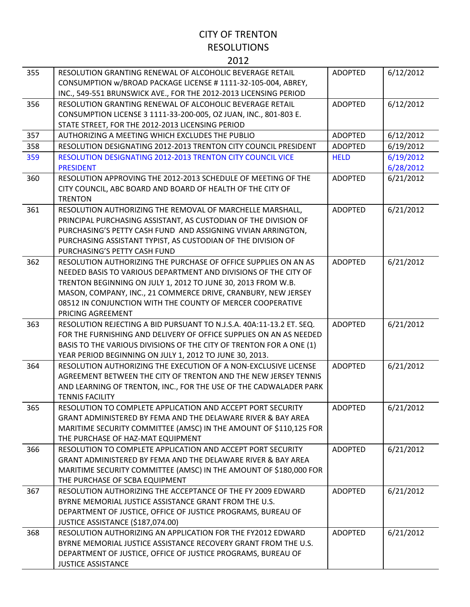| 355 | RESOLUTION GRANTING RENEWAL OF ALCOHOLIC BEVERAGE RETAIL                                  | <b>ADOPTED</b> | 6/12/2012 |
|-----|-------------------------------------------------------------------------------------------|----------------|-----------|
|     | CONSUMPTION w/BROAD PACKAGE LICENSE # 1111-32-105-004, ABREY,                             |                |           |
|     | INC., 549-551 BRUNSWICK AVE., FOR THE 2012-2013 LICENSING PERIOD                          |                |           |
| 356 | RESOLUTION GRANTING RENEWAL OF ALCOHOLIC BEVERAGE RETAIL                                  | <b>ADOPTED</b> | 6/12/2012 |
|     | CONSUMPTION LICENSE 3 1111-33-200-005, OZ JUAN, INC., 801-803 E.                          |                |           |
|     | STATE STREET, FOR THE 2012-2013 LICENSING PERIOD                                          |                |           |
| 357 | AUTHORIZING A MEETING WHICH EXCLUDES THE PUBLIO                                           | <b>ADOPTED</b> | 6/12/2012 |
| 358 | RESOLUTION DESIGNATING 2012-2013 TRENTON CITY COUNCIL PRESIDENT                           | <b>ADOPTED</b> | 6/19/2012 |
| 359 | <b>RESOLUTION DESIGNATING 2012-2013 TRENTON CITY COUNCIL VICE</b>                         | <b>HELD</b>    | 6/19/2012 |
|     | <b>PRESIDENT</b>                                                                          |                | 6/28/2012 |
| 360 | RESOLUTION APPROVING THE 2012-2013 SCHEDULE OF MEETING OF THE                             | <b>ADOPTED</b> | 6/21/2012 |
|     | CITY COUNCIL, ABC BOARD AND BOARD OF HEALTH OF THE CITY OF                                |                |           |
|     | <b>TRENTON</b>                                                                            |                |           |
| 361 | RESOLUTION AUTHORIZING THE REMOVAL OF MARCHELLE MARSHALL,                                 | <b>ADOPTED</b> | 6/21/2012 |
|     | PRINCIPAL PURCHASING ASSISTANT, AS CUSTODIAN OF THE DIVISION OF                           |                |           |
|     | PURCHASING'S PETTY CASH FUND AND ASSIGNING VIVIAN ARRINGTON,                              |                |           |
|     | PURCHASING ASSISTANT TYPIST, AS CUSTODIAN OF THE DIVISION OF                              |                |           |
|     | PURCHASING'S PETTY CASH FUND                                                              |                |           |
| 362 | RESOLUTION AUTHORIZING THE PURCHASE OF OFFICE SUPPLIES ON AN AS                           | <b>ADOPTED</b> | 6/21/2012 |
|     | NEEDED BASIS TO VARIOUS DEPARTMENT AND DIVISIONS OF THE CITY OF                           |                |           |
|     | TRENTON BEGINNING ON JULY 1, 2012 TO JUNE 30, 2013 FROM W.B.                              |                |           |
|     | MASON, COMPANY, INC., 21 COMMERCE DRIVE, CRANBURY, NEW JERSEY                             |                |           |
|     | 08512 IN CONJUNCTION WITH THE COUNTY OF MERCER COOPERATIVE                                |                |           |
|     | PRICING AGREEMENT                                                                         |                |           |
| 363 | RESOLUTION REJECTING A BID PURSUANT TO N.J.S.A. 40A:11-13.2 ET. SEQ.                      | <b>ADOPTED</b> | 6/21/2012 |
|     | FOR THE FURNISHING AND DELIVERY OF OFFICE SUPPLIES ON AN AS NEEDED                        |                |           |
|     | BASIS TO THE VARIOUS DIVISIONS OF THE CITY OF TRENTON FOR A ONE (1)                       |                |           |
|     | YEAR PERIOD BEGINNING ON JULY 1, 2012 TO JUNE 30, 2013.                                   |                |           |
| 364 | RESOLUTION AUTHORIZING THE EXECUTION OF A NON-EXCLUSIVE LICENSE                           | <b>ADOPTED</b> | 6/21/2012 |
|     | AGREEMENT BETWEEN THE CITY OF TRENTON AND THE NEW JERSEY TENNIS                           |                |           |
|     | AND LEARNING OF TRENTON, INC., FOR THE USE OF THE CADWALADER PARK                         |                |           |
|     | <b>TENNIS FACILITY</b>                                                                    |                |           |
| 365 | RESOLUTION TO COMPLETE APPLICATION AND ACCEPT PORT SFCURITY                               | <b>ADOPTED</b> | 6/21/2012 |
|     | GRANT ADMINISTERED BY FEMA AND THE DELAWARE RIVER & BAY AREA                              |                |           |
|     | MARITIME SECURITY COMMITTEE (AMSC) IN THE AMOUNT OF \$110,125 FOR                         |                |           |
|     | THE PURCHASE OF HAZ-MAT EQUIPMENT                                                         |                |           |
| 366 | RESOLUTION TO COMPLETE APPLICATION AND ACCEPT PORT SECURITY                               | <b>ADOPTED</b> | 6/21/2012 |
|     | GRANT ADMINISTERED BY FEMA AND THE DELAWARE RIVER & BAY AREA                              |                |           |
|     | MARITIME SECURITY COMMITTEE (AMSC) IN THE AMOUNT OF \$180,000 FOR                         |                |           |
|     | THE PURCHASE OF SCBA EQUIPMENT                                                            |                |           |
| 367 | RESOLUTION AUTHORIZING THE ACCEPTANCE OF THE FY 2009 EDWARD                               | <b>ADOPTED</b> | 6/21/2012 |
|     | BYRNE MEMORIAL JUSTICE ASSISTANCE GRANT FROM THE U.S.                                     |                |           |
|     | DEPARTMENT OF JUSTICE, OFFICE OF JUSTICE PROGRAMS, BUREAU OF                              |                |           |
|     | JUSTICE ASSISTANCE (\$187,074.00)                                                         |                |           |
| 368 | RESOLUTION AUTHORIZING AN APPLICATION FOR THE FY2012 EDWARD                               | <b>ADOPTED</b> | 6/21/2012 |
|     | BYRNE MEMORIAL JUSTICE ASSISTANCE RECOVERY GRANT FROM THE U.S.                            |                |           |
|     |                                                                                           |                |           |
|     | DEPARTMENT OF JUSTICE, OFFICE OF JUSTICE PROGRAMS, BUREAU OF<br><b>JUSTICE ASSISTANCE</b> |                |           |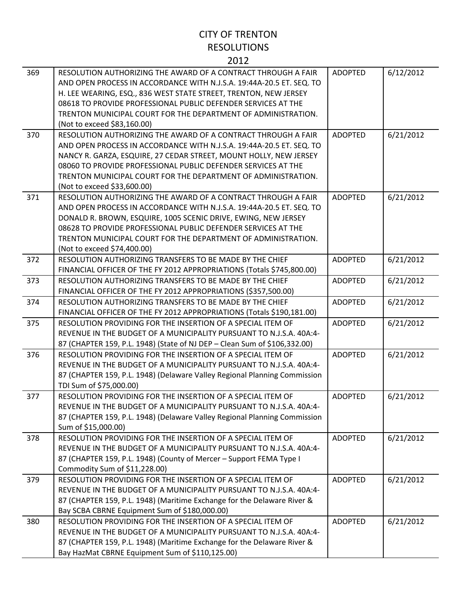| 369 | RESOLUTION AUTHORIZING THE AWARD OF A CONTRACT THROUGH A FAIR<br>AND OPEN PROCESS IN ACCORDANCE WITH N.J.S.A. 19:44A-20.5 ET. SEQ. TO<br>H. LEE WEARING, ESQ., 836 WEST STATE STREET, TRENTON, NEW JERSEY<br>08618 TO PROVIDE PROFESSIONAL PUBLIC DEFENDER SERVICES AT THE<br>TRENTON MUNICIPAL COURT FOR THE DEPARTMENT OF ADMINISTRATION.<br>(Not to exceed \$83,160.00)  | <b>ADOPTED</b> | 6/12/2012 |
|-----|-----------------------------------------------------------------------------------------------------------------------------------------------------------------------------------------------------------------------------------------------------------------------------------------------------------------------------------------------------------------------------|----------------|-----------|
| 370 | RESOLUTION AUTHORIZING THE AWARD OF A CONTRACT THROUGH A FAIR<br>AND OPEN PROCESS IN ACCORDANCE WITH N.J.S.A. 19:44A-20.5 ET. SEQ. TO<br>NANCY R. GARZA, ESQUIRE, 27 CEDAR STREET, MOUNT HOLLY, NEW JERSEY<br>08060 TO PROVIDE PROFESSIONAL PUBLIC DEFENDER SERVICES AT THE<br>TRENTON MUNICIPAL COURT FOR THE DEPARTMENT OF ADMINISTRATION.<br>(Not to exceed \$33,600.00) | <b>ADOPTED</b> | 6/21/2012 |
| 371 | RESOLUTION AUTHORIZING THE AWARD OF A CONTRACT THROUGH A FAIR<br>AND OPEN PROCESS IN ACCORDANCE WITH N.J.S.A. 19:44A-20.5 ET. SEQ. TO<br>DONALD R. BROWN, ESQUIRE, 1005 SCENIC DRIVE, EWING, NEW JERSEY<br>08628 TO PROVIDE PROFESSIONAL PUBLIC DEFENDER SERVICES AT THE<br>TRENTON MUNICIPAL COURT FOR THE DEPARTMENT OF ADMINISTRATION.<br>(Not to exceed \$74,400.00)    | <b>ADOPTED</b> | 6/21/2012 |
| 372 | RESOLUTION AUTHORIZING TRANSFERS TO BE MADE BY THE CHIEF<br>FINANCIAL OFFICER OF THE FY 2012 APPROPRIATIONS (Totals \$745,800.00)                                                                                                                                                                                                                                           | <b>ADOPTED</b> | 6/21/2012 |
| 373 | RESOLUTION AUTHORIZING TRANSFERS TO BE MADE BY THE CHIEF<br>FINANCIAL OFFICER OF THE FY 2012 APPROPRIATIONS (\$357,500.00)                                                                                                                                                                                                                                                  | <b>ADOPTED</b> | 6/21/2012 |
| 374 | RESOLUTION AUTHORIZING TRANSFERS TO BE MADE BY THE CHIEF<br>FINANCIAL OFFICER OF THE FY 2012 APPROPRIATIONS (Totals \$190,181.00)                                                                                                                                                                                                                                           | <b>ADOPTED</b> | 6/21/2012 |
| 375 | RESOLUTION PROVIDING FOR THE INSERTION OF A SPECIAL ITEM OF<br>REVENUE IN THE BUDGET OF A MUNICIPALITY PURSUANT TO N.J.S.A. 40A:4-<br>87 (CHAPTER 159, P.L. 1948) (State of NJ DEP - Clean Sum of \$106,332.00)                                                                                                                                                             | <b>ADOPTED</b> | 6/21/2012 |
| 376 | RESOLUTION PROVIDING FOR THE INSERTION OF A SPECIAL ITEM OF<br>REVENUE IN THE BUDGET OF A MUNICIPALITY PURSUANT TO N.J.S.A. 40A:4-<br>87 (CHAPTER 159, P.L. 1948) (Delaware Valley Regional Planning Commission<br>TDI Sum of \$75,000.00)                                                                                                                                  | <b>ADOPTED</b> | 6/21/2012 |
| 377 | RESOLUTION PROVIDING FOR THE INSERTION OF A SPECIAL ITEM OF<br>REVENUE IN THE BUDGET OF A MUNICIPALITY PURSUANT TO N.J.S.A. 40A:4-<br>87 (CHAPTER 159, P.L. 1948) (Delaware Valley Regional Planning Commission<br>Sum of \$15,000.00)                                                                                                                                      | <b>ADOPTED</b> | 6/21/2012 |
| 378 | RESOLUTION PROVIDING FOR THE INSERTION OF A SPECIAL ITEM OF<br>REVENUE IN THE BUDGET OF A MUNICIPALITY PURSUANT TO N.J.S.A. 40A:4-<br>87 (CHAPTER 159, P.L. 1948) (County of Mercer - Support FEMA Type I<br>Commodity Sum of \$11,228.00)                                                                                                                                  | <b>ADOPTED</b> | 6/21/2012 |
| 379 | RESOLUTION PROVIDING FOR THE INSERTION OF A SPECIAL ITEM OF<br>REVENUE IN THE BUDGET OF A MUNICIPALITY PURSUANT TO N.J.S.A. 40A:4-<br>87 (CHAPTER 159, P.L. 1948) (Maritime Exchange for the Delaware River &<br>Bay SCBA CBRNE Equipment Sum of \$180,000.00)                                                                                                              | <b>ADOPTED</b> | 6/21/2012 |
| 380 | RESOLUTION PROVIDING FOR THE INSERTION OF A SPECIAL ITEM OF<br>REVENUE IN THE BUDGET OF A MUNICIPALITY PURSUANT TO N.J.S.A. 40A:4-<br>87 (CHAPTER 159, P.L. 1948) (Maritime Exchange for the Delaware River &<br>Bay HazMat CBRNE Equipment Sum of \$110,125.00)                                                                                                            | <b>ADOPTED</b> | 6/21/2012 |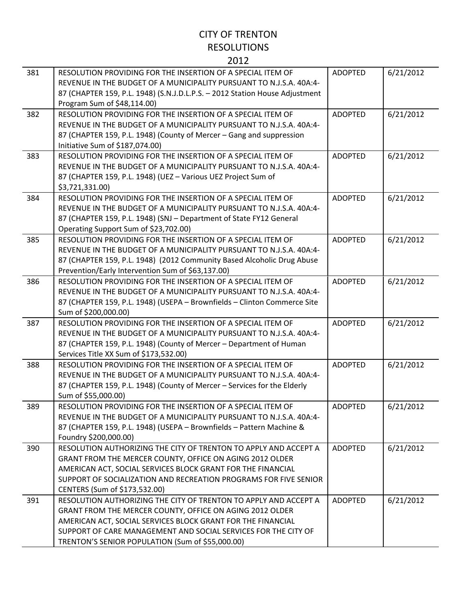| 381 | RESOLUTION PROVIDING FOR THE INSERTION OF A SPECIAL ITEM OF<br>REVENUE IN THE BUDGET OF A MUNICIPALITY PURSUANT TO N.J.S.A. 40A:4-<br>87 (CHAPTER 159, P.L. 1948) (S.N.J.D.L.P.S. - 2012 Station House Adjustment<br>Program Sum of \$48,114.00)                                                                  | <b>ADOPTED</b> | 6/21/2012 |
|-----|-------------------------------------------------------------------------------------------------------------------------------------------------------------------------------------------------------------------------------------------------------------------------------------------------------------------|----------------|-----------|
| 382 | RESOLUTION PROVIDING FOR THE INSERTION OF A SPECIAL ITEM OF<br>REVENUE IN THE BUDGET OF A MUNICIPALITY PURSUANT TO N.J.S.A. 40A:4-<br>87 (CHAPTER 159, P.L. 1948) (County of Mercer – Gang and suppression<br>Initiative Sum of \$187,074.00)                                                                     | <b>ADOPTED</b> | 6/21/2012 |
| 383 | RESOLUTION PROVIDING FOR THE INSERTION OF A SPECIAL ITEM OF<br>REVENUE IN THE BUDGET OF A MUNICIPALITY PURSUANT TO N.J.S.A. 40A:4-<br>87 (CHAPTER 159, P.L. 1948) (UEZ - Various UEZ Project Sum of<br>\$3,721,331.00)                                                                                            | <b>ADOPTED</b> | 6/21/2012 |
| 384 | RESOLUTION PROVIDING FOR THE INSERTION OF A SPECIAL ITEM OF<br>REVENUE IN THE BUDGET OF A MUNICIPALITY PURSUANT TO N.J.S.A. 40A:4-<br>87 (CHAPTER 159, P.L. 1948) (SNJ - Department of State FY12 General<br>Operating Support Sum of \$23,702.00)                                                                | <b>ADOPTED</b> | 6/21/2012 |
| 385 | RESOLUTION PROVIDING FOR THE INSERTION OF A SPECIAL ITEM OF<br>REVENUE IN THE BUDGET OF A MUNICIPALITY PURSUANT TO N.J.S.A. 40A:4-<br>87 (CHAPTER 159, P.L. 1948) (2012 Community Based Alcoholic Drug Abuse<br>Prevention/Early Intervention Sum of \$63,137.00)                                                 | <b>ADOPTED</b> | 6/21/2012 |
| 386 | RESOLUTION PROVIDING FOR THE INSERTION OF A SPECIAL ITEM OF<br>REVENUE IN THE BUDGET OF A MUNICIPALITY PURSUANT TO N.J.S.A. 40A:4-<br>87 (CHAPTER 159, P.L. 1948) (USEPA - Brownfields - Clinton Commerce Site<br>Sum of \$200,000.00)                                                                            | <b>ADOPTED</b> | 6/21/2012 |
| 387 | RESOLUTION PROVIDING FOR THE INSERTION OF A SPECIAL ITEM OF<br>REVENUE IN THE BUDGET OF A MUNICIPALITY PURSUANT TO N.J.S.A. 40A:4-<br>87 (CHAPTER 159, P.L. 1948) (County of Mercer - Department of Human<br>Services Title XX Sum of \$173,532.00)                                                               | <b>ADOPTED</b> | 6/21/2012 |
| 388 | RESOLUTION PROVIDING FOR THE INSERTION OF A SPECIAL ITEM OF<br>REVENUE IN THE BUDGET OF A MUNICIPALITY PURSUANT TO N.J.S.A. 40A:4-<br>87 (CHAPTER 159, P.L. 1948) (County of Mercer - Services for the Elderly<br>Sum of \$55,000.00)                                                                             | <b>ADOPTED</b> | 6/21/2012 |
| 389 | RESOLUTION PROVIDING FOR THE INSERTION OF A SPECIAL ITEM OF<br>REVENUE IN THE BUDGET OF A MUNICIPALITY PURSUANT TO N.J.S.A. 40A:4-<br>87 (CHAPTER 159, P.L. 1948) (USEPA - Brownfields - Pattern Machine &<br>Foundry \$200,000.00)                                                                               | <b>ADOPTED</b> | 6/21/2012 |
| 390 | RESOLUTION AUTHORIZING THE CITY OF TRENTON TO APPLY AND ACCEPT A<br>GRANT FROM THE MERCER COUNTY, OFFICE ON AGING 2012 OLDER<br>AMERICAN ACT, SOCIAL SERVICES BLOCK GRANT FOR THE FINANCIAL<br>SUPPORT OF SOCIALIZATION AND RECREATION PROGRAMS FOR FIVE SENIOR<br>CENTERS (Sum of \$173,532.00)                  | ADOPTED        | 6/21/2012 |
| 391 | RESOLUTION AUTHORIZING THE CITY OF TRENTON TO APPLY AND ACCEPT A<br>GRANT FROM THE MERCER COUNTY, OFFICE ON AGING 2012 OLDER<br>AMERICAN ACT, SOCIAL SERVICES BLOCK GRANT FOR THE FINANCIAL<br>SUPPORT OF CARE MANAGEMENT AND SOCIAL SERVICES FOR THE CITY OF<br>TRENTON'S SENIOR POPULATION (Sum of \$55,000.00) | <b>ADOPTED</b> | 6/21/2012 |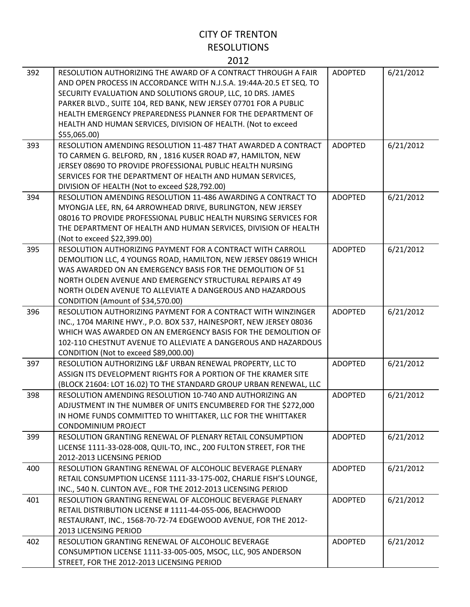| 392 | RESOLUTION AUTHORIZING THE AWARD OF A CONTRACT THROUGH A FAIR<br>AND OPEN PROCESS IN ACCORDANCE WITH N.J.S.A. 19:44A-20.5 ET SEQ. TO<br>SECURITY EVALUATION AND SOLUTIONS GROUP, LLC, 10 DRS. JAMES<br>PARKER BLVD., SUITE 104, RED BANK, NEW JERSEY 07701 FOR A PUBLIC<br>HEALTH EMERGENCY PREPAREDNESS PLANNER FOR THE DEPARTMENT OF<br>HEALTH AND HUMAN SERVICES, DIVISION OF HEALTH. (Not to exceed<br>\$55,065.00) | <b>ADOPTED</b> | 6/21/2012 |
|-----|-------------------------------------------------------------------------------------------------------------------------------------------------------------------------------------------------------------------------------------------------------------------------------------------------------------------------------------------------------------------------------------------------------------------------|----------------|-----------|
| 393 | RESOLUTION AMENDING RESOLUTION 11-487 THAT AWARDED A CONTRACT<br>TO CARMEN G. BELFORD, RN, 1816 KUSER ROAD #7, HAMILTON, NEW<br>JERSEY 08690 TO PROVIDE PROFESSIONAL PUBLIC HEALTH NURSING<br>SERVICES FOR THE DEPARTMENT OF HEALTH AND HUMAN SERVICES,<br>DIVISION OF HEALTH (Not to exceed \$28,792.00)                                                                                                               | <b>ADOPTED</b> | 6/21/2012 |
| 394 | RESOLUTION AMENDING RESOLUTION 11-486 AWARDING A CONTRACT TO<br>MYONGJA LEE, RN, 64 ARROWHEAD DRIVE, BURLINGTON, NEW JERSEY<br>08016 TO PROVIDE PROFESSIONAL PUBLIC HEALTH NURSING SERVICES FOR<br>THE DEPARTMENT OF HEALTH AND HUMAN SERVICES, DIVISION OF HEALTH<br>(Not to exceed \$22,399.00)                                                                                                                       | <b>ADOPTED</b> | 6/21/2012 |
| 395 | RESOLUTION AUTHORIZING PAYMENT FOR A CONTRACT WITH CARROLL<br>DEMOLITION LLC, 4 YOUNGS ROAD, HAMILTON, NEW JERSEY 08619 WHICH<br>WAS AWARDED ON AN EMERGENCY BASIS FOR THE DEMOLITION OF 51<br>NORTH OLDEN AVENUE AND EMERGENCY STRUCTURAL REPAIRS AT 49<br>NORTH OLDEN AVENUE TO ALLEVIATE A DANGEROUS AND HAZARDOUS<br>CONDITION (Amount of \$34,570.00)                                                              | <b>ADOPTED</b> | 6/21/2012 |
| 396 | RESOLUTION AUTHORIZING PAYMENT FOR A CONTRACT WITH WINZINGER<br>INC., 1704 MARINE HWY., P.O. BOX 537, HAINESPORT, NEW JERSEY 08036<br>WHICH WAS AWARDED ON AN EMERGENCY BASIS FOR THE DEMOLITION OF<br>102-110 CHESTNUT AVENUE TO ALLEVIATE A DANGEROUS AND HAZARDOUS<br>CONDITION (Not to exceed \$89,000.00)                                                                                                          | <b>ADOPTED</b> | 6/21/2012 |
| 397 | RESOLUTION AUTHORIZING L&F URBAN RENEWAL PROPERTY, LLC TO<br>ASSIGN ITS DEVELOPMENT RIGHTS FOR A PORTION OF THE KRAMER SITE<br>(BLOCK 21604: LOT 16.02) TO THE STANDARD GROUP URBAN RENEWAL, LLC                                                                                                                                                                                                                        | <b>ADOPTED</b> | 6/21/2012 |
| 398 | RESOLUTION AMENDING RESOLUTION 10-740 AND AUTHORIZING AN<br>ADJUSTMENT IN THE NUMBER OF UNITS ENCUMBERED FOR THE \$272,000<br>IN HOME FUNDS COMMITTED TO WHITTAKER, LLC FOR THE WHITTAKER<br><b>CONDOMINIUM PROJECT</b>                                                                                                                                                                                                 | <b>ADOPTED</b> | 6/21/2012 |
| 399 | RESOLUTION GRANTING RENEWAL OF PLENARY RETAIL CONSUMPTION<br>LICENSE 1111-33-028-008, QUIL-TO, INC., 200 FULTON STREET, FOR THE<br>2012-2013 LICENSING PERIOD                                                                                                                                                                                                                                                           | <b>ADOPTED</b> | 6/21/2012 |
| 400 | RESOLUTION GRANTING RENEWAL OF ALCOHOLIC BEVERAGE PLENARY<br>RETAIL CONSUMPTION LICENSE 1111-33-175-002, CHARLIE FISH'S LOUNGE,<br>INC., 540 N. CLINTON AVE., FOR THE 2012-2013 LICENSING PERIOD                                                                                                                                                                                                                        | <b>ADOPTED</b> | 6/21/2012 |
| 401 | RESOLUTION GRANTING RENEWAL OF ALCOHOLIC BEVERAGE PLENARY<br>RETAIL DISTRIBUTION LICENSE #1111-44-055-006, BEACHWOOD<br>RESTAURANT, INC., 1568-70-72-74 EDGEWOOD AVENUE, FOR THE 2012-<br>2013 LICENSING PERIOD                                                                                                                                                                                                         | <b>ADOPTED</b> | 6/21/2012 |
| 402 | RESOLUTION GRANTING RENEWAL OF ALCOHOLIC BEVERAGE<br>CONSUMPTION LICENSE 1111-33-005-005, MSOC, LLC, 905 ANDERSON<br>STREET, FOR THE 2012-2013 LICENSING PERIOD                                                                                                                                                                                                                                                         | <b>ADOPTED</b> | 6/21/2012 |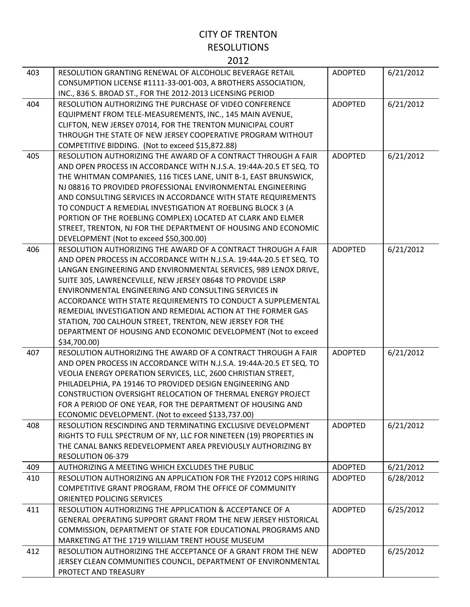#### 403 RESOLUTION GRANTING RENEWAL OF ALCOHOLIC BEVERAGE RETAIL CONSUMPTION LICENSE #1111‐33‐001‐003, A BROTHERS ASSOCIATION, INC., 836 S. BROAD ST., FOR THE 2012‐2013 LICENSING PERIOD ADOPTED 6/21/2012 404 RESOLUTION AUTHORIZING THE PURCHASE OF VIDEO CONFERENCE EQUIPMENT FROM TELE‐MEASUREMENTS, INC., 145 MAIN AVENUE, CLIFTON, NEW JERSEY 07014, FOR THE TRENTON MUNICIPAL COURT THROUGH THE STATE OF NEW JERSEY COOPERATIVE PROGRAM WITHOUT COMPETITIVE BIDDING. (Not to exceed \$15,872.88) ADOPTED 6/21/2012 405 RESOLUTION AUTHORIZING THE AWARD OF A CONTRACT THROUGH A FAIR AND OPEN PROCESS IN ACCORDANCE WITH N.J.S.A. 19:44A‐20.5 ET SEQ. TO THE WHITMAN COMPANIES, 116 TICES LANE, UNIT B‐1, EAST BRUNSWICK, NJ 08816 TO PROVIDED PROFESSIONAL ENVIRONMENTAL ENGINEERING AND CONSULTING SERVICES IN ACCORDANCE WITH STATE REQUIREMENTS TO CONDUCT A REMEDIAL INVESTIGATION AT ROEBLING BLOCK 3 (A PORTION OF THE ROEBLING COMPLEX) LOCATED AT CLARK AND ELMER STREET, TRENTON, NJ FOR THE DEPARTMENT OF HOUSING AND ECONOMIC DEVELOPMENT (Not to exceed \$50,300.00) ADOPTED 6/21/2012 406 RESOLUTION AUTHORIZING THE AWARD OF A CONTRACT THROUGH A FAIR AND OPEN PROCESS IN ACCORDANCE WITH N.J.S.A. 19:44A‐20.5 ET SEQ. TO LANGAN ENGINEERING AND ENVIRONMENTAL SERVICES, 989 LENOX DRIVE, SUITE 305, LAWRENCEVILLE, NEW JERSEY 08648 TO PROVIDE LSRP ENVIRONMENTAL ENGINEERING AND CONSULTING SERVICES IN ACCORDANCE WITH STATE REQUIREMENTS TO CONDUCT A SUPPLEMENTAL REMEDIAL INVESTIGATION AND REMEDIAL ACTION AT THE FORMER GAS STATION, 700 CALHOUN STREET, TRENTON, NEW JERSEY FOR THE DEPARTMENT OF HOUSING AND ECONOMIC DEVELOPMENT (Not to exceed \$34,700.00) ADOPTED 6/21/2012 407 RESOLUTION AUTHORIZING THE AWARD OF A CONTRACT THROUGH A FAIR AND OPEN PROCESS IN ACCORDANCE WITH N.J.S.A. 19:44A‐20.5 ET SEQ. TO VEOLIA ENERGY OPERATION SERVICES, LLC, 2600 CHRISTIAN STREET, PHILADELPHIA, PA 19146 TO PROVIDED DESIGN ENGINEERING AND CONSTRUCTION OVERSIGHT RELOCATION OF THERMAL ENERGY PROJECT FOR A PERIOD OF ONE YEAR, FOR THE DEPARTMENT OF HOUSING AND ECONOMIC DEVELOPMENT. (Not to exceed \$133,737.00) ADOPTED 6/21/2012 408 RESOLUTION RESCINDING AND TERMINATING EXCLUSIVE DEVELOPMENT RIGHTS TO FULL SPECTRUM OF NY, LLC FOR NINETEEN (19) PROPERTIES IN THE CANAL BANKS REDEVELOPMENT AREA PREVIOUSLY AUTHORIZING BY RESOLUTION 06‐379 ADOPTED 6/21/2012 409 | AUTHORIZING A MEETING WHICH EXCLUDES THE PUBLIC | ADOPTED | 6/21/2012 410 RESOLUTION AUTHORIZING AN APPLICATION FOR THE FY2012 COPS HIRING COMPETITIVE GRANT PROGRAM, FROM THE OFFICE OF COMMUNITY ORIENTED POLICING SERVICES ADOPTED 6/28/2012 411 RESOLUTION AUTHORIZING THE APPLICATION & ACCEPTANCE OF A GENERAL OPERATING SUPPORT GRANT FROM THE NEW JERSEY HISTORICAL COMMISSION, DEPARTMENT OF STATE FOR EDUCATIONAL PROGRAMS AND MARKETING AT THE 1719 WILLIAM TRENT HOUSE MUSEUM ADOPTED 6/25/2012 412 RESOLUTION AUTHORIZING THE ACCEPTANCE OF A GRANT FROM THE NEW JERSEY CLEAN COMMUNITIES COUNCIL, DEPARTMENT OF ENVIRONMENTAL ADOPTED 6/25/2012

PROTECT AND TREASURY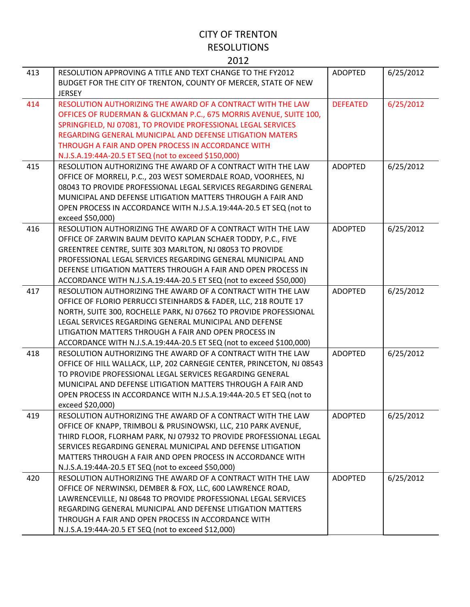| 413 | RESOLUTION APPROVING A TITLE AND TEXT CHANGE TO THE FY2012<br>BUDGET FOR THE CITY OF TRENTON, COUNTY OF MERCER, STATE OF NEW<br><b>JERSEY</b>                                                                                                                                                                                                                                                  | <b>ADOPTED</b>  | 6/25/2012 |
|-----|------------------------------------------------------------------------------------------------------------------------------------------------------------------------------------------------------------------------------------------------------------------------------------------------------------------------------------------------------------------------------------------------|-----------------|-----------|
| 414 | RESOLUTION AUTHORIZING THE AWARD OF A CONTRACT WITH THE LAW<br>OFFICES OF RUDERMAN & GLICKMAN P.C., 675 MORRIS AVENUE, SUITE 100,<br>SPRINGFIELD, NJ 07081, TO PROVIDE PROFESSIONAL LEGAL SERVICES<br>REGARDING GENERAL MUNICIPAL AND DEFENSE LITIGATION MATERS<br>THROUGH A FAIR AND OPEN PROCESS IN ACCORDANCE WITH<br>N.J.S.A.19:44A-20.5 ET SEQ (not to exceed \$150,000)                  | <b>DEFEATED</b> | 6/25/2012 |
| 415 | RESOLUTION AUTHORIZING THE AWARD OF A CONTRACT WITH THE LAW<br>OFFICE OF MORRELI, P.C., 203 WEST SOMERDALE ROAD, VOORHEES, NJ<br>08043 TO PROVIDE PROFESSIONAL LEGAL SERVICES REGARDING GENERAL<br>MUNICIPAL AND DEFENSE LITIGATION MATTERS THROUGH A FAIR AND<br>OPEN PROCESS IN ACCORDANCE WITH N.J.S.A.19:44A-20.5 ET SEQ (not to<br>exceed \$50,000)                                       | <b>ADOPTED</b>  | 6/25/2012 |
| 416 | RESOLUTION AUTHORIZING THE AWARD OF A CONTRACT WITH THE LAW<br>OFFICE OF ZARWIN BAUM DEVITO KAPLAN SCHAER TODDY, P.C., FIVE<br>GREENTREE CENTRE, SUITE 303 MARLTON, NJ 08053 TO PROVIDE<br>PROFESSIONAL LEGAL SERVICES REGARDING GENERAL MUNICIPAL AND<br>DEFENSE LITIGATION MATTERS THROUGH A FAIR AND OPEN PROCESS IN<br>ACCORDANCE WITH N.J.S.A.19:44A-20.5 ET SEQ (not to exceed \$50,000) | <b>ADOPTED</b>  | 6/25/2012 |
| 417 | RESOLUTION AUTHORIZING THE AWARD OF A CONTRACT WITH THE LAW<br>OFFICE OF FLORIO PERRUCCI STEINHARDS & FADER, LLC, 218 ROUTE 17<br>NORTH, SUITE 300, ROCHELLE PARK, NJ 07662 TO PROVIDE PROFESSIONAL<br>LEGAL SERVICES REGARDING GENERAL MUNICIPAL AND DEFENSE<br>LITIGATION MATTERS THROUGH A FAIR AND OPEN PROCESS IN<br>ACCORDANCE WITH N.J.S.A.19:44A-20.5 ET SEQ (not to exceed \$100,000) | <b>ADOPTED</b>  | 6/25/2012 |
| 418 | RESOLUTION AUTHORIZING THE AWARD OF A CONTRACT WITH THE LAW<br>OFFICE OF HILL WALLACK, LLP, 202 CARNEGIE CENTER, PRINCETON, NJ 08543<br>TO PROVIDE PROFESSIONAL LEGAL SERVICES REGARDING GENERAL<br>MUNICIPAL AND DEFENSE LITIGATION MATTERS THROUGH A FAIR AND<br>OPEN PROCESS IN ACCORDANCE WITH N.J.S.A.19:44A-20.5 ET SEQ (not to<br>exceed \$20,000)                                      | <b>ADOPTED</b>  | 6/25/2012 |
| 419 | RESOLUTION AUTHORIZING THE AWARD OF A CONTRACT WITH THE LAW<br>OFFICE OF KNAPP, TRIMBOLI & PRUSINOWSKI, LLC, 210 PARK AVENUE,<br>THIRD FLOOR, FLORHAM PARK, NJ 07932 TO PROVIDE PROFESSIONAL LEGAL<br>SERVICES REGARDING GENERAL MUNICIPAL AND DEFENSE LITIGATION<br>MATTERS THROUGH A FAIR AND OPEN PROCESS IN ACCORDANCE WITH<br>N.J.S.A.19:44A-20.5 ET SEQ (not to exceed \$50,000)         | <b>ADOPTED</b>  | 6/25/2012 |
| 420 | RESOLUTION AUTHORIZING THE AWARD OF A CONTRACT WITH THE LAW<br>OFFICE OF NERWINSKI, DEMBER & FOX, LLC, 600 LAWRENCE ROAD,<br>LAWRENCEVILLE, NJ 08648 TO PROVIDE PROFESSIONAL LEGAL SERVICES<br>REGARDING GENERAL MUNICIPAL AND DEFENSE LITIGATION MATTERS<br>THROUGH A FAIR AND OPEN PROCESS IN ACCORDANCE WITH<br>N.J.S.A.19:44A-20.5 ET SEQ (not to exceed \$12,000)                         | <b>ADOPTED</b>  | 6/25/2012 |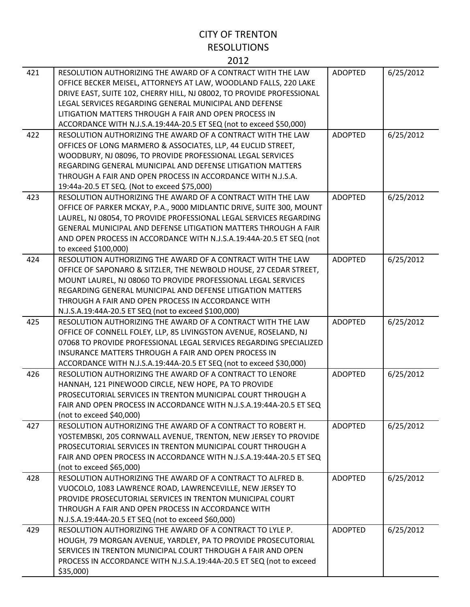| 421 | RESOLUTION AUTHORIZING THE AWARD OF A CONTRACT WITH THE LAW<br>OFFICE BECKER MEISEL, ATTORNEYS AT LAW, WOODLAND FALLS, 220 LAKE<br>DRIVE EAST, SUITE 102, CHERRY HILL, NJ 08002, TO PROVIDE PROFESSIONAL<br>LEGAL SERVICES REGARDING GENERAL MUNICIPAL AND DEFENSE<br>LITIGATION MATTERS THROUGH A FAIR AND OPEN PROCESS IN<br>ACCORDANCE WITH N.J.S.A.19:44A-20.5 ET SEQ (not to exceed \$50,000) | <b>ADOPTED</b> | 6/25/2012 |
|-----|----------------------------------------------------------------------------------------------------------------------------------------------------------------------------------------------------------------------------------------------------------------------------------------------------------------------------------------------------------------------------------------------------|----------------|-----------|
| 422 | RESOLUTION AUTHORIZING THE AWARD OF A CONTRACT WITH THE LAW<br>OFFICES OF LONG MARMERO & ASSOCIATES, LLP, 44 EUCLID STREET,<br>WOODBURY, NJ 08096, TO PROVIDE PROFESSIONAL LEGAL SERVICES<br>REGARDING GENERAL MUNICIPAL AND DEFENSE LITIGATION MATTERS<br>THROUGH A FAIR AND OPEN PROCESS IN ACCORDANCE WITH N.J.S.A.<br>19:44a-20.5 ET SEQ. (Not to exceed \$75,000)                             | <b>ADOPTED</b> | 6/25/2012 |
| 423 | RESOLUTION AUTHORIZING THE AWARD OF A CONTRACT WITH THE LAW<br>OFFICE OF PARKER MCKAY, P.A., 9000 MIDLANTIC DRIVE, SUITE 300, MOUNT<br>LAUREL, NJ 08054, TO PROVIDE PROFESSIONAL LEGAL SERVICES REGARDING<br><b>GENERAL MUNICIPAL AND DEFENSE LITIGATION MATTERS THROUGH A FAIR</b><br>AND OPEN PROCESS IN ACCORDANCE WITH N.J.S.A.19:44A-20.5 ET SEQ (not<br>to exceed \$100,000)                 | <b>ADOPTED</b> | 6/25/2012 |
| 424 | RESOLUTION AUTHORIZING THE AWARD OF A CONTRACT WITH THE LAW<br>OFFICE OF SAPONARO & SITZLER, THE NEWBOLD HOUSE, 27 CEDAR STREET,<br>MOUNT LAUREL, NJ 08060 TO PROVIDE PROFESSIONAL LEGAL SERVICES<br>REGARDING GENERAL MUNICIPAL AND DEFENSE LITIGATION MATTERS<br>THROUGH A FAIR AND OPEN PROCESS IN ACCORDANCE WITH<br>N.J.S.A.19:44A-20.5 ET SEQ (not to exceed \$100,000)                      | <b>ADOPTED</b> | 6/25/2012 |
| 425 | RESOLUTION AUTHORIZING THE AWARD OF A CONTRACT WITH THE LAW<br>OFFICE OF CONNELL FOLEY, LLP, 85 LIVINGSTON AVENUE, ROSELAND, NJ<br>07068 TO PROVIDE PROFESSIONAL LEGAL SERVICES REGARDING SPECIALIZED<br>INSURANCE MATTERS THROUGH A FAIR AND OPEN PROCESS IN<br>ACCORDANCE WITH N.J.S.A.19:44A-20.5 ET SEQ (not to exceed \$30,000)                                                               | <b>ADOPTED</b> | 6/25/2012 |
| 426 | RESOLUTION AUTHORIZING THE AWARD OF A CONTRACT TO LENORE<br>HANNAH, 121 PINEWOOD CIRCLE, NEW HOPE, PA TO PROVIDE<br>PROSECUTORIAL SERVICES IN TRENTON MUNICIPAL COURT THROUGH A<br>FAIR AND OPEN PROCESS IN ACCORDANCE WITH N.J.S.A.19:44A-20.5 ET SEQ<br>(not to exceed \$40,000)                                                                                                                 | <b>ADOPTED</b> | 6/25/2012 |
| 427 | RESOLUTION AUTHORIZING THE AWARD OF A CONTRACT TO ROBERT H.<br>YOSTEMBSKI, 205 CORNWALL AVENUE, TRENTON, NEW JERSEY TO PROVIDE<br>PROSECUTORIAL SERVICES IN TRENTON MUNICIPAL COURT THROUGH A<br>FAIR AND OPEN PROCESS IN ACCORDANCE WITH N.J.S.A.19:44A-20.5 ET SEQ<br>(not to exceed \$65,000)                                                                                                   | <b>ADOPTED</b> | 6/25/2012 |
| 428 | RESOLUTION AUTHORIZING THE AWARD OF A CONTRACT TO ALFRED B.<br>VUOCOLO, 1083 LAWRENCE ROAD, LAWRENCEVILLE, NEW JERSEY TO<br>PROVIDE PROSECUTORIAL SERVICES IN TRENTON MUNICIPAL COURT<br>THROUGH A FAIR AND OPEN PROCESS IN ACCORDANCE WITH<br>N.J.S.A.19:44A-20.5 ET SEQ (not to exceed \$60,000)                                                                                                 | ADOPTED        | 6/25/2012 |
| 429 | RESOLUTION AUTHORIZING THE AWARD OF A CONTRACT TO LYLE P.<br>HOUGH, 79 MORGAN AVENUE, YARDLEY, PA TO PROVIDE PROSECUTORIAL<br>SERVICES IN TRENTON MUNICIPAL COURT THROUGH A FAIR AND OPEN<br>PROCESS IN ACCORDANCE WITH N.J.S.A.19:44A-20.5 ET SEQ (not to exceed<br>\$35,000                                                                                                                      | <b>ADOPTED</b> | 6/25/2012 |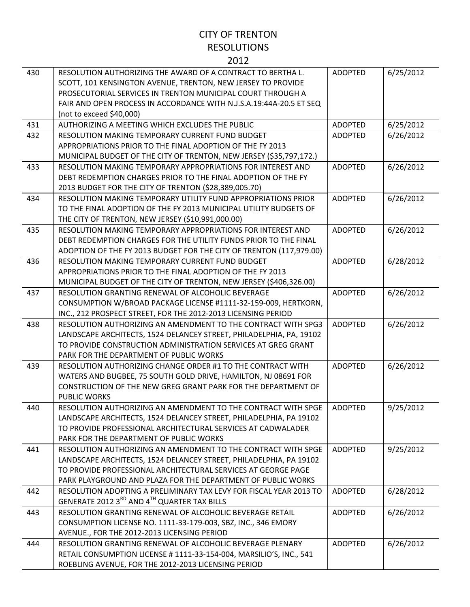| 430 | RESOLUTION AUTHORIZING THE AWARD OF A CONTRACT TO BERTHA L.<br>SCOTT, 101 KENSINGTON AVENUE, TRENTON, NEW JERSEY TO PROVIDE<br>PROSECUTORIAL SERVICES IN TRENTON MUNICIPAL COURT THROUGH A | <b>ADOPTED</b> | 6/25/2012 |
|-----|--------------------------------------------------------------------------------------------------------------------------------------------------------------------------------------------|----------------|-----------|
|     | FAIR AND OPEN PROCESS IN ACCORDANCE WITH N.J.S.A.19:44A-20.5 ET SEQ<br>(not to exceed \$40,000)                                                                                            |                |           |
| 431 | AUTHORIZING A MEETING WHICH EXCLUDES THE PUBLIC                                                                                                                                            | <b>ADOPTED</b> | 6/25/2012 |
| 432 | RESOLUTION MAKING TEMPORARY CURRENT FUND BUDGET                                                                                                                                            | <b>ADOPTED</b> | 6/26/2012 |
|     | APPROPRIATIONS PRIOR TO THE FINAL ADOPTION OF THE FY 2013                                                                                                                                  |                |           |
|     | MUNICIPAL BUDGET OF THE CITY OF TRENTON, NEW JERSEY (\$35,797,172.)                                                                                                                        |                |           |
| 433 | RESOLUTION MAKING TEMPORARY APPROPRIATIONS FOR INTEREST AND                                                                                                                                | <b>ADOPTED</b> | 6/26/2012 |
|     | DEBT REDEMPTION CHARGES PRIOR TO THE FINAL ADOPTION OF THE FY                                                                                                                              |                |           |
|     | 2013 BUDGET FOR THE CITY OF TRENTON (\$28,389,005.70)                                                                                                                                      |                |           |
| 434 | RESOLUTION MAKING TEMPORARY UTILITY FUND APPROPRIATIONS PRIOR                                                                                                                              | <b>ADOPTED</b> | 6/26/2012 |
|     | TO THE FINAL ADOPTION OF THE FY 2013 MUNICIPAL UTILITY BUDGETS OF                                                                                                                          |                |           |
|     | THE CITY OF TRENTON, NEW JERSEY (\$10,991,000.00)                                                                                                                                          |                |           |
| 435 | RESOLUTION MAKING TEMPORARY APPROPRIATIONS FOR INTEREST AND                                                                                                                                | <b>ADOPTED</b> | 6/26/2012 |
|     | DEBT REDEMPTION CHARGES FOR THE UTILITY FUNDS PRIOR TO THE FINAL                                                                                                                           |                |           |
|     | ADOPTION OF THE FY 2013 BUDGET FOR THE CITY OF TRENTON (117,979.00)                                                                                                                        |                |           |
| 436 | RESOLUTION MAKING TEMPORARY CURRENT FUND BUDGET<br>APPROPRIATIONS PRIOR TO THE FINAL ADOPTION OF THE FY 2013                                                                               | <b>ADOPTED</b> | 6/28/2012 |
|     | MUNICIPAL BUDGET OF THE CITY OF TRENTON, NEW JERSEY (\$406,326.00)                                                                                                                         |                |           |
| 437 | RESOLUTION GRANTING RENEWAL OF ALCOHOLIC BEVERAGE                                                                                                                                          | <b>ADOPTED</b> | 6/26/2012 |
|     | CONSUMPTION W/BROAD PACKAGE LICENSE #1111-32-159-009, HERTKORN,                                                                                                                            |                |           |
|     | INC., 212 PROSPECT STREET, FOR THE 2012-2013 LICENSING PERIOD                                                                                                                              |                |           |
| 438 | RESOLUTION AUTHORIZING AN AMENDMENT TO THE CONTRACT WITH SPG3                                                                                                                              | <b>ADOPTED</b> | 6/26/2012 |
|     | LANDSCAPE ARCHITECTS, 1524 DELANCEY STREET, PHILADELPHIA, PA, 19102                                                                                                                        |                |           |
|     | TO PROVIDE CONSTRUCTION ADMINISTRATION SERVICES AT GREG GRANT                                                                                                                              |                |           |
|     | PARK FOR THE DEPARTMENT OF PUBLIC WORKS                                                                                                                                                    |                |           |
| 439 | RESOLUTION AUTHORIZING CHANGE ORDER #1 TO THE CONTRACT WITH                                                                                                                                | <b>ADOPTED</b> | 6/26/2012 |
|     | WATERS AND BUGBEE, 75 SOUTH GOLD DRIVE, HAMILTON, NJ 08691 FOR                                                                                                                             |                |           |
|     | CONSTRUCTION OF THE NEW GREG GRANT PARK FOR THE DEPARTMENT OF                                                                                                                              |                |           |
|     | <b>PUBLIC WORKS</b>                                                                                                                                                                        |                |           |
| 440 | RESOLUTION AUTHORIZING AN AMENDMENT TO THE CONTRACT WITH SPGE                                                                                                                              | <b>ADOPTED</b> | 9/25/2012 |
|     | LANDSCAPE ARCHITECTS, 1524 DELANCEY STREET, PHILADELPHIA, PA 19102                                                                                                                         |                |           |
|     | TO PROVIDE PROFESSIONAL ARCHITECTURAL SERVICES AT CADWALADER<br>PARK FOR THE DEPARTMENT OF PUBLIC WORKS                                                                                    |                |           |
| 441 | RESOLUTION AUTHORIZING AN AMENDMENT TO THE CONTRACT WITH SPGE                                                                                                                              | <b>ADOPTED</b> | 9/25/2012 |
|     | LANDSCAPE ARCHITECTS, 1524 DELANCEY STREET, PHILADELPHIA, PA 19102                                                                                                                         |                |           |
|     | TO PROVIDE PROFESSIONAL ARCHITECTURAL SERVICES AT GEORGE PAGE                                                                                                                              |                |           |
|     | PARK PLAYGROUND AND PLAZA FOR THE DEPARTMENT OF PUBLIC WORKS                                                                                                                               |                |           |
| 442 | RESOLUTION ADOPTING A PRELIMINARY TAX LEVY FOR FISCAL YEAR 2013 TO                                                                                                                         | <b>ADOPTED</b> | 6/28/2012 |
|     | GENERATE 2012 3RD AND 4TH QUARTER TAX BILLS                                                                                                                                                |                |           |
| 443 | RESOLUTION GRANTING RENEWAL OF ALCOHOLIC BEVERAGE RETAIL                                                                                                                                   | <b>ADOPTED</b> | 6/26/2012 |
|     | CONSUMPTION LICENSE NO. 1111-33-179-003, SBZ, INC., 346 EMORY                                                                                                                              |                |           |
|     | AVENUE., FOR THE 2012-2013 LICENSING PERIOD                                                                                                                                                |                |           |
| 444 | RESOLUTION GRANTING RENEWAL OF ALCOHOLIC BEVERAGE PLENARY                                                                                                                                  | <b>ADOPTED</b> | 6/26/2012 |
|     | RETAIL CONSUMPTION LICENSE #1111-33-154-004, MARSILIO'S, INC., 541                                                                                                                         |                |           |
|     | ROEBLING AVENUE, FOR THE 2012-2013 LICENSING PERIOD                                                                                                                                        |                |           |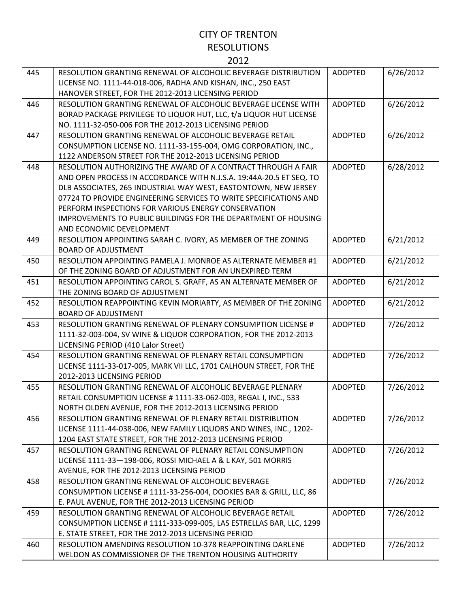| 445 | RESOLUTION GRANTING RENEWAL OF ALCOHOLIC BEVERAGE DISTRIBUTION<br>LICENSE NO. 1111-44-018-006, RADHA AND KISHAN, INC., 250 EAST | <b>ADOPTED</b> | 6/26/2012 |
|-----|---------------------------------------------------------------------------------------------------------------------------------|----------------|-----------|
|     | HANOVER STREET, FOR THE 2012-2013 LICENSING PERIOD                                                                              |                |           |
| 446 | RESOLUTION GRANTING RENEWAL OF ALCOHOLIC BEVERAGE LICENSE WITH                                                                  | <b>ADOPTED</b> | 6/26/2012 |
|     | BORAD PACKAGE PRIVILEGE TO LIQUOR HUT, LLC, t/a LIQUOR HUT LICENSE                                                              |                |           |
|     | NO. 1111-32-050-006 FOR THE 2012-2013 LICENSING PERIOD                                                                          |                |           |
| 447 | RESOLUTION GRANTING RENEWAL OF ALCOHOLIC BEVERAGE RETAIL                                                                        | <b>ADOPTED</b> | 6/26/2012 |
|     | CONSUMPTION LICENSE NO. 1111-33-155-004, OMG CORPORATION, INC.,                                                                 |                |           |
|     | 1122 ANDERSON STREET FOR THE 2012-2013 LICENSING PERIOD                                                                         |                |           |
| 448 | RESOLUTION AUTHORIZING THE AWARD OF A CONTRACT THROUGH A FAIR                                                                   | <b>ADOPTED</b> | 6/28/2012 |
|     | AND OPEN PROCESS IN ACCORDANCE WITH N.J.S.A. 19:44A-20.5 ET SEQ. TO                                                             |                |           |
|     | DLB ASSOCIATES, 265 INDUSTRIAL WAY WEST, EASTONTOWN, NEW JERSEY                                                                 |                |           |
|     | 07724 TO PROVIDE ENGINEERING SERVICES TO WRITE SPECIFICATIONS AND                                                               |                |           |
|     | PERFORM INSPECTIONS FOR VARIOUS ENERGY CONSERVATION                                                                             |                |           |
|     | <b>IMPROVEMENTS TO PUBLIC BUILDINGS FOR THE DEPARTMENT OF HOUSING</b>                                                           |                |           |
|     | AND ECONOMIC DEVELOPMENT                                                                                                        |                |           |
| 449 | RESOLUTION APPOINTING SARAH C. IVORY, AS MEMBER OF THE ZONING                                                                   | <b>ADOPTED</b> | 6/21/2012 |
|     | <b>BOARD OF ADJUSTMENT</b>                                                                                                      |                |           |
| 450 | RESOLUTION APPOINTING PAMELA J. MONROE AS ALTERNATE MEMBER #1                                                                   | <b>ADOPTED</b> | 6/21/2012 |
|     | OF THE ZONING BOARD OF ADJUSTMENT FOR AN UNEXPIRED TERM                                                                         |                |           |
| 451 | RESOLUTION APPOINTING CAROL S. GRAFF, AS AN ALTERNATE MEMBER OF                                                                 | <b>ADOPTED</b> | 6/21/2012 |
|     | THE ZONING BOARD OF ADJUSTMENT                                                                                                  |                |           |
| 452 | RESOLUTION REAPPOINTING KEVIN MORIARTY, AS MEMBER OF THE ZONING                                                                 | <b>ADOPTED</b> | 6/21/2012 |
|     | <b>BOARD OF ADJUSTMENT</b>                                                                                                      |                |           |
| 453 | RESOLUTION GRANTING RENEWAL OF PLENARY CONSUMPTION LICENSE #                                                                    | <b>ADOPTED</b> | 7/26/2012 |
|     | 1111-32-003-004, SV WINE & LIQUOR CORPORATION, FOR THE 2012-2013                                                                |                |           |
|     | LICENSING PERIOD (410 Lalor Street)                                                                                             |                |           |
| 454 | RESOLUTION GRANTING RENEWAL OF PLENARY RETAIL CONSUMPTION                                                                       | <b>ADOPTED</b> | 7/26/2012 |
|     | LICENSE 1111-33-017-005, MARK VII LLC, 1701 CALHOUN STREET, FOR THE                                                             |                |           |
|     | 2012-2013 LICENSING PERIOD                                                                                                      |                |           |
| 455 | RESOLUTION GRANTING RENEWAL OF ALCOHOLIC BEVERAGE PLENARY                                                                       | <b>ADOPTED</b> | 7/26/2012 |
|     | RETAIL CONSUMPTION LICENSE # 1111-33-062-003, REGAL I, INC., 533                                                                |                |           |
|     | NORTH OLDEN AVENUE, FOR THE 2012-2013 LICENSING PERIOD                                                                          |                |           |
| 456 | RESOLUTION GRANTING RENEWAL OF PLENARY RETAIL DISTRIBUTION                                                                      | <b>ADOPTED</b> | 7/26/2012 |
|     | LICENSE 1111-44-038-006, NEW FAMILY LIQUORS AND WINES, INC., 1202-                                                              |                |           |
|     | 1204 EAST STATE STREET, FOR THE 2012-2013 LICENSING PERIOD                                                                      |                |           |
| 457 | RESOLUTION GRANTING RENEWAL OF PLENARY RETAIL CONSUMPTION                                                                       | <b>ADOPTED</b> | 7/26/2012 |
|     | LICENSE 1111-33-198-006, ROSSI MICHAEL A & L KAY, 501 MORRIS                                                                    |                |           |
|     | AVENUE, FOR THE 2012-2013 LICENSING PERIOD                                                                                      |                |           |
| 458 | RESOLUTION GRANTING RENEWAL OF ALCOHOLIC BEVERAGE                                                                               | <b>ADOPTED</b> | 7/26/2012 |
|     | CONSUMPTION LICENSE # 1111-33-256-004, DOOKIES BAR & GRILL, LLC, 86                                                             |                |           |
|     | E. PAUL AVENUE, FOR THE 2012-2013 LICENSING PERIOD                                                                              |                |           |
| 459 | RESOLUTION GRANTING RENEWAL OF ALCOHOLIC BEVERAGE RETAIL                                                                        | <b>ADOPTED</b> | 7/26/2012 |
|     | CONSUMPTION LICENSE # 1111-333-099-005, LAS ESTRELLAS BAR, LLC, 1299                                                            |                |           |
|     | E. STATE STREET, FOR THE 2012-2013 LICENSING PERIOD                                                                             |                |           |
| 460 | <b>RESOLUTION AMENDING RESOLUTION 10-378 REAPPOINTING DARLENE</b>                                                               | <b>ADOPTED</b> | 7/26/2012 |
|     | WELDON AS COMMISSIONER OF THE TRENTON HOUSING AUTHORITY                                                                         |                |           |
|     |                                                                                                                                 |                |           |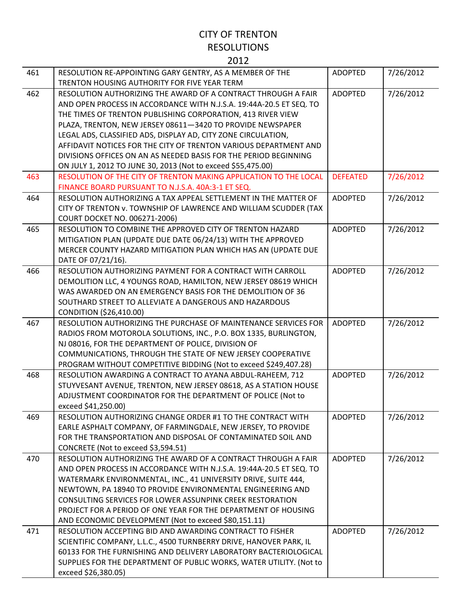| 461 | RESOLUTION RE-APPOINTING GARY GENTRY, AS A MEMBER OF THE<br>TRENTON HOUSING AUTHORITY FOR FIVE YEAR TERM                                                                                                                                                                                                                                                                                                                                                                                                                                   | <b>ADOPTED</b>  | 7/26/2012 |
|-----|--------------------------------------------------------------------------------------------------------------------------------------------------------------------------------------------------------------------------------------------------------------------------------------------------------------------------------------------------------------------------------------------------------------------------------------------------------------------------------------------------------------------------------------------|-----------------|-----------|
| 462 | RESOLUTION AUTHORIZING THE AWARD OF A CONTRACT THROUGH A FAIR<br>AND OPEN PROCESS IN ACCORDANCE WITH N.J.S.A. 19:44A-20.5 ET SEQ. TO<br>THE TIMES OF TRENTON PUBLISHING CORPORATION, 413 RIVER VIEW<br>PLAZA, TRENTON, NEW JERSEY 08611-3420 TO PROVIDE NEWSPAPER<br>LEGAL ADS, CLASSIFIED ADS, DISPLAY AD, CITY ZONE CIRCULATION,<br>AFFIDAVIT NOTICES FOR THE CITY OF TRENTON VARIOUS DEPARTMENT AND<br>DIVISIONS OFFICES ON AN AS NEEDED BASIS FOR THE PERIOD BEGINNING<br>ON JULY 1, 2012 TO JUNE 30, 2013 (Not to exceed \$55,475.00) | <b>ADOPTED</b>  | 7/26/2012 |
| 463 | RESOLUTION OF THE CITY OF TRENTON MAKING APPLICATION TO THE LOCAL<br>FINANCE BOARD PURSUANT TO N.J.S.A. 40A:3-1 ET SEQ.                                                                                                                                                                                                                                                                                                                                                                                                                    | <b>DEFEATED</b> | 7/26/2012 |
| 464 | RESOLUTION AUTHORIZING A TAX APPEAL SETTLEMENT IN THE MATTER OF<br>CITY OF TRENTON v. TOWNSHIP OF LAWRENCE AND WILLIAM SCUDDER (TAX<br><b>COURT DOCKET NO. 006271-2006)</b>                                                                                                                                                                                                                                                                                                                                                                | <b>ADOPTED</b>  | 7/26/2012 |
| 465 | RESOLUTION TO COMBINE THE APPROVED CITY OF TRENTON HAZARD<br>MITIGATION PLAN (UPDATE DUE DATE 06/24/13) WITH THE APPROVED<br>MERCER COUNTY HAZARD MITIGATION PLAN WHICH HAS AN (UPDATE DUE<br>DATE OF 07/21/16).                                                                                                                                                                                                                                                                                                                           | <b>ADOPTED</b>  | 7/26/2012 |
| 466 | RESOLUTION AUTHORIZING PAYMENT FOR A CONTRACT WITH CARROLL<br>DEMOLITION LLC, 4 YOUNGS ROAD, HAMILTON, NEW JERSEY 08619 WHICH<br>WAS AWARDED ON AN EMERGENCY BASIS FOR THE DEMOLITION OF 36<br>SOUTHARD STREET TO ALLEVIATE A DANGEROUS AND HAZARDOUS<br>CONDITION (\$26,410.00)                                                                                                                                                                                                                                                           | <b>ADOPTED</b>  | 7/26/2012 |
| 467 | RESOLUTION AUTHORIZING THE PURCHASE OF MAINTENANCE SERVICES FOR<br>RADIOS FROM MOTOROLA SOLUTIONS, INC., P.O. BOX 1335, BURLINGTON,<br>NJ 08016, FOR THE DEPARTMENT OF POLICE, DIVISION OF<br>COMMUNICATIONS, THROUGH THE STATE OF NEW JERSEY COOPERATIVE<br>PROGRAM WITHOUT COMPETITIVE BIDDING (Not to exceed \$249,407.28)                                                                                                                                                                                                              | <b>ADOPTED</b>  | 7/26/2012 |
| 468 | RESOLUTION AWARDING A CONTRACT TO AYANA ABDUL-RAHEEM, 712<br>STUYVESANT AVENUE, TRENTON, NEW JERSEY 08618, AS A STATION HOUSE<br>ADJUSTMENT COORDINATOR FOR THE DEPARTMENT OF POLICE (Not to<br>exceed \$41,250.00)                                                                                                                                                                                                                                                                                                                        | <b>ADOPTED</b>  | 7/26/2012 |
| 469 | RESOLUTION AUTHORIZING CHANGE ORDER #1 TO THE CONTRACT WITH<br>EARLE ASPHALT COMPANY, OF FARMINGDALE, NEW JERSEY, TO PROVIDE<br>FOR THE TRANSPORTATION AND DISPOSAL OF CONTAMINATED SOIL AND<br>CONCRETE (Not to exceed \$3,594.51)                                                                                                                                                                                                                                                                                                        | <b>ADOPTED</b>  | 7/26/2012 |
| 470 | RESOLUTION AUTHORIZING THE AWARD OF A CONTRACT THROUGH A FAIR<br>AND OPEN PROCESS IN ACCORDANCE WITH N.J.S.A. 19:44A-20.5 ET SEQ. TO<br>WATERMARK ENVIRONMENTAL, INC., 41 UNIVERSITY DRIVE, SUITE 444,<br>NEWTOWN, PA 18940 TO PROVIDE ENVIRONMENTAL ENGINEERING AND<br><b>CONSULTING SERVICES FOR LOWER ASSUNPINK CREEK RESTORATION</b><br>PROJECT FOR A PERIOD OF ONE YEAR FOR THE DEPARTMENT OF HOUSING<br>AND ECONOMIC DEVELOPMENT (Not to exceed \$80,151.11)                                                                         | <b>ADOPTED</b>  | 7/26/2012 |
| 471 | RESOLUTION ACCEPTING BID AND AWARDING CONTRACT TO FISHER<br>SCIENTIFIC COMPANY, L.L.C., 4500 TURNBERRY DRIVE, HANOVER PARK, IL<br>60133 FOR THE FURNISHING AND DELIVERY LABORATORY BACTERIOLOGICAL<br>SUPPLIES FOR THE DEPARTMENT OF PUBLIC WORKS, WATER UTILITY. (Not to<br>exceed \$26,380.05)                                                                                                                                                                                                                                           | <b>ADOPTED</b>  | 7/26/2012 |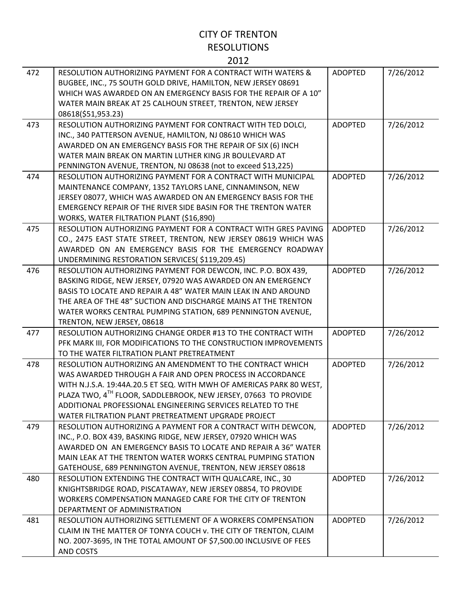| 472 | RESOLUTION AUTHORIZING PAYMENT FOR A CONTRACT WITH WATERS &<br>BUGBEE, INC., 75 SOUTH GOLD DRIVE, HAMILTON, NEW JERSEY 08691<br>WHICH WAS AWARDED ON AN EMERGENCY BASIS FOR THE REPAIR OF A 10"<br>WATER MAIN BREAK AT 25 CALHOUN STREET, TRENTON, NEW JERSEY<br>08618(\$51,953.23)                                                                                                                 | <b>ADOPTED</b> | 7/26/2012 |
|-----|-----------------------------------------------------------------------------------------------------------------------------------------------------------------------------------------------------------------------------------------------------------------------------------------------------------------------------------------------------------------------------------------------------|----------------|-----------|
| 473 | RESOLUTION AUTHORIZING PAYMENT FOR CONTRACT WITH TED DOLCI,<br>INC., 340 PATTERSON AVENUE, HAMILTON, NJ 08610 WHICH WAS<br>AWARDED ON AN EMERGENCY BASIS FOR THE REPAIR OF SIX (6) INCH<br>WATER MAIN BREAK ON MARTIN LUTHER KING JR BOULEVARD AT<br>PENNINGTON AVENUE, TRENTON, NJ 08638 (not to exceed \$13,225)                                                                                  | <b>ADOPTED</b> | 7/26/2012 |
| 474 | RESOLUTION AUTHORIZING PAYMENT FOR A CONTRACT WITH MUNICIPAL<br>MAINTENANCE COMPANY, 1352 TAYLORS LANE, CINNAMINSON, NEW<br>JERSEY 08077, WHICH WAS AWARDED ON AN EMERGENCY BASIS FOR THE<br>EMERGENCY REPAIR OF THE RIVER SIDE BASIN FOR THE TRENTON WATER<br>WORKS, WATER FILTRATION PLANT (\$16,890)                                                                                             | <b>ADOPTED</b> | 7/26/2012 |
| 475 | RESOLUTION AUTHORIZING PAYMENT FOR A CONTRACT WITH GRES PAVING<br>CO., 2475 EAST STATE STREET, TRENTON, NEW JERSEY 08619 WHICH WAS<br>AWARDED ON AN EMERGENCY BASIS FOR THE EMERGENCY ROADWAY<br>UNDERMINING RESTORATION SERVICES(\$119,209.45)                                                                                                                                                     | <b>ADOPTED</b> | 7/26/2012 |
| 476 | RESOLUTION AUTHORIZING PAYMENT FOR DEWCON, INC. P.O. BOX 439,<br>BASKING RIDGE, NEW JERSEY, 07920 WAS AWARDED ON AN EMERGENCY<br>BASIS TO LOCATE AND REPAIR A 48" WATER MAIN LEAK IN AND AROUND<br>THE AREA OF THE 48" SUCTION AND DISCHARGE MAINS AT THE TRENTON<br>WATER WORKS CENTRAL PUMPING STATION, 689 PENNINGTON AVENUE,<br>TRENTON, NEW JERSEY, 08618                                      | <b>ADOPTED</b> | 7/26/2012 |
| 477 | RESOLUTION AUTHORIZING CHANGE ORDER #13 TO THE CONTRACT WITH<br>PFK MARK III, FOR MODIFICATIONS TO THE CONSTRUCTION IMPROVEMENTS<br>TO THE WATER FILTRATION PLANT PRETREATMENT                                                                                                                                                                                                                      | <b>ADOPTED</b> | 7/26/2012 |
| 478 | RESOLUTION AUTHORIZING AN AMENDMENT TO THE CONTRACT WHICH<br>WAS AWARDED THROUGH A FAIR AND OPEN PROCESS IN ACCORDANCE<br>WITH N.J.S.A. 19:44A.20.5 ET SEQ. WITH MWH OF AMERICAS PARK 80 WEST,<br>PLAZA TWO, 4 <sup>TH</sup> FLOOR, SADDLEBROOK, NEW JERSEY, 07663 TO PROVIDE<br>ADDITIONAL PROFESSIONAL ENGINEERING SERVICES RELATED TO THE<br>WATER FILTRATION PLANT PRETREATMENT UPGRADE PROJECT | <b>ADOPTED</b> | 7/26/2012 |
| 479 | RESOLUTION AUTHORIZING A PAYMENT FOR A CONTRACT WITH DEWCON,<br>INC., P.O. BOX 439, BASKING RIDGE, NEW JERSEY, 07920 WHICH WAS<br>AWARDED ON AN EMERGENCY BASIS TO LOCATE AND REPAIR A 36" WATER<br>MAIN LEAK AT THE TRENTON WATER WORKS CENTRAL PUMPING STATION<br>GATEHOUSE, 689 PENNINGTON AVENUE, TRENTON, NEW JERSEY 08618                                                                     | <b>ADOPTED</b> | 7/26/2012 |
| 480 | RESOLUTION EXTENDING THE CONTRACT WITH QUALCARE, INC., 30<br>KNIGHTSBRIDGE ROAD, PISCATAWAY, NEW JERSEY 08854, TO PROVIDE<br>WORKERS COMPENSATION MANAGED CARE FOR THE CITY OF TRENTON<br>DEPARTMENT OF ADMINISTRATION                                                                                                                                                                              | <b>ADOPTED</b> | 7/26/2012 |
| 481 | RESOLUTION AUTHORIZING SETTLEMENT OF A WORKERS COMPENSATION<br>CLAIM IN THE MATTER OF TONYA COUCH v. THE CITY OF TRENTON, CLAIM<br>NO. 2007-3695, IN THE TOTAL AMOUNT OF \$7,500.00 INCLUSIVE OF FEES<br>AND COSTS                                                                                                                                                                                  | <b>ADOPTED</b> | 7/26/2012 |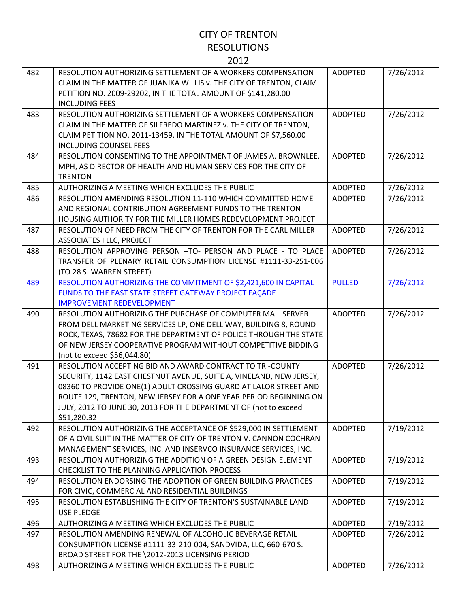| 482 | RESOLUTION AUTHORIZING SETTLEMENT OF A WORKERS COMPENSATION<br>CLAIM IN THE MATTER OF JUANIKA WILLIS v. THE CITY OF TRENTON, CLAIM<br>PETITION NO. 2009-29202, IN THE TOTAL AMOUNT OF \$141,280.00<br><b>INCLUDING FEES</b>                                                                                                                                  | <b>ADOPTED</b> | 7/26/2012 |
|-----|--------------------------------------------------------------------------------------------------------------------------------------------------------------------------------------------------------------------------------------------------------------------------------------------------------------------------------------------------------------|----------------|-----------|
| 483 | RESOLUTION AUTHORIZING SETTLEMENT OF A WORKERS COMPENSATION<br>CLAIM IN THE MATTER OF SILFREDO MARTINEZ v. THE CITY OF TRENTON,<br>CLAIM PETITION NO. 2011-13459, IN THE TOTAL AMOUNT OF \$7,560.00<br><b>INCLUDING COUNSEL FEES</b>                                                                                                                         | <b>ADOPTED</b> | 7/26/2012 |
| 484 | RESOLUTION CONSENTING TO THE APPOINTMENT OF JAMES A. BROWNLEE,<br>MPH, AS DIRECTOR OF HEALTH AND HUMAN SERVICES FOR THE CITY OF<br><b>TRENTON</b>                                                                                                                                                                                                            | <b>ADOPTED</b> | 7/26/2012 |
| 485 | AUTHORIZING A MEETING WHICH EXCLUDES THE PUBLIC                                                                                                                                                                                                                                                                                                              | <b>ADOPTED</b> | 7/26/2012 |
| 486 | RESOLUTION AMENDING RESOLUTION 11-110 WHICH COMMITTED HOME<br>AND REGIONAL CONTRIBUTION AGREEMENT FUNDS TO THE TRENTON<br>HOUSING AUTHORITY FOR THE MILLER HOMES REDEVELOPMENT PROJECT                                                                                                                                                                       | <b>ADOPTED</b> | 7/26/2012 |
| 487 | RESOLUTION OF NEED FROM THE CITY OF TRENTON FOR THE CARL MILLER<br><b>ASSOCIATES I LLC, PROJECT</b>                                                                                                                                                                                                                                                          | <b>ADOPTED</b> | 7/26/2012 |
| 488 | RESOLUTION APPROVING PERSON -TO- PERSON AND PLACE - TO PLACE<br>TRANSFER OF PLENARY RETAIL CONSUMPTION LICENSE #1111-33-251-006<br>(TO 28 S. WARREN STREET)                                                                                                                                                                                                  | <b>ADOPTED</b> | 7/26/2012 |
| 489 | RESOLUTION AUTHORIZING THE COMMITMENT OF \$2,421,600 IN CAPITAL<br>FUNDS TO THE EAST STATE STREET GATEWAY PROJECT FAÇADE<br><b>IMPROVEMENT REDEVELOPMENT</b>                                                                                                                                                                                                 | <b>PULLED</b>  | 7/26/2012 |
| 490 | RESOLUTION AUTHORIZING THE PURCHASE OF COMPUTER MAIL SERVER<br>FROM DELL MARKETING SERVICES LP, ONE DELL WAY, BUILDING 8, ROUND<br>ROCK, TEXAS, 78682 FOR THE DEPARTMENT OF POLICE THROUGH THE STATE<br>OF NEW JERSEY COOPERATIVE PROGRAM WITHOUT COMPETITIVE BIDDING<br>(not to exceed \$56,044.80)                                                         | <b>ADOPTED</b> | 7/26/2012 |
| 491 | RESOLUTION ACCEPTING BID AND AWARD CONTRACT TO TRI-COUNTY<br>SECURITY, 1142 EAST CHESTNUT AVENUE, SUITE A, VINELAND, NEW JERSEY,<br>08360 TO PROVIDE ONE(1) ADULT CROSSING GUARD AT LALOR STREET AND<br>ROUTE 129, TRENTON, NEW JERSEY FOR A ONE YEAR PERIOD BEGINNING ON<br>JULY, 2012 TO JUNE 30, 2013 FOR THE DEPARTMENT OF (not to exceed<br>\$51,280.32 | <b>ADOPTED</b> | 7/26/2012 |
| 492 | RESOLUTION AUTHORIZING THE ACCEPTANCE OF \$529,000 IN SETTLEMENT<br>OF A CIVIL SUIT IN THE MATTER OF CITY OF TRENTON V. CANNON COCHRAN<br>MANAGEMENT SERVICES, INC. AND INSERVCO INSURANCE SERVICES, INC.                                                                                                                                                    | <b>ADOPTED</b> | 7/19/2012 |
| 493 | RESOLUTION AUTHORIZING THE ADDITION OF A GREEN DESIGN ELEMENT<br>CHECKLIST TO THE PLANNING APPLICATION PROCESS                                                                                                                                                                                                                                               | <b>ADOPTED</b> | 7/19/2012 |
| 494 | RESOLUTION ENDORSING THE ADOPTION OF GREEN BUILDING PRACTICES<br>FOR CIVIC, COMMERCIAL AND RESIDENTIAL BUILDINGS                                                                                                                                                                                                                                             | <b>ADOPTED</b> | 7/19/2012 |
| 495 | RESOLUTION ESTABLISHING THE CITY OF TRENTON'S SUSTAINABLE LAND<br><b>USE PLEDGE</b>                                                                                                                                                                                                                                                                          | <b>ADOPTED</b> | 7/19/2012 |
| 496 | AUTHORIZING A MEETING WHICH EXCLUDES THE PUBLIC                                                                                                                                                                                                                                                                                                              | <b>ADOPTED</b> | 7/19/2012 |
| 497 | RESOLUTION AMENDING RENEWAL OF ALCOHOLIC BEVERAGE RETAIL<br>CONSUMPTION LICENSE #1111-33-210-004, SANDVIDA, LLC, 660-670 S.<br>BROAD STREET FOR THE \2012-2013 LICENSING PERIOD                                                                                                                                                                              | <b>ADOPTED</b> | 7/26/2012 |
| 498 | AUTHORIZING A MEETING WHICH EXCLUDES THE PUBLIC                                                                                                                                                                                                                                                                                                              | <b>ADOPTED</b> | 7/26/2012 |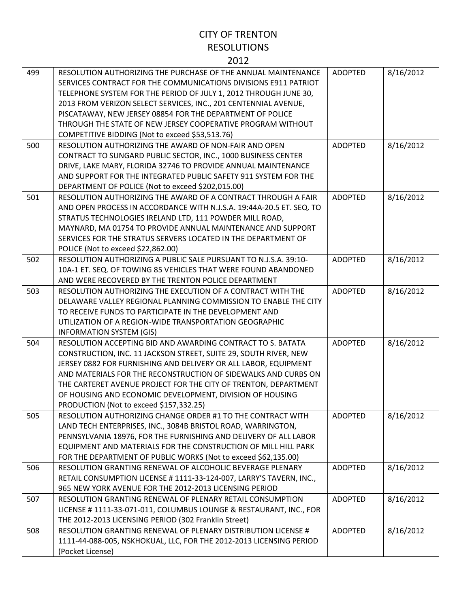| 499 | RESOLUTION AUTHORIZING THE PURCHASE OF THE ANNUAL MAINTENANCE<br>SERVICES CONTRACT FOR THE COMMUNICATIONS DIVISIONS E911 PATRIOT<br>TELEPHONE SYSTEM FOR THE PERIOD OF JULY 1, 2012 THROUGH JUNE 30,<br>2013 FROM VERIZON SELECT SERVICES, INC., 201 CENTENNIAL AVENUE,<br>PISCATAWAY, NEW JERSEY 08854 FOR THE DEPARTMENT OF POLICE<br>THROUGH THE STATE OF NEW JERSEY COOPERATIVE PROGRAM WITHOUT<br>COMPETITIVE BIDDING (Not to exceed \$53,513.76) | <b>ADOPTED</b> | 8/16/2012 |
|-----|--------------------------------------------------------------------------------------------------------------------------------------------------------------------------------------------------------------------------------------------------------------------------------------------------------------------------------------------------------------------------------------------------------------------------------------------------------|----------------|-----------|
| 500 | RESOLUTION AUTHORIZING THE AWARD OF NON-FAIR AND OPEN<br>CONTRACT TO SUNGARD PUBLIC SECTOR, INC., 1000 BUSINESS CENTER<br>DRIVE, LAKE MARY, FLORIDA 32746 TO PROVIDE ANNUAL MAINTENANCE<br>AND SUPPORT FOR THE INTEGRATED PUBLIC SAFETY 911 SYSTEM FOR THE<br>DEPARTMENT OF POLICE (Not to exceed \$202,015.00)                                                                                                                                        | <b>ADOPTED</b> | 8/16/2012 |
| 501 | RESOLUTION AUTHORIZING THE AWARD OF A CONTRACT THROUGH A FAIR<br>AND OPEN PROCESS IN ACCORDANCE WITH N.J.S.A. 19:44A-20.5 ET. SEQ. TO<br>STRATUS TECHNOLOGIES IRELAND LTD, 111 POWDER MILL ROAD,<br>MAYNARD, MA 01754 TO PROVIDE ANNUAL MAINTENANCE AND SUPPORT<br>SERVICES FOR THE STRATUS SERVERS LOCATED IN THE DEPARTMENT OF<br>POLICE (Not to exceed \$22,862.00)                                                                                 | <b>ADOPTED</b> | 8/16/2012 |
| 502 | RESOLUTION AUTHORIZING A PUBLIC SALE PURSUANT TO N.J.S.A. 39:10-<br>10A-1 ET. SEQ. OF TOWING 85 VEHICLES THAT WERE FOUND ABANDONED<br>AND WERE RECOVERED BY THE TRENTON POLICE DEPARTMENT                                                                                                                                                                                                                                                              | <b>ADOPTED</b> | 8/16/2012 |
| 503 | RESOLUTION AUTHORIZING THE EXECUTION OF A CONTRACT WITH THE<br>DELAWARE VALLEY REGIONAL PLANNING COMMISSION TO ENABLE THE CITY<br>TO RECEIVE FUNDS TO PARTICIPATE IN THE DEVELOPMENT AND<br>UTILIZATION OF A REGION-WIDE TRANSPORTATION GEOGRAPHIC<br><b>INFORMATION SYSTEM (GIS)</b>                                                                                                                                                                  | <b>ADOPTED</b> | 8/16/2012 |
| 504 | RESOLUTION ACCEPTING BID AND AWARDING CONTRACT TO S. BATATA<br>CONSTRUCTION, INC. 11 JACKSON STREET, SUITE 29, SOUTH RIVER, NEW<br>JERSEY 0882 FOR FURNISHING AND DELIVERY OR ALL LABOR, EQUIPMENT<br>AND MATERIALS FOR THE RECONSTRUCTION OF SIDEWALKS AND CURBS ON<br>THE CARTERET AVENUE PROJECT FOR THE CITY OF TRENTON, DEPARTMENT<br>OF HOUSING AND ECONOMIC DEVELOPMENT, DIVISION OF HOUSING<br>PRODUCTION (Not to exceed \$157,332.25)         | <b>ADOPTED</b> | 8/16/2012 |
| 505 | RESOLUTION AUTHORIZING CHANGE ORDER #1 TO THE CONTRACT WITH<br>LAND TECH ENTERPRISES, INC., 3084B BRISTOL ROAD, WARRINGTON,<br>PENNSYLVANIA 18976, FOR THE FURNISHING AND DELIVERY OF ALL LABOR<br>EQUIPMENT AND MATERIALS FOR THE CONSTRUCTION OF MILL HILL PARK<br>FOR THE DEPARTMENT OF PUBLIC WORKS (Not to exceed \$62,135.00)                                                                                                                    | <b>ADOPTED</b> | 8/16/2012 |
| 506 | RESOLUTION GRANTING RENEWAL OF ALCOHOLIC BEVERAGE PLENARY<br>RETAIL CONSUMPTION LICENSE # 1111-33-124-007, LARRY'S TAVERN, INC.,<br>965 NEW YORK AVENUE FOR THE 2012-2013 LICENSING PERIOD                                                                                                                                                                                                                                                             | <b>ADOPTED</b> | 8/16/2012 |
| 507 | RESOLUTION GRANTING RENEWAL OF PLENARY RETAIL CONSUMPTION<br>LICENSE # 1111-33-071-011, COLUMBUS LOUNGE & RESTAURANT, INC., FOR<br>THE 2012-2013 LICENSING PERIOD (302 Franklin Street)                                                                                                                                                                                                                                                                | <b>ADOPTED</b> | 8/16/2012 |
| 508 | RESOLUTION GRANTING RENEWAL OF PLENARY DISTRIBUTION LICENSE #<br>1111-44-088-005, NSKHOKUAL, LLC, FOR THE 2012-2013 LICENSING PERIOD<br>(Pocket License)                                                                                                                                                                                                                                                                                               | <b>ADOPTED</b> | 8/16/2012 |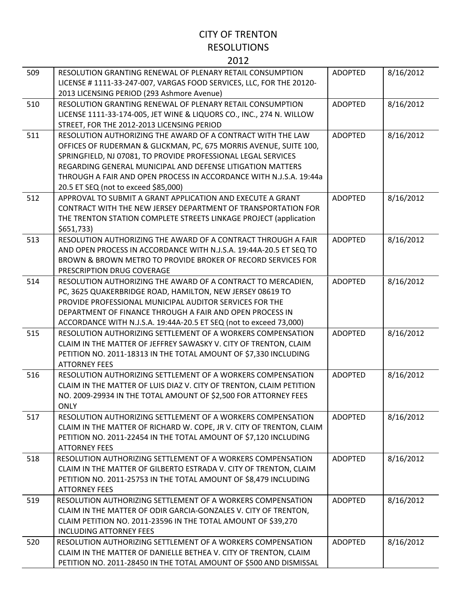| 509 | RESOLUTION GRANTING RENEWAL OF PLENARY RETAIL CONSUMPTION<br>LICENSE # 1111-33-247-007, VARGAS FOOD SERVICES, LLC, FOR THE 20120-                                                                                                                                                                                                                                             | <b>ADOPTED</b> | 8/16/2012 |
|-----|-------------------------------------------------------------------------------------------------------------------------------------------------------------------------------------------------------------------------------------------------------------------------------------------------------------------------------------------------------------------------------|----------------|-----------|
| 510 | 2013 LICENSING PERIOD (293 Ashmore Avenue)<br>RESOLUTION GRANTING RENEWAL OF PLENARY RETAIL CONSUMPTION<br>LICENSE 1111-33-174-005, JET WINE & LIQUORS CO., INC., 274 N. WILLOW<br>STREET, FOR THE 2012-2013 LICENSING PERIOD                                                                                                                                                 | <b>ADOPTED</b> | 8/16/2012 |
| 511 | RESOLUTION AUTHORIZING THE AWARD OF A CONTRACT WITH THE LAW<br>OFFICES OF RUDERMAN & GLICKMAN, PC, 675 MORRIS AVENUE, SUITE 100,<br>SPRINGFIELD, NJ 07081, TO PROVIDE PROFESSIONAL LEGAL SERVICES<br>REGARDING GENERAL MUNICIPAL AND DEFENSE LITIGATION MATTERS<br>THROUGH A FAIR AND OPEN PROCESS IN ACCORDANCE WITH N.J.S.A. 19:44a<br>20.5 ET SEQ (not to exceed \$85,000) | <b>ADOPTED</b> | 8/16/2012 |
| 512 | APPROVAL TO SUBMIT A GRANT APPLICATION AND EXECUTE A GRANT<br>CONTRACT WITH THE NEW JERSEY DEPARTMENT OF TRANSPORTATION FOR<br>THE TRENTON STATION COMPLETE STREETS LINKAGE PROJECT (application<br>\$651,733                                                                                                                                                                 | <b>ADOPTED</b> | 8/16/2012 |
| 513 | RESOLUTION AUTHORIZING THE AWARD OF A CONTRACT THROUGH A FAIR<br>AND OPEN PROCESS IN ACCORDANCE WITH N.J.S.A. 19:44A-20.5 ET SEQ TO<br>BROWN & BROWN METRO TO PROVIDE BROKER OF RECORD SERVICES FOR<br>PRESCRIPTION DRUG COVERAGE                                                                                                                                             | <b>ADOPTED</b> | 8/16/2012 |
| 514 | RESOLUTION AUTHORIZING THE AWARD OF A CONTRACT TO MERCADIEN,<br>PC, 3625 QUAKERBRIDGE ROAD, HAMILTON, NEW JERSEY 08619 TO<br>PROVIDE PROFESSIONAL MUNICIPAL AUDITOR SERVICES FOR THE<br>DEPARTMENT OF FINANCE THROUGH A FAIR AND OPEN PROCESS IN<br>ACCORDANCE WITH N.J.S.A. 19:44A-20.5 ET SEQ (not to exceed 73,000)                                                        | <b>ADOPTED</b> | 8/16/2012 |
| 515 | RESOLUTION AUTHORIZING SETTLEMENT OF A WORKERS COMPENSATION<br>CLAIM IN THE MATTER OF JEFFREY SAWASKY V. CITY OF TRENTON, CLAIM<br>PETITION NO. 2011-18313 IN THE TOTAL AMOUNT OF \$7,330 INCLUDING<br><b>ATTORNEY FEES</b>                                                                                                                                                   | <b>ADOPTED</b> | 8/16/2012 |
| 516 | RESOLUTION AUTHORIZING SETTLEMENT OF A WORKERS COMPENSATION<br>CLAIM IN THE MATTER OF LUIS DIAZ V. CITY OF TRENTON, CLAIM PETITION<br>NO. 2009-29934 IN THE TOTAL AMOUNT OF \$2,500 FOR ATTORNEY FEES<br><b>ONLY</b>                                                                                                                                                          | <b>ADOPTED</b> | 8/16/2012 |
| 517 | RESOLUTION AUTHORIZING SETTLEMENT OF A WORKERS COMPENSATION<br>CLAIM IN THE MATTER OF RICHARD W. COPE, JR V. CITY OF TRENTON, CLAIM<br>PETITION NO. 2011-22454 IN THE TOTAL AMOUNT OF \$7,120 INCLUDING<br><b>ATTORNEY FEES</b>                                                                                                                                               | <b>ADOPTED</b> | 8/16/2012 |
| 518 | RESOLUTION AUTHORIZING SETTLEMENT OF A WORKERS COMPENSATION<br>CLAIM IN THE MATTER OF GILBERTO ESTRADA V. CITY OF TRENTON, CLAIM<br>PETITION NO. 2011-25753 IN THE TOTAL AMOUNT OF \$8,479 INCLUDING<br><b>ATTORNEY FEES</b>                                                                                                                                                  | <b>ADOPTED</b> | 8/16/2012 |
| 519 | RESOLUTION AUTHORIZING SETTLEMENT OF A WORKERS COMPENSATION<br>CLAIM IN THE MATTER OF ODIR GARCIA-GONZALES V. CITY OF TRENTON,<br>CLAIM PETITION NO. 2011-23596 IN THE TOTAL AMOUNT OF \$39,270<br><b>INCLUDING ATTORNEY FEES</b>                                                                                                                                             | <b>ADOPTED</b> | 8/16/2012 |
| 520 | RESOLUTION AUTHORIZING SETTLEMENT OF A WORKERS COMPENSATION<br>CLAIM IN THE MATTER OF DANIELLE BETHEA V. CITY OF TRENTON, CLAIM<br>PETITION NO. 2011-28450 IN THE TOTAL AMOUNT OF \$500 AND DISMISSAL                                                                                                                                                                         | <b>ADOPTED</b> | 8/16/2012 |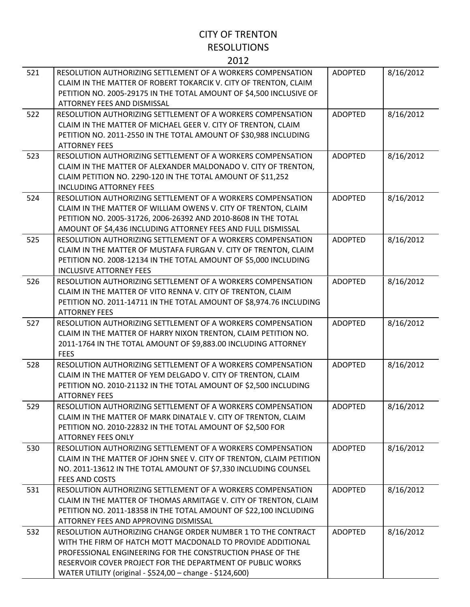| 521 | RESOLUTION AUTHORIZING SETTLEMENT OF A WORKERS COMPENSATION<br>CLAIM IN THE MATTER OF ROBERT TOKARCIK V. CITY OF TRENTON, CLAIM<br>PETITION NO. 2005-29175 IN THE TOTAL AMOUNT OF \$4,500 INCLUSIVE OF<br>ATTORNEY FEES AND DISMISSAL                                                                               | <b>ADOPTED</b> | 8/16/2012 |
|-----|---------------------------------------------------------------------------------------------------------------------------------------------------------------------------------------------------------------------------------------------------------------------------------------------------------------------|----------------|-----------|
| 522 | RESOLUTION AUTHORIZING SETTLEMENT OF A WORKERS COMPENSATION<br>CLAIM IN THE MATTER OF MICHAEL GEER V. CITY OF TRENTON, CLAIM<br>PETITION NO. 2011-2550 IN THE TOTAL AMOUNT OF \$30,988 INCLUDING<br><b>ATTORNEY FEES</b>                                                                                            | <b>ADOPTED</b> | 8/16/2012 |
| 523 | RESOLUTION AUTHORIZING SETTLEMENT OF A WORKERS COMPENSATION<br>CLAIM IN THE MATTER OF ALEXANDER MALDONADO V. CITY OF TRENTON,<br>CLAIM PETITION NO. 2290-120 IN THE TOTAL AMOUNT OF \$11,252<br><b>INCLUDING ATTORNEY FEES</b>                                                                                      | <b>ADOPTED</b> | 8/16/2012 |
| 524 | RESOLUTION AUTHORIZING SETTLEMENT OF A WORKERS COMPENSATION<br>CLAIM IN THE MATTER OF WILLIAM OWENS V. CITY OF TRENTON, CLAIM<br>PETITION NO. 2005-31726, 2006-26392 AND 2010-8608 IN THE TOTAL<br>AMOUNT OF \$4,436 INCLUDING ATTORNEY FEES AND FULL DISMISSAL                                                     | <b>ADOPTED</b> | 8/16/2012 |
| 525 | RESOLUTION AUTHORIZING SETTLEMENT OF A WORKERS COMPENSATION<br>CLAIM IN THE MATTER OF MUSTAFA FURGAN V. CITY OF TRENTON, CLAIM<br>PETITION NO. 2008-12134 IN THE TOTAL AMOUNT OF \$5,000 INCLUDING<br><b>INCLUSIVE ATTORNEY FEES</b>                                                                                | <b>ADOPTED</b> | 8/16/2012 |
| 526 | RESOLUTION AUTHORIZING SETTLEMENT OF A WORKERS COMPENSATION<br>CLAIM IN THE MATTER OF VITO RENNA V. CITY OF TRENTON, CLAIM<br>PETITION NO. 2011-14711 IN THE TOTAL AMOUNT OF \$8,974.76 INCLUDING<br><b>ATTORNEY FEES</b>                                                                                           | <b>ADOPTED</b> | 8/16/2012 |
| 527 | RESOLUTION AUTHORIZING SETTLEMENT OF A WORKERS COMPENSATION<br>CLAIM IN THE MATTER OF HARRY NIXON TRENTON, CLAIM PETITION NO.<br>2011-1764 IN THE TOTAL AMOUNT OF \$9,883.00 INCLUDING ATTORNEY<br><b>FEES</b>                                                                                                      | <b>ADOPTED</b> | 8/16/2012 |
| 528 | RESOLUTION AUTHORIZING SETTLEMENT OF A WORKERS COMPENSATION<br>CLAIM IN THE MATTER OF YEM DELGADO V. CITY OF TRENTON, CLAIM<br>PETITION NO. 2010-21132 IN THE TOTAL AMOUNT OF \$2,500 INCLUDING<br><b>ATTORNEY FEES</b>                                                                                             | <b>ADOPTED</b> | 8/16/2012 |
| 529 | RESOLUTION AUTHORIZING SETTLEMENT OF A WORKERS COMPENSATION<br>CLAIM IN THE MATTER OF MARK DINATALE V. CITY OF TRENTON, CLAIM<br>PETITION NO. 2010-22832 IN THE TOTAL AMOUNT OF \$2,500 FOR<br><b>ATTORNEY FEES ONLY</b>                                                                                            | <b>ADOPTED</b> | 8/16/2012 |
| 530 | RESOLUTION AUTHORIZING SETTLEMENT OF A WORKERS COMPENSATION<br>CLAIM IN THE MATTER OF JOHN SNEE V. CITY OF TRENTON, CLAIM PETITION<br>NO. 2011-13612 IN THE TOTAL AMOUNT OF \$7,330 INCLUDING COUNSEL<br><b>FEES AND COSTS</b>                                                                                      | <b>ADOPTED</b> | 8/16/2012 |
| 531 | RESOLUTION AUTHORIZING SETTLEMENT OF A WORKERS COMPENSATION<br>CLAIM IN THE MATTER OF THOMAS ARMITAGE V. CITY OF TRENTON, CLAIM<br>PETITION NO. 2011-18358 IN THE TOTAL AMOUNT OF \$22,100 INCLUDING<br>ATTORNEY FEES AND APPROVING DISMISSAL                                                                       | <b>ADOPTED</b> | 8/16/2012 |
| 532 | RESOLUTION AUTHORIZING CHANGE ORDER NUMBER 1 TO THE CONTRACT<br>WITH THE FIRM OF HATCH MOTT MACDONALD TO PROVIDE ADDITIONAL<br>PROFESSIONAL ENGINEERING FOR THE CONSTRUCTION PHASE OF THE<br>RESERVOIR COVER PROJECT FOR THE DEPARTMENT OF PUBLIC WORKS<br>WATER UTILITY (original - \$524,00 - change - \$124,600) | <b>ADOPTED</b> | 8/16/2012 |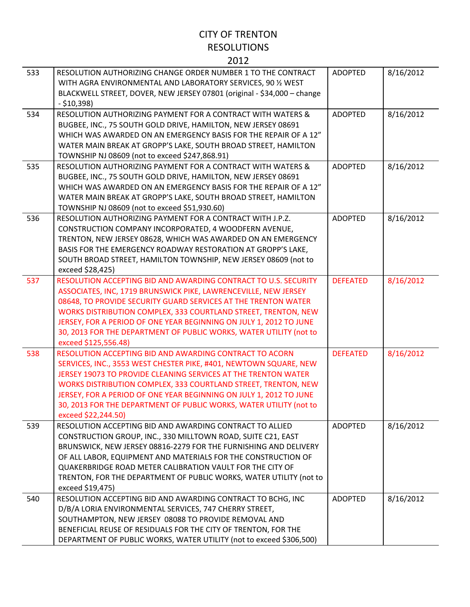| 533 | RESOLUTION AUTHORIZING CHANGE ORDER NUMBER 1 TO THE CONTRACT<br>WITH AGRA ENVIRONMENTAL AND LABORATORY SERVICES, 90 % WEST<br>BLACKWELL STREET, DOVER, NEW JERSEY 07801 (original - \$34,000 - change<br>$- $10,398$                                                                                                                                                                                                                       | <b>ADOPTED</b>  | 8/16/2012 |
|-----|--------------------------------------------------------------------------------------------------------------------------------------------------------------------------------------------------------------------------------------------------------------------------------------------------------------------------------------------------------------------------------------------------------------------------------------------|-----------------|-----------|
| 534 | RESOLUTION AUTHORIZING PAYMENT FOR A CONTRACT WITH WATERS &<br>BUGBEE, INC., 75 SOUTH GOLD DRIVE, HAMILTON, NEW JERSEY 08691<br>WHICH WAS AWARDED ON AN EMERGENCY BASIS FOR THE REPAIR OF A 12"<br>WATER MAIN BREAK AT GROPP'S LAKE, SOUTH BROAD STREET, HAMILTON<br>TOWNSHIP NJ 08609 (not to exceed \$247,868.91)                                                                                                                        | <b>ADOPTED</b>  | 8/16/2012 |
| 535 | RESOLUTION AUTHORIZING PAYMENT FOR A CONTRACT WITH WATERS &<br>BUGBEE, INC., 75 SOUTH GOLD DRIVE, HAMILTON, NEW JERSEY 08691<br>WHICH WAS AWARDED ON AN EMERGENCY BASIS FOR THE REPAIR OF A 12"<br>WATER MAIN BREAK AT GROPP'S LAKE, SOUTH BROAD STREET, HAMILTON<br>TOWNSHIP NJ 08609 (not to exceed \$51,930.60)                                                                                                                         | <b>ADOPTED</b>  | 8/16/2012 |
| 536 | RESOLUTION AUTHORIZING PAYMENT FOR A CONTRACT WITH J.P.Z.<br>CONSTRUCTION COMPANY INCORPORATED, 4 WOODFERN AVENUE,<br>TRENTON, NEW JERSEY 08628, WHICH WAS AWARDED ON AN EMERGENCY<br>BASIS FOR THE EMERGENCY ROADWAY RESTORATION AT GROPP'S LAKE,<br>SOUTH BROAD STREET, HAMILTON TOWNSHIP, NEW JERSEY 08609 (not to<br>exceed \$28,425)                                                                                                  | <b>ADOPTED</b>  | 8/16/2012 |
| 537 | RESOLUTION ACCEPTING BID AND AWARDING CONTRACT TO U.S. SECURITY<br>ASSOCIATES, INC, 1719 BRUNSWICK PIKE, LAWRENCEVILLE, NEW JERSEY<br>08648, TO PROVIDE SECURITY GUARD SERVICES AT THE TRENTON WATER<br>WORKS DISTRIBUTION COMPLEX, 333 COURTLAND STREET, TRENTON, NEW<br>JERSEY, FOR A PERIOD OF ONE YEAR BEGINNING ON JULY 1, 2012 TO JUNE<br>30, 2013 FOR THE DEPARTMENT OF PUBLIC WORKS, WATER UTILITY (not to<br>exceed \$125,556.48) | <b>DEFEATED</b> | 8/16/2012 |
| 538 | RESOLUTION ACCEPTING BID AND AWARDING CONTRACT TO ACORN<br>SERVICES, INC., 3553 WEST CHESTER PIKE, #401, NEWTOWN SQUARE, NEW<br>JERSEY 19073 TO PROVIDE CLEANING SERVICES AT THE TRENTON WATER<br>WORKS DISTRIBUTION COMPLEX, 333 COURTLAND STREET, TRENTON, NEW<br>JERSEY, FOR A PERIOD OF ONE YEAR BEGINNING ON JULY 1, 2012 TO JUNE<br>30, 2013 FOR THE DEPARTMENT OF PUBLIC WORKS, WATER UTILITY (not to<br>exceed \$22,244.50)        | <b>DEFEATED</b> | 8/16/2012 |
| 539 | RESOLUTION ACCEPTING BID AND AWARDING CONTRACT TO ALLIED<br>CONSTRUCTION GROUP, INC., 330 MILLTOWN ROAD, SUITE C21, EAST<br>BRUNSWICK, NEW JERSEY 08816-2279 FOR THE FURNISHING AND DELIVERY<br>OF ALL LABOR, EQUIPMENT AND MATERIALS FOR THE CONSTRUCTION OF<br>QUAKERBRIDGE ROAD METER CALIBRATION VAULT FOR THE CITY OF<br>TRENTON, FOR THE DEPARTMENT OF PUBLIC WORKS, WATER UTILITY (not to<br>exceed \$19,475)                       | <b>ADOPTED</b>  | 8/16/2012 |
| 540 | RESOLUTION ACCEPTING BID AND AWARDING CONTRACT TO BCHG, INC<br>D/B/A LORIA ENVIRONMENTAL SERVICES, 747 CHERRY STREET,<br>SOUTHAMPTON, NEW JERSEY 08088 TO PROVIDE REMOVAL AND<br>BENEFICIAL REUSE OF RESIDUALS FOR THE CITY OF TRENTON, FOR THE<br>DEPARTMENT OF PUBLIC WORKS, WATER UTILITY (not to exceed \$306,500)                                                                                                                     | <b>ADOPTED</b>  | 8/16/2012 |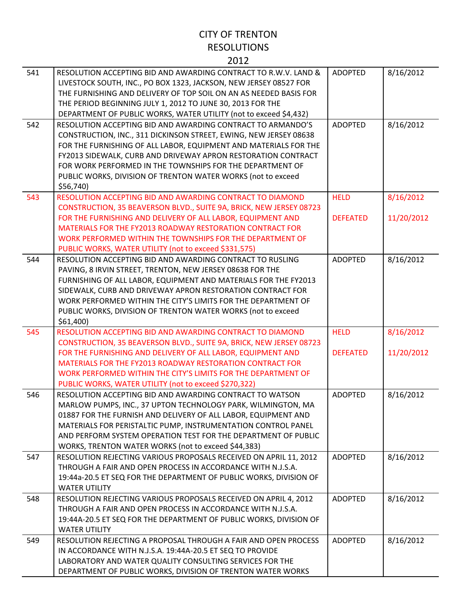| 541 | RESOLUTION ACCEPTING BID AND AWARDING CONTRACT TO R.W.V. LAND &<br>LIVESTOCK SOUTH, INC., PO BOX 1323, JACKSON, NEW JERSEY 08527 FOR<br>THE FURNISHING AND DELIVERY OF TOP SOIL ON AN AS NEEDED BASIS FOR<br>THE PERIOD BEGINNING JULY 1, 2012 TO JUNE 30, 2013 FOR THE<br>DEPARTMENT OF PUBLIC WORKS, WATER UTILITY (not to exceed \$4,432)                                                                   | <b>ADOPTED</b>                 | 8/16/2012               |
|-----|----------------------------------------------------------------------------------------------------------------------------------------------------------------------------------------------------------------------------------------------------------------------------------------------------------------------------------------------------------------------------------------------------------------|--------------------------------|-------------------------|
| 542 | RESOLUTION ACCEPTING BID AND AWARDING CONTRACT TO ARMANDO'S<br>CONSTRUCTION, INC., 311 DICKINSON STREET, EWING, NEW JERSEY 08638<br>FOR THE FURNISHING OF ALL LABOR, EQUIPMENT AND MATERIALS FOR THE<br>FY2013 SIDEWALK, CURB AND DRIVEWAY APRON RESTORATION CONTRACT<br>FOR WORK PERFORMED IN THE TOWNSHIPS FOR THE DEPARTMENT OF<br>PUBLIC WORKS, DIVISION OF TRENTON WATER WORKS (not to exceed<br>\$56,740 | <b>ADOPTED</b>                 | 8/16/2012               |
| 543 | RESOLUTION ACCEPTING BID AND AWARDING CONTRACT TO DIAMOND<br>CONSTRUCTION, 35 BEAVERSON BLVD., SUITE 9A, BRICK, NEW JERSEY 08723<br>FOR THE FURNISHING AND DELIVERY OF ALL LABOR, EQUIPMENT AND<br>MATERIALS FOR THE FY2013 ROADWAY RESTORATION CONTRACT FOR<br>WORK PERFORMED WITHIN THE TOWNSHIPS FOR THE DEPARTMENT OF<br>PUBLIC WORKS, WATER UTILITY (not to exceed \$331,575)                             | <b>HELD</b><br><b>DEFEATED</b> | 8/16/2012<br>11/20/2012 |
| 544 | RESOLUTION ACCEPTING BID AND AWARDING CONTRACT TO RUSLING<br>PAVING, 8 IRVIN STREET, TRENTON, NEW JERSEY 08638 FOR THE<br>FURNISHING OF ALL LABOR, EQUIPMENT AND MATERIALS FOR THE FY2013<br>SIDEWALK, CURB AND DRIVEWAY APRON RESTORATION CONTRACT FOR<br>WORK PERFORMED WITHIN THE CITY'S LIMITS FOR THE DEPARTMENT OF<br>PUBLIC WORKS, DIVISION OF TRENTON WATER WORKS (not to exceed<br>$$61,400$ )        | <b>ADOPTED</b>                 | 8/16/2012               |
| 545 | RESOLUTION ACCEPTING BID AND AWARDING CONTRACT TO DIAMOND<br>CONSTRUCTION, 35 BEAVERSON BLVD., SUITE 9A, BRICK, NEW JERSEY 08723<br>FOR THE FURNISHING AND DELIVERY OF ALL LABOR, EQUIPMENT AND<br>MATERIALS FOR THE FY2013 ROADWAY RESTORATION CONTRACT FOR<br>WORK PERFORMED WITHIN THE CITY'S LIMITS FOR THE DEPARTMENT OF<br>PUBLIC WORKS, WATER UTILITY (not to exceed \$270,322)                         | <b>HELD</b><br><b>DEFEATED</b> | 8/16/2012<br>11/20/2012 |
| 546 | RESOLUTION ACCEPTING BID AND AWARDING CONTRACT TO WATSON<br>MARLOW PUMPS, INC., 37 UPTON TECHNOLOGY PARK, WILMINGTON, MA<br>01887 FOR THE FURNISH AND DELIVERY OF ALL LABOR, EQUIPMENT AND<br>MATERIALS FOR PERISTALTIC PUMP, INSTRUMENTATION CONTROL PANEL<br>AND PERFORM SYSTEM OPERATION TEST FOR THE DEPARTMENT OF PUBLIC<br>WORKS, TRENTON WATER WORKS (not to exceed \$44,383)                           | <b>ADOPTED</b>                 | 8/16/2012               |
| 547 | RESOLUTION REJECTING VARIOUS PROPOSALS RECEIVED ON APRIL 11, 2012<br>THROUGH A FAIR AND OPEN PROCESS IN ACCORDANCE WITH N.J.S.A.<br>19:44a-20.5 ET SEQ FOR THE DEPARTMENT OF PUBLIC WORKS, DIVISION OF<br><b>WATER UTILITY</b>                                                                                                                                                                                 | <b>ADOPTED</b>                 | 8/16/2012               |
| 548 | RESOLUTION REJECTING VARIOUS PROPOSALS RECEIVED ON APRIL 4, 2012<br>THROUGH A FAIR AND OPEN PROCESS IN ACCORDANCE WITH N.J.S.A.                                                                                                                                                                                                                                                                                | ADOPTED                        | 8/16/2012               |
|     | 19:44A-20.5 ET SEQ FOR THE DEPARTMENT OF PUBLIC WORKS, DIVISION OF<br><b>WATER UTILITY</b>                                                                                                                                                                                                                                                                                                                     |                                |                         |

DEPARTMENT OF PUBLIC WORKS, DIVISION OF TRENTON WATER WORKS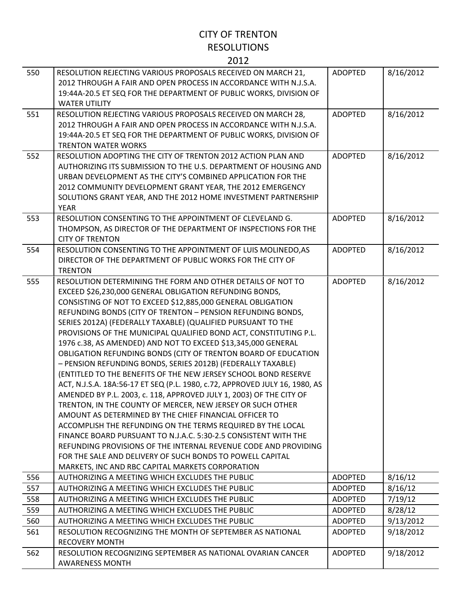| 550 | RESOLUTION REJECTING VARIOUS PROPOSALS RECEIVED ON MARCH 21,<br>2012 THROUGH A FAIR AND OPEN PROCESS IN ACCORDANCE WITH N.J.S.A.<br>19:44A-20.5 ET SEQ FOR THE DEPARTMENT OF PUBLIC WORKS, DIVISION OF<br><b>WATER UTILITY</b>                                                                                                                                                                                                                                                                                                                                                                                                                                                                                                                                                                                                                                                                                                                                                                                                                                                                                                                                                                                                                                      | <b>ADOPTED</b> | 8/16/2012 |
|-----|---------------------------------------------------------------------------------------------------------------------------------------------------------------------------------------------------------------------------------------------------------------------------------------------------------------------------------------------------------------------------------------------------------------------------------------------------------------------------------------------------------------------------------------------------------------------------------------------------------------------------------------------------------------------------------------------------------------------------------------------------------------------------------------------------------------------------------------------------------------------------------------------------------------------------------------------------------------------------------------------------------------------------------------------------------------------------------------------------------------------------------------------------------------------------------------------------------------------------------------------------------------------|----------------|-----------|
| 551 | RESOLUTION REJECTING VARIOUS PROPOSALS RECEIVED ON MARCH 28,<br>2012 THROUGH A FAIR AND OPEN PROCESS IN ACCORDANCE WITH N.J.S.A.<br>19:44A-20.5 ET SEQ FOR THE DEPARTMENT OF PUBLIC WORKS, DIVISION OF<br><b>TRENTON WATER WORKS</b>                                                                                                                                                                                                                                                                                                                                                                                                                                                                                                                                                                                                                                                                                                                                                                                                                                                                                                                                                                                                                                | <b>ADOPTED</b> | 8/16/2012 |
| 552 | RESOLUTION ADOPTING THE CITY OF TRENTON 2012 ACTION PLAN AND<br>AUTHORIZING ITS SUBMISSION TO THE U.S. DEPARTMENT OF HOUSING AND<br>URBAN DEVELOPMENT AS THE CITY'S COMBINED APPLICATION FOR THE<br>2012 COMMUNITY DEVELOPMENT GRANT YEAR, THE 2012 EMERGENCY<br>SOLUTIONS GRANT YEAR, AND THE 2012 HOME INVESTMENT PARTNERSHIP<br><b>YEAR</b>                                                                                                                                                                                                                                                                                                                                                                                                                                                                                                                                                                                                                                                                                                                                                                                                                                                                                                                      | <b>ADOPTED</b> | 8/16/2012 |
| 553 | RESOLUTION CONSENTING TO THE APPOINTMENT OF CLEVELAND G.<br>THOMPSON, AS DIRECTOR OF THE DEPARTMENT OF INSPECTIONS FOR THE<br><b>CITY OF TRENTON</b>                                                                                                                                                                                                                                                                                                                                                                                                                                                                                                                                                                                                                                                                                                                                                                                                                                                                                                                                                                                                                                                                                                                | <b>ADOPTED</b> | 8/16/2012 |
| 554 | RESOLUTION CONSENTING TO THE APPOINTMENT OF LUIS MOLINEDO, AS<br>DIRECTOR OF THE DEPARTMENT OF PUBLIC WORKS FOR THE CITY OF<br><b>TRENTON</b>                                                                                                                                                                                                                                                                                                                                                                                                                                                                                                                                                                                                                                                                                                                                                                                                                                                                                                                                                                                                                                                                                                                       | <b>ADOPTED</b> | 8/16/2012 |
| 555 | RESOLUTION DETERMINING THE FORM AND OTHER DETAILS OF NOT TO<br>EXCEED \$26,230,000 GENERAL OBLIGATION REFUNDING BONDS,<br>CONSISTING OF NOT TO EXCEED \$12,885,000 GENERAL OBLIGATION<br>REFUNDING BONDS (CITY OF TRENTON - PENSION REFUNDING BONDS,<br>SERIES 2012A) (FEDERALLY TAXABLE) (QUALIFIED PURSUANT TO THE<br>PROVISIONS OF THE MUNICIPAL QUALIFIED BOND ACT, CONSTITUTING P.L.<br>1976 c.38, AS AMENDED) AND NOT TO EXCEED \$13,345,000 GENERAL<br>OBLIGATION REFUNDING BONDS (CITY OF TRENTON BOARD OF EDUCATION<br>- PENSION REFUNDING BONDS, SERIES 2012B) (FEDERALLY TAXABLE)<br>(ENTITLED TO THE BENEFITS OF THE NEW JERSEY SCHOOL BOND RESERVE<br>ACT, N.J.S.A. 18A:56-17 ET SEQ (P.L. 1980, c.72, APPROVED JULY 16, 1980, AS<br>AMENDED BY P.L. 2003, c. 118, APPROVED JULY 1, 2003) OF THE CITY OF<br>TRENTON, IN THE COUNTY OF MERCER, NEW JERSEY OR SUCH OTHER<br>AMOUNT AS DETERMINED BY THE CHIEF FINANCIAL OFFICER TO<br>ACCOMPLISH THE REFUNDING ON THE TERMS REQUIRED BY THE LOCAL<br>FINANCE BOARD PURSUANT TO N.J.A.C. 5:30-2.5 CONSISTENT WITH THE<br>REFUNDING PROVISIONS OF THE INTERNAL REVENUE CODE AND PROVIDING<br>FOR THE SALE AND DELIVERY OF SUCH BONDS TO POWELL CAPITAL<br>MARKETS, INC AND RBC CAPITAL MARKETS CORPORATION | <b>ADOPTED</b> | 8/16/2012 |
| 556 | AUTHORIZING A MEETING WHICH EXCLUDES THE PUBLIC                                                                                                                                                                                                                                                                                                                                                                                                                                                                                                                                                                                                                                                                                                                                                                                                                                                                                                                                                                                                                                                                                                                                                                                                                     | <b>ADOPTED</b> | 8/16/12   |
| 557 | AUTHORIZING A MEETING WHICH EXCLUDES THE PUBLIC                                                                                                                                                                                                                                                                                                                                                                                                                                                                                                                                                                                                                                                                                                                                                                                                                                                                                                                                                                                                                                                                                                                                                                                                                     | <b>ADOPTED</b> | 8/16/12   |
| 558 | AUTHORIZING A MEETING WHICH EXCLUDES THE PUBLIC                                                                                                                                                                                                                                                                                                                                                                                                                                                                                                                                                                                                                                                                                                                                                                                                                                                                                                                                                                                                                                                                                                                                                                                                                     | <b>ADOPTED</b> | 7/19/12   |
| 559 | AUTHORIZING A MEETING WHICH EXCLUDES THE PUBLIC                                                                                                                                                                                                                                                                                                                                                                                                                                                                                                                                                                                                                                                                                                                                                                                                                                                                                                                                                                                                                                                                                                                                                                                                                     | <b>ADOPTED</b> | 8/28/12   |
| 560 | AUTHORIZING A MEETING WHICH EXCLUDES THE PUBLIC                                                                                                                                                                                                                                                                                                                                                                                                                                                                                                                                                                                                                                                                                                                                                                                                                                                                                                                                                                                                                                                                                                                                                                                                                     | <b>ADOPTED</b> | 9/13/2012 |
| 561 | RESOLUTION RECOGNIZING THE MONTH OF SEPTEMBER AS NATIONAL<br><b>RECOVERY MONTH</b>                                                                                                                                                                                                                                                                                                                                                                                                                                                                                                                                                                                                                                                                                                                                                                                                                                                                                                                                                                                                                                                                                                                                                                                  | <b>ADOPTED</b> | 9/18/2012 |
| 562 | RESOLUTION RECOGNIZING SEPTEMBER AS NATIONAL OVARIAN CANCER<br><b>AWARENESS MONTH</b>                                                                                                                                                                                                                                                                                                                                                                                                                                                                                                                                                                                                                                                                                                                                                                                                                                                                                                                                                                                                                                                                                                                                                                               | <b>ADOPTED</b> | 9/18/2012 |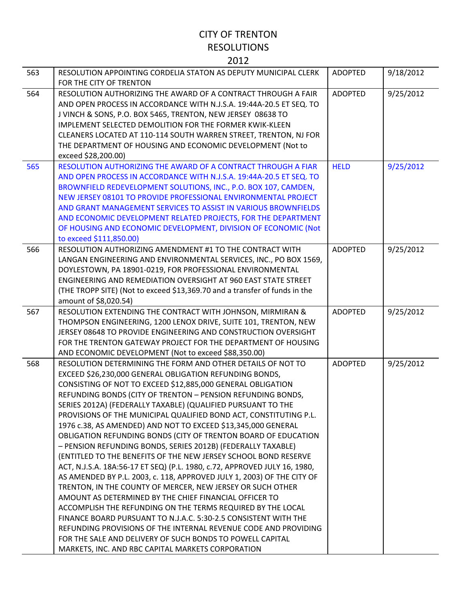| 563 | RESOLUTION APPOINTING CORDELIA STATON AS DEPUTY MUNICIPAL CLERK<br>FOR THE CITY OF TRENTON                                                                                                                                                                                                                                                                                                                                                                                                                                                                                                                                                                                                                                                                                                                                                                                                                                                                                                                                                                                                                                                                                                                                                                            | <b>ADOPTED</b> | 9/18/2012 |
|-----|-----------------------------------------------------------------------------------------------------------------------------------------------------------------------------------------------------------------------------------------------------------------------------------------------------------------------------------------------------------------------------------------------------------------------------------------------------------------------------------------------------------------------------------------------------------------------------------------------------------------------------------------------------------------------------------------------------------------------------------------------------------------------------------------------------------------------------------------------------------------------------------------------------------------------------------------------------------------------------------------------------------------------------------------------------------------------------------------------------------------------------------------------------------------------------------------------------------------------------------------------------------------------|----------------|-----------|
| 564 | RESOLUTION AUTHORIZING THE AWARD OF A CONTRACT THROUGH A FAIR<br>AND OPEN PROCESS IN ACCORDANCE WITH N.J.S.A. 19:44A-20.5 ET SEQ. TO<br>J VINCH & SONS, P.O. BOX 5465, TRENTON, NEW JERSEY 08638 TO<br>IMPLEMENT SELECTED DEMOLITION FOR THE FORMER KWIK-KLEEN<br>CLEANERS LOCATED AT 110-114 SOUTH WARREN STREET, TRENTON, NJ FOR<br>THE DEPARTMENT OF HOUSING AND ECONOMIC DEVELOPMENT (Not to<br>exceed \$28,200.00)                                                                                                                                                                                                                                                                                                                                                                                                                                                                                                                                                                                                                                                                                                                                                                                                                                               | <b>ADOPTED</b> | 9/25/2012 |
| 565 | RESOLUTION AUTHORIZING THE AWARD OF A CONTRACT THROUGH A FIAR<br>AND OPEN PROCESS IN ACCORDANCE WITH N.J.S.A. 19:44A-20.5 ET SEQ. TO<br>BROWNFIELD REDEVELOPMENT SOLUTIONS, INC., P.O. BOX 107, CAMDEN,<br>NEW JERSEY 08101 TO PROVIDE PROFESSIONAL ENVIRONMENTAL PROJECT<br>AND GRANT MANAGEMENT SERVICES TO ASSIST IN VARIOUS BROWNFIELDS<br>AND ECONOMIC DEVELOPMENT RELATED PROJECTS, FOR THE DEPARTMENT<br>OF HOUSING AND ECONOMIC DEVELOPMENT, DIVISION OF ECONOMIC (Not<br>to exceed \$111,850.00)                                                                                                                                                                                                                                                                                                                                                                                                                                                                                                                                                                                                                                                                                                                                                             | <b>HELD</b>    | 9/25/2012 |
| 566 | RESOLUTION AUTHORIZING AMENDMENT #1 TO THE CONTRACT WITH<br>LANGAN ENGINEERING AND ENVIRONMENTAL SERVICES, INC., PO BOX 1569,<br>DOYLESTOWN, PA 18901-0219, FOR PROFESSIONAL ENVIRONMENTAL<br>ENGINEERING AND REMEDIATION OVERSIGHT AT 960 EAST STATE STREET<br>(THE TROPP SITE) (Not to exceed \$13,369.70 and a transfer of funds in the<br>amount of \$8,020.54)                                                                                                                                                                                                                                                                                                                                                                                                                                                                                                                                                                                                                                                                                                                                                                                                                                                                                                   | <b>ADOPTED</b> | 9/25/2012 |
| 567 | RESOLUTION EXTENDING THE CONTRACT WITH JOHNSON, MIRMIRAN &<br>THOMPSON ENGINEERING, 1200 LENOX DRIVE, SUITE 101, TRENTON, NEW<br>JERSEY 08648 TO PROVIDE ENGINEERING AND CONSTRUCTION OVERSIGHT<br>FOR THE TRENTON GATEWAY PROJECT FOR THE DEPARTMENT OF HOUSING<br>AND ECONOMIC DEVELOPMENT (Not to exceed \$88,350.00)                                                                                                                                                                                                                                                                                                                                                                                                                                                                                                                                                                                                                                                                                                                                                                                                                                                                                                                                              | <b>ADOPTED</b> | 9/25/2012 |
| 568 | RESOLUTION DETERMINING THE FORM AND OTHER DETAILS OF NOT TO<br>EXCEED \$26,230,000 GENERAL OBLIGATION REFUNDING BONDS,<br>CONSISTING OF NOT TO EXCEED \$12,885,000 GENERAL OBLIGATION<br>REFUNDING BONDS (CITY OF TRENTON - PENSION REFUNDING BONDS,<br>SERIES 2012A) (FEDERALLY TAXABLE) (QUALIFIED PURSUANT TO THE<br>PROVISIONS OF THE MUNICIPAL QUALIFIED BOND ACT, CONSTITUTING P.L.<br>1976 c.38, AS AMENDED) AND NOT TO EXCEED \$13,345,000 GENERAL<br>OBLIGATION REFUNDING BONDS (CITY OF TRENTON BOARD OF EDUCATION<br>- PENSION REFUNDING BONDS, SERIES 2012B) (FEDERALLY TAXABLE)<br>(ENTITLED TO THE BENEFITS OF THE NEW JERSEY SCHOOL BOND RESERVE<br>ACT, N.J.S.A. 18A:56-17 ET SEQ) (P.L. 1980, c.72, APPROVED JULY 16, 1980,<br>AS AMENDED BY P.L. 2003, c. 118, APPROVED JULY 1, 2003) OF THE CITY OF<br>TRENTON, IN THE COUNTY OF MERCER, NEW JERSEY OR SUCH OTHER<br>AMOUNT AS DETERMINED BY THE CHIEF FINANCIAL OFFICER TO<br>ACCOMPLISH THE REFUNDING ON THE TERMS REQUIRED BY THE LOCAL<br>FINANCE BOARD PURSUANT TO N.J.A.C. 5:30-2.5 CONSISTENT WITH THE<br>REFUNDING PROVISIONS OF THE INTERNAL REVENUE CODE AND PROVIDING<br>FOR THE SALE AND DELIVERY OF SUCH BONDS TO POWELL CAPITAL<br>MARKETS, INC. AND RBC CAPITAL MARKETS CORPORATION | <b>ADOPTED</b> | 9/25/2012 |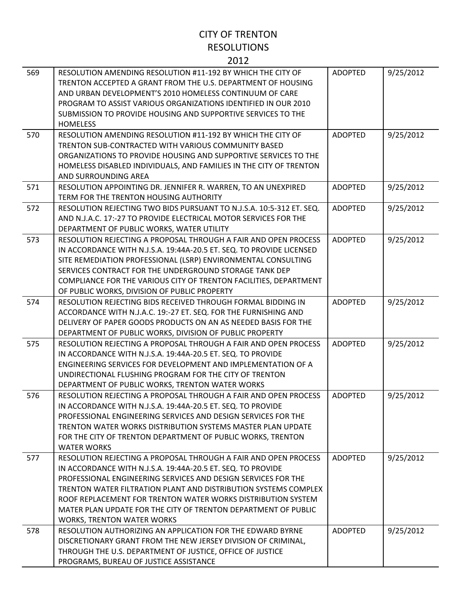| 569 | RESOLUTION AMENDING RESOLUTION #11-192 BY WHICH THE CITY OF<br>TRENTON ACCEPTED A GRANT FROM THE U.S. DEPARTMENT OF HOUSING<br>AND URBAN DEVELOPMENT'S 2010 HOMELESS CONTINUUM OF CARE<br>PROGRAM TO ASSIST VARIOUS ORGANIZATIONS IDENTIFIED IN OUR 2010<br>SUBMISSION TO PROVIDE HOUSING AND SUPPORTIVE SERVICES TO THE<br><b>HOMELESS</b>                                                                                               | <b>ADOPTED</b> | 9/25/2012 |
|-----|-------------------------------------------------------------------------------------------------------------------------------------------------------------------------------------------------------------------------------------------------------------------------------------------------------------------------------------------------------------------------------------------------------------------------------------------|----------------|-----------|
| 570 | RESOLUTION AMENDING RESOLUTION #11-192 BY WHICH THE CITY OF<br>TRENTON SUB-CONTRACTED WITH VARIOUS COMMUNITY BASED<br>ORGANIZATIONS TO PROVIDE HOUSING AND SUPPORTIVE SERVICES TO THE<br>HOMELESS DISABLED INDIVIDUALS, AND FAMILIES IN THE CITY OF TRENTON<br>AND SURROUNDING AREA                                                                                                                                                       | <b>ADOPTED</b> | 9/25/2012 |
| 571 | RESOLUTION APPOINTING DR. JENNIFER R. WARREN, TO AN UNEXPIRED<br>TERM FOR THE TRENTON HOUSING AUTHORITY                                                                                                                                                                                                                                                                                                                                   | <b>ADOPTED</b> | 9/25/2012 |
| 572 | RESOLUTION REJECTING TWO BIDS PURSUANT TO N.J.S.A. 10:5-312 ET. SEQ.<br>AND N.J.A.C. 17:-27 TO PROVIDE ELECTRICAL MOTOR SERVICES FOR THE<br>DEPARTMENT OF PUBLIC WORKS, WATER UTILITY                                                                                                                                                                                                                                                     | <b>ADOPTED</b> | 9/25/2012 |
| 573 | RESOLUTION REJECTING A PROPOSAL THROUGH A FAIR AND OPEN PROCESS<br>IN ACCORDANCE WITH N.J.S.A. 19:44A-20.5 ET. SEQ. TO PROVIDE LICENSED<br>SITE REMEDIATION PROFESSIONAL (LSRP) ENVIRONMENTAL CONSULTING<br>SERVICES CONTRACT FOR THE UNDERGROUND STORAGE TANK DEP<br>COMPLIANCE FOR THE VARIOUS CITY OF TRENTON FACILITIES, DEPARTMENT<br>OF PUBLIC WORKS, DIVISION OF PUBLIC PROPERTY                                                   | <b>ADOPTED</b> | 9/25/2012 |
| 574 | RESOLUTION REJECTING BIDS RECEIVED THROUGH FORMAL BIDDING IN<br>ACCORDANCE WITH N.J.A.C. 19:-27 ET. SEQ. FOR THE FURNISHING AND<br>DELIVERY OF PAPER GOODS PRODUCTS ON AN AS NEEDED BASIS FOR THE<br>DEPARTMENT OF PUBLIC WORKS, DIVISION OF PUBLIC PROPERTY                                                                                                                                                                              | <b>ADOPTED</b> | 9/25/2012 |
| 575 | RESOLUTION REJECTING A PROPOSAL THROUGH A FAIR AND OPEN PROCESS<br>IN ACCORDANCE WITH N.J.S.A. 19:44A-20.5 ET. SEQ. TO PROVIDE<br>ENGINEERING SERVICES FOR DEVELOPMENT AND IMPLEMENTATION OF A<br>UNDIRECTIONAL FLUSHING PROGRAM FOR THE CITY OF TRENTON<br>DEPARTMENT OF PUBLIC WORKS, TRENTON WATER WORKS                                                                                                                               | <b>ADOPTED</b> | 9/25/2012 |
| 576 | RESOLUTION REJECTING A PROPOSAL THROUGH A FAIR AND OPEN PROCESS<br>IN ACCORDANCE WITH N.J.S.A. 19:44A-20.5 ET. SEQ. TO PROVIDE<br>PROFESSIONAL ENGINEERING SERVICES AND DESIGN SERVICES FOR THE<br>TRENTON WATER WORKS DISTRIBUTION SYSTEMS MASTER PLAN UPDATE<br>FOR THE CITY OF TRENTON DEPARTMENT OF PUBLIC WORKS, TRENTON<br><b>WATER WORKS</b>                                                                                       | <b>ADOPTED</b> | 9/25/2012 |
| 577 | RESOLUTION REJECTING A PROPOSAL THROUGH A FAIR AND OPEN PROCESS<br>IN ACCORDANCE WITH N.J.S.A. 19:44A-20.5 ET. SEQ. TO PROVIDE<br>PROFESSIONAL ENGINEERING SERVICES AND DESIGN SERVICES FOR THE<br>TRENTON WATER FILTRATION PLANT AND DISTRIBUTION SYSTEMS COMPLEX<br>ROOF REPLACEMENT FOR TRENTON WATER WORKS DISTRIBUTION SYSTEM<br>MATER PLAN UPDATE FOR THE CITY OF TRENTON DEPARTMENT OF PUBLIC<br><b>WORKS, TRENTON WATER WORKS</b> | <b>ADOPTED</b> | 9/25/2012 |
| 578 | RESOLUTION AUTHORIZING AN APPLICATION FOR THE EDWARD BYRNE<br>DISCRETIONARY GRANT FROM THE NEW JERSEY DIVISION OF CRIMINAL,<br>THROUGH THE U.S. DEPARTMENT OF JUSTICE, OFFICE OF JUSTICE<br>PROGRAMS, BUREAU OF JUSTICE ASSISTANCE                                                                                                                                                                                                        | <b>ADOPTED</b> | 9/25/2012 |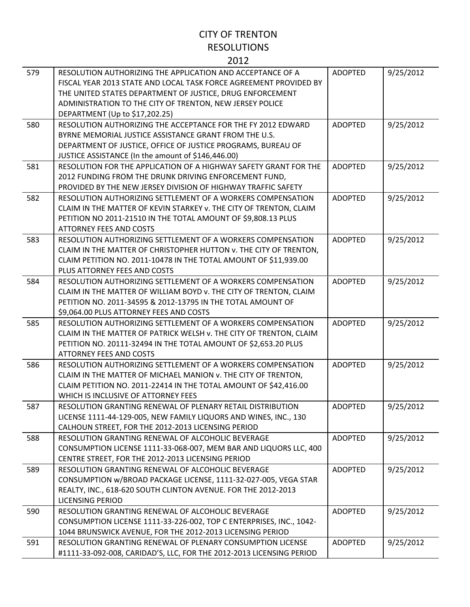| 579 | RESOLUTION AUTHORIZING THE APPLICATION AND ACCEPTANCE OF A<br>FISCAL YEAR 2013 STATE AND LOCAL TASK FORCE AGREEMENT PROVIDED BY<br>THE UNITED STATES DEPARTMENT OF JUSTICE, DRUG ENFORCEMENT<br>ADMINISTRATION TO THE CITY OF TRENTON, NEW JERSEY POLICE<br>DEPARTMENT (Up to \$17,202.25) | <b>ADOPTED</b> | 9/25/2012 |
|-----|--------------------------------------------------------------------------------------------------------------------------------------------------------------------------------------------------------------------------------------------------------------------------------------------|----------------|-----------|
| 580 | RESOLUTION AUTHORIZING THE ACCEPTANCE FOR THE FY 2012 EDWARD<br>BYRNE MEMORIAL JUSTICE ASSISTANCE GRANT FROM THE U.S.<br>DEPARTMENT OF JUSTICE, OFFICE OF JUSTICE PROGRAMS, BUREAU OF<br>JUSTICE ASSISTANCE (In the amount of \$146,446.00)                                                | <b>ADOPTED</b> | 9/25/2012 |
| 581 | RESOLUTION FOR THE APPLICATION OF A HIGHWAY SAFETY GRANT FOR THE<br>2012 FUNDING FROM THE DRUNK DRIVING ENFORCEMENT FUND,<br>PROVIDED BY THE NEW JERSEY DIVISION OF HIGHWAY TRAFFIC SAFETY                                                                                                 | <b>ADOPTED</b> | 9/25/2012 |
| 582 | RESOLUTION AUTHORIZING SETTLEMENT OF A WORKERS COMPENSATION<br>CLAIM IN THE MATTER OF KEVIN STARKEY v. THE CITY OF TRENTON, CLAIM<br>PETITION NO 2011-21510 IN THE TOTAL AMOUNT OF \$9,808.13 PLUS<br><b>ATTORNEY FEES AND COSTS</b>                                                       | <b>ADOPTED</b> | 9/25/2012 |
| 583 | RESOLUTION AUTHORIZING SETTLEMENT OF A WORKERS COMPENSATION<br>CLAIM IN THE MATTER OF CHRISTOPHER HUTTON v. THE CITY OF TRENTON,<br>CLAIM PETITION NO. 2011-10478 IN THE TOTAL AMOUNT OF \$11,939.00<br>PLUS ATTORNEY FEES AND COSTS                                                       | <b>ADOPTED</b> | 9/25/2012 |
| 584 | RESOLUTION AUTHORIZING SETTLEMENT OF A WORKERS COMPENSATION<br>CLAIM IN THE MATTER OF WILLIAM BOYD v. THE CITY OF TRENTON, CLAIM<br>PETITION NO. 2011-34595 & 2012-13795 IN THE TOTAL AMOUNT OF<br>\$9,064.00 PLUS ATTORNEY FEES AND COSTS                                                 | <b>ADOPTED</b> | 9/25/2012 |
| 585 | RESOLUTION AUTHORIZING SETTLEMENT OF A WORKERS COMPENSATION<br>CLAIM IN THE MATTER OF PATRICK WELSH v. THE CITY OF TRENTON, CLAIM<br>PETITION NO. 20111-32494 IN THE TOTAL AMOUNT OF \$2,653.20 PLUS<br><b>ATTORNEY FEES AND COSTS</b>                                                     | <b>ADOPTED</b> | 9/25/2012 |
| 586 | RESOLUTION AUTHORIZING SETTLEMENT OF A WORKERS COMPENSATION<br>CLAIM IN THE MATTER OF MICHAEL MANION v. THE CITY OF TRENTON,<br>CLAIM PETITION NO. 2011-22414 IN THE TOTAL AMOUNT OF \$42,416.00<br>WHICH IS INCLUSIVE OF ATTORNEY FEES                                                    | <b>ADOPTED</b> | 9/25/2012 |
| 587 | RESOLUTION GRANTING RENEWAL OF PLENARY RETAIL DISTRIBUTION<br>LICENSE 1111-44-129-005, NEW FAMILY LIQUORS AND WINES, INC., 130<br>CALHOUN STREET, FOR THE 2012-2013 LICENSING PERIOD                                                                                                       | <b>ADOPTED</b> | 9/25/2012 |
| 588 | RESOLUTION GRANTING RENEWAL OF ALCOHOLIC BEVERAGE<br>CONSUMPTION LICENSE 1111-33-068-007, MEM BAR AND LIQUORS LLC, 400<br>CENTRE STREET, FOR THE 2012-2013 LICENSING PERIOD                                                                                                                | <b>ADOPTED</b> | 9/25/2012 |
| 589 | RESOLUTION GRANTING RENEWAL OF ALCOHOLIC BEVERAGE<br>CONSUMPTION w/BROAD PACKAGE LICENSE, 1111-32-027-005, VEGA STAR<br>REALTY, INC., 618-620 SOUTH CLINTON AVENUE. FOR THE 2012-2013<br><b>LICENSING PERIOD</b>                                                                           | ADOPTED        | 9/25/2012 |
| 590 | RESOLUTION GRANTING RENEWAL OF ALCOHOLIC BEVERAGE<br>CONSUMPTION LICENSE 1111-33-226-002, TOP C ENTERPRISES, INC., 1042-<br>1044 BRUNSWICK AVENUE, FOR THE 2012-2013 LICENSING PERIOD                                                                                                      | <b>ADOPTED</b> | 9/25/2012 |
| 591 | RESOLUTION GRANTING RENEWAL OF PLENARY CONSUMPTION LICENSE<br>#1111-33-092-008, CARIDAD'S, LLC, FOR THE 2012-2013 LICENSING PERIOD                                                                                                                                                         | ADOPTED        | 9/25/2012 |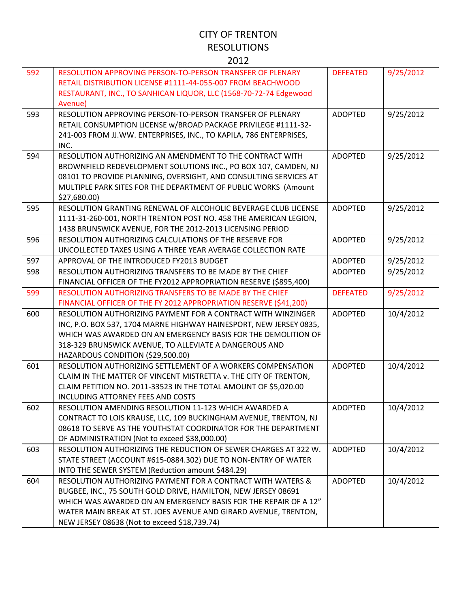| 592 | RESOLUTION APPROVING PERSON-TO-PERSON TRANSFER OF PLENARY<br>RETAIL DISTRIBUTION LICENSE #1111-44-055-007 FROM BEACHWOOD<br>RESTAURANT, INC., TO SANHICAN LIQUOR, LLC (1568-70-72-74 Edgewood<br>Avenue)                                                                                                           | <b>DEFEATED</b> | 9/25/2012 |
|-----|--------------------------------------------------------------------------------------------------------------------------------------------------------------------------------------------------------------------------------------------------------------------------------------------------------------------|-----------------|-----------|
| 593 | RESOLUTION APPROVING PERSON-TO-PERSON TRANSFER OF PLENARY<br>RETAIL CONSUMPTION LICENSE w/BROAD PACKAGE PRIVILEGE #1111-32-<br>241-003 FROM JJ.WW. ENTERPRISES, INC., TO KAPILA, 786 ENTERPRISES,<br>INC.                                                                                                          | <b>ADOPTED</b>  | 9/25/2012 |
| 594 | RESOLUTION AUTHORIZING AN AMENDMENT TO THE CONTRACT WITH<br>BROWNFIELD REDEVELOPMENT SOLUTIONS INC., PO BOX 107, CAMDEN, NJ<br>08101 TO PROVIDE PLANNING, OVERSIGHT, AND CONSULTING SERVICES AT<br>MULTIPLE PARK SITES FOR THE DEPARTMENT OF PUBLIC WORKS (Amount<br>\$27,680.00)                                  | <b>ADOPTED</b>  | 9/25/2012 |
| 595 | RESOLUTION GRANTING RENEWAL OF ALCOHOLIC BEVERAGE CLUB LICENSE<br>1111-31-260-001, NORTH TRENTON POST NO. 458 THE AMERICAN LEGION,<br>1438 BRUNSWICK AVENUE, FOR THE 2012-2013 LICENSING PERIOD                                                                                                                    | <b>ADOPTED</b>  | 9/25/2012 |
| 596 | RESOLUTION AUTHORIZING CALCULATIONS OF THE RESERVE FOR<br>UNCOLLECTED TAXES USING A THREE YEAR AVERAGE COLLECTION RATE                                                                                                                                                                                             | <b>ADOPTED</b>  | 9/25/2012 |
| 597 | APPROVAL OF THE INTRODUCED FY2013 BUDGET                                                                                                                                                                                                                                                                           | <b>ADOPTED</b>  | 9/25/2012 |
| 598 | RESOLUTION AUTHORIZING TRANSFERS TO BE MADE BY THE CHIEF<br>FINANCIAL OFFICER OF THE FY2012 APPROPRIATION RESERVE (\$895,400)                                                                                                                                                                                      | <b>ADOPTED</b>  | 9/25/2012 |
| 599 | RESOLUTION AUTHORIZING TRANSFERS TO BE MADE BY THE CHIEF<br>FINANCIAL OFFICER OF THE FY 2012 APPROPRIATION RESERVE (\$41,200)                                                                                                                                                                                      | <b>DEFEATED</b> | 9/25/2012 |
| 600 | RESOLUTION AUTHORIZING PAYMENT FOR A CONTRACT WITH WINZINGER<br>INC, P.O. BOX 537, 1704 MARNE HIGHWAY HAINESPORT, NEW JERSEY 0835,<br>WHICH WAS AWARDED ON AN EMERGENCY BASIS FOR THE DEMOLITION OF<br>318-329 BRUNSWICK AVENUE, TO ALLEVIATE A DANGEROUS AND<br>HAZARDOUS CONDITION (\$29,500.00)                 | <b>ADOPTED</b>  | 10/4/2012 |
| 601 | RESOLUTION AUTHORIZING SETTLEMENT OF A WORKERS COMPENSATION<br>CLAIM IN THE MATTER OF VINCENT MISTRETTA v. THE CITY OF TRENTON,<br>CLAIM PETITION NO. 2011-33523 IN THE TOTAL AMOUNT OF \$5,020.00<br>INCLUDING ATTORNEY FEES AND COSTS                                                                            | <b>ADOPTED</b>  | 10/4/2012 |
| 602 | RESOLUTION AMENDING RESOLUTION 11-123 WHICH AWARDED A<br>CONTRACT TO LOIS KRAUSE, LLC, 109 BUCKINGHAM AVENUE, TRENTON, NJ<br>08618 TO SERVE AS THE YOUTHSTAT COORDINATOR FOR THE DEPARTMENT<br>OF ADMINISTRATION (Not to exceed \$38,000.00)                                                                       | <b>ADOPTED</b>  | 10/4/2012 |
| 603 | RESOLUTION AUTHORIZING THE REDUCTION OF SEWER CHARGES AT 322 W.<br>STATE STREET (ACCOUNT #615-0884.302) DUE TO NON-ENTRY OF WATER<br>INTO THE SEWER SYSTEM (Reduction amount \$484.29)                                                                                                                             | <b>ADOPTED</b>  | 10/4/2012 |
| 604 | RESOLUTION AUTHORIZING PAYMENT FOR A CONTRACT WITH WATERS &<br>BUGBEE, INC., 75 SOUTH GOLD DRIVE, HAMILTON, NEW JERSEY 08691<br>WHICH WAS AWARDED ON AN EMERGENCY BASIS FOR THE REPAIR OF A 12"<br>WATER MAIN BREAK AT ST. JOES AVENUE AND GIRARD AVENUE, TRENTON,<br>NEW JERSEY 08638 (Not to exceed \$18,739.74) | <b>ADOPTED</b>  | 10/4/2012 |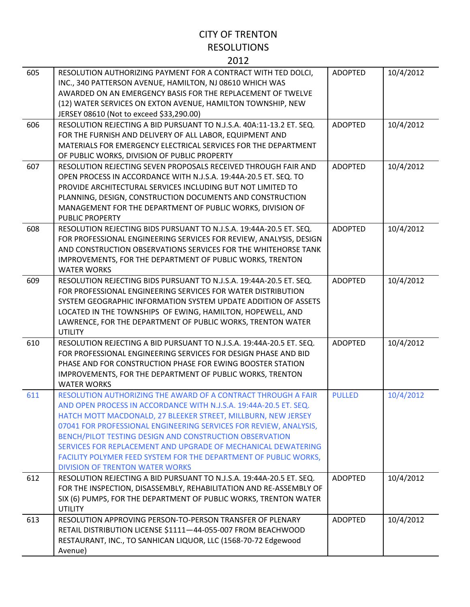| 605 | RESOLUTION AUTHORIZING PAYMENT FOR A CONTRACT WITH TED DOLCI,<br>INC., 340 PATTERSON AVENUE, HAMILTON, NJ 08610 WHICH WAS<br>AWARDED ON AN EMERGENCY BASIS FOR THE REPLACEMENT OF TWELVE<br>(12) WATER SERVICES ON EXTON AVENUE, HAMILTON TOWNSHIP, NEW<br>JERSEY 08610 (Not to exceed \$33,290.00)                                                                                                                                                                                                                | <b>ADOPTED</b> | 10/4/2012 |
|-----|--------------------------------------------------------------------------------------------------------------------------------------------------------------------------------------------------------------------------------------------------------------------------------------------------------------------------------------------------------------------------------------------------------------------------------------------------------------------------------------------------------------------|----------------|-----------|
| 606 | RESOLUTION REJECTING A BID PURSUANT TO N.J.S.A. 40A:11-13.2 ET. SEQ.<br>FOR THE FURNISH AND DELIVERY OF ALL LABOR, EQUIPMENT AND<br>MATERIALS FOR EMERGENCY ELECTRICAL SERVICES FOR THE DEPARTMENT<br>OF PUBLIC WORKS, DIVISION OF PUBLIC PROPERTY                                                                                                                                                                                                                                                                 | <b>ADOPTED</b> | 10/4/2012 |
| 607 | RESOLUTION REJECTING SEVEN PROPOSALS RECEIVED THROUGH FAIR AND<br>OPEN PROCESS IN ACCORDANCE WITH N.J.S.A. 19:44A-20.5 ET. SEQ. TO<br>PROVIDE ARCHITECTURAL SERVICES INCLUDING BUT NOT LIMITED TO<br>PLANNING, DESIGN, CONSTRUCTION DOCUMENTS AND CONSTRUCTION<br>MANAGEMENT FOR THE DEPARTMENT OF PUBLIC WORKS, DIVISION OF<br><b>PUBLIC PROPERTY</b>                                                                                                                                                             | <b>ADOPTED</b> | 10/4/2012 |
| 608 | RESOLUTION REJECTING BIDS PURSUANT TO N.J.S.A. 19:44A-20.5 ET. SEQ.<br>FOR PROFESSIONAL ENGINEERING SERVICES FOR REVIEW, ANALYSIS, DESIGN<br>AND CONSTRUCTION OBSERVATIONS SERVICES FOR THE WHITEHORSE TANK<br>IMPROVEMENTS, FOR THE DEPARTMENT OF PUBLIC WORKS, TRENTON<br><b>WATER WORKS</b>                                                                                                                                                                                                                     | <b>ADOPTED</b> | 10/4/2012 |
| 609 | RESOLUTION REJECTING BIDS PURSUANT TO N.J.S.A. 19:44A-20.5 ET. SEQ.<br>FOR PROFESSIONAL ENGINEERING SERVICES FOR WATER DISTRIBUTION<br>SYSTEM GEOGRAPHIC INFORMATION SYSTEM UPDATE ADDITION OF ASSETS<br>LOCATED IN THE TOWNSHIPS OF EWING, HAMILTON, HOPEWELL, AND<br>LAWRENCE, FOR THE DEPARTMENT OF PUBLIC WORKS, TRENTON WATER<br><b>UTILITY</b>                                                                                                                                                               | <b>ADOPTED</b> | 10/4/2012 |
| 610 | RESOLUTION REJECTING A BID PURSUANT TO N.J.S.A. 19:44A-20.5 ET. SEQ.<br>FOR PROFESSIONAL ENGINEERING SERVICES FOR DESIGN PHASE AND BID<br>PHASE AND FOR CONSTRUCTION PHASE FOR EWING BOOSTER STATION<br>IMPROVEMENTS, FOR THE DEPARTMENT OF PUBLIC WORKS, TRENTON<br><b>WATER WORKS</b>                                                                                                                                                                                                                            | <b>ADOPTED</b> | 10/4/2012 |
| 611 | RESOLUTION AUTHORIZING THE AWARD OF A CONTRACT THROUGH A FAIR<br>AND OPEN PROCESS IN ACCORDANCE WITH N.J.S.A. 19:44A-20.5 ET. SEQ.<br>HATCH MOTT MACDONALD, 27 BLEEKER STREET, MILLBURN, NEW JERSEY<br>07041 FOR PROFESSIONAL ENGINEERING SERVICES FOR REVIEW, ANALYSIS,<br>BENCH/PILOT TESTING DESIGN AND CONSTRUCTION OBSERVATION<br>SERVICES FOR REPLACEMENT AND UPGRADE OF MECHANICAL DEWATERING<br>FACILITY POLYMER FEED SYSTEM FOR THE DEPARTMENT OF PUBLIC WORKS,<br><b>DIVISION OF TRENTON WATER WORKS</b> | <b>PULLED</b>  | 10/4/2012 |
| 612 | RESOLUTION REJECTING A BID PURSUANT TO N.J.S.A. 19:44A-20.5 ET. SEQ.<br>FOR THE INSPECTION, DISASSEMBLY, REHABILITATION AND RE-ASSEMBLY OF<br>SIX (6) PUMPS, FOR THE DEPARTMENT OF PUBLIC WORKS, TRENTON WATER<br><b>UTILITY</b>                                                                                                                                                                                                                                                                                   | <b>ADOPTED</b> | 10/4/2012 |
| 613 | RESOLUTION APPROVING PERSON-TO-PERSON TRANSFER OF PLENARY<br>RETAIL DISTRIBUTION LICENSE \$1111-44-055-007 FROM BEACHWOOD<br>RESTAURANT, INC., TO SANHICAN LIQUOR, LLC (1568-70-72 Edgewood<br>Avenue)                                                                                                                                                                                                                                                                                                             | <b>ADOPTED</b> | 10/4/2012 |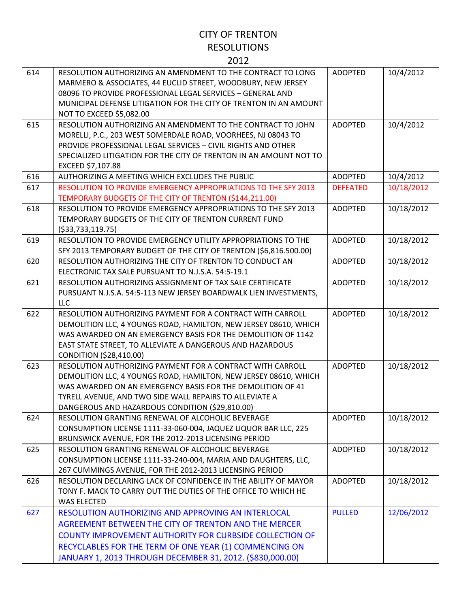| 614 | RESOLUTION AUTHORIZING AN AMENDMENT TO THE CONTRACT TO LONG<br>MARMERO & ASSOCIATES, 44 EUCLID STREET, WOODBURY, NEW JERSEY<br>08096 TO PROVIDE PROFESSIONAL LEGAL SERVICES - GENERAL AND<br>MUNICIPAL DEFENSE LITIGATION FOR THE CITY OF TRENTON IN AN AMOUNT<br>NOT TO EXCEED \$5,082.00                 | <b>ADOPTED</b>  | 10/4/2012  |
|-----|------------------------------------------------------------------------------------------------------------------------------------------------------------------------------------------------------------------------------------------------------------------------------------------------------------|-----------------|------------|
| 615 | RESOLUTION AUTHORIZING AN AMENDMENT TO THE CONTRACT TO JOHN<br>MORELLI, P.C., 203 WEST SOMERDALE ROAD, VOORHEES, NJ 08043 TO<br>PROVIDE PROFESSIONAL LEGAL SERVICES - CIVIL RIGHTS AND OTHER<br>SPECIALIZED LITIGATION FOR THE CITY OF TRENTON IN AN AMOUNT NOT TO<br>EXCEED \$7,107.88                    | <b>ADOPTED</b>  | 10/4/2012  |
| 616 | AUTHORIZING A MEETING WHICH EXCLUDES THE PUBLIC                                                                                                                                                                                                                                                            | <b>ADOPTED</b>  | 10/4/2012  |
| 617 | RESOLUTION TO PROVIDE EMERGENCY APPROPRIATIONS TO THE SFY 2013<br>TEMPORARY BUDGETS OF THE CITY OF TRENTON (\$144,211.00)                                                                                                                                                                                  | <b>DEFEATED</b> | 10/18/2012 |
| 618 | RESOLUTION TO PROVIDE EMERGENCY APPROPRIATIONS TO THE SFY 2013<br>TEMPORARY BUDGETS OF THE CITY OF TRENTON CURRENT FUND<br>( \$33,733,119.75)                                                                                                                                                              | <b>ADOPTED</b>  | 10/18/2012 |
| 619 | RESOLUTION TO PROVIDE EMERGENCY UTILITY APPROPRIATIONS TO THE<br>SFY 2013 TEMPORARY BUDGET OF THE CITY OF TRENTON (\$6,816.500.00)                                                                                                                                                                         | <b>ADOPTED</b>  | 10/18/2012 |
| 620 | RESOLUTION AUTHORIZING THE CITY OF TRENTON TO CONDUCT AN<br>ELECTRONIC TAX SALE PURSUANT TO N.J.S.A. 54:5-19.1                                                                                                                                                                                             | <b>ADOPTED</b>  | 10/18/2012 |
| 621 | RESOLUTION AUTHORIZING ASSIGNMENT OF TAX SALE CERTIFICATE<br>PURSUANT N.J.S.A. 54:5-113 NEW JERSEY BOARDWALK LIEN INVESTMENTS,<br><b>LLC</b>                                                                                                                                                               | <b>ADOPTED</b>  | 10/18/2012 |
| 622 | RESOLUTION AUTHORIZING PAYMENT FOR A CONTRACT WITH CARROLL<br>DEMOLITION LLC, 4 YOUNGS ROAD, HAMILTON, NEW JERSEY 08610, WHICH<br>WAS AWARDED ON AN EMERGENCY BASIS FOR THE DEMOLITION OF 1142<br>EAST STATE STREET, TO ALLEVIATE A DANGEROUS AND HAZARDOUS<br>CONDITION (\$28,410.00)                     | <b>ADOPTED</b>  | 10/18/2012 |
| 623 | RESOLUTION AUTHORIZING PAYMENT FOR A CONTRACT WITH CARROLL<br>DEMOLITION LLC, 4 YOUNGS ROAD, HAMILTON, NEW JERSEY 08610, WHICH<br>WAS AWARDED ON AN EMERGENCY BASIS FOR THE DEMOLITION OF 41<br>TYRELL AVENUE, AND TWO SIDE WALL REPAIRS TO ALLEVIATE A<br>DANGEROUS AND HAZARDOUS CONDITION (\$29,810.00) | <b>ADOPTED</b>  | 10/18/2012 |
| 624 | RESOLUTION GRANTING RENEWAL OF ALCOHOLIC BEVERAGE<br>CONSUMPTION LICENSE 1111-33-060-004, JAQUEZ LIQUOR BAR LLC, 225<br>BRUNSWICK AVENUE, FOR THE 2012-2013 LICENSING PERIOD                                                                                                                               | <b>ADOPTED</b>  | 10/18/2012 |
| 625 | RESOLUTION GRANTING RENEWAL OF ALCOHOLIC BEVERAGE<br>CONSUMPTION LICENSE 1111-33-240-004, MARIA AND DAUGHTERS, LLC,<br>267 CUMMINGS AVENUE, FOR THE 2012-2013 LICENSING PERIOD                                                                                                                             | <b>ADOPTED</b>  | 10/18/2012 |
| 626 | RESOLUTION DECLARING LACK OF CONFIDENCE IN THE ABILITY OF MAYOR<br>TONY F. MACK TO CARRY OUT THE DUTIES OF THE OFFICE TO WHICH HE<br><b>WAS ELECTED</b>                                                                                                                                                    | <b>ADOPTED</b>  | 10/18/2012 |
| 627 | RESOLUTION AUTHORIZING AND APPROVING AN INTERLOCAL<br>AGREEMENT BETWEEN THE CITY OF TRENTON AND THE MERCER<br><b>COUNTY IMPROVEMENT AUTHORITY FOR CURBSIDE COLLECTION OF</b><br>RECYCLABLES FOR THE TERM OF ONE YEAR (1) COMMENCING ON<br>JANUARY 1, 2013 THROUGH DECEMBER 31, 2012. (\$830,000.00)        | <b>PULLED</b>   | 12/06/2012 |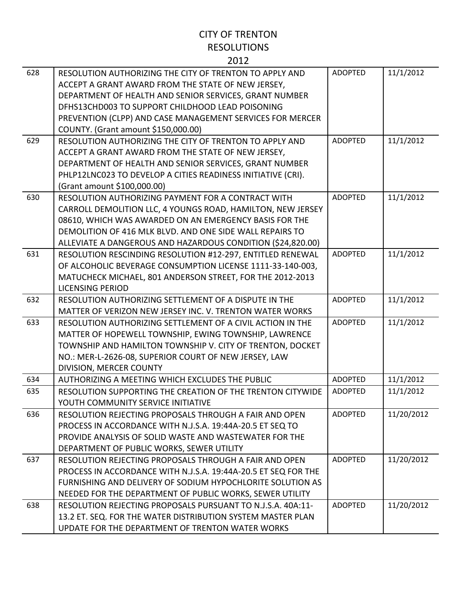| 628 | RESOLUTION AUTHORIZING THE CITY OF TRENTON TO APPLY AND<br>ACCEPT A GRANT AWARD FROM THE STATE OF NEW JERSEY,<br>DEPARTMENT OF HEALTH AND SENIOR SERVICES, GRANT NUMBER<br>DFHS13CHD003 TO SUPPORT CHILDHOOD LEAD POISONING<br>PREVENTION (CLPP) AND CASE MANAGEMENT SERVICES FOR MERCER               | <b>ADOPTED</b> | 11/1/2012  |
|-----|--------------------------------------------------------------------------------------------------------------------------------------------------------------------------------------------------------------------------------------------------------------------------------------------------------|----------------|------------|
|     | COUNTY. (Grant amount \$150,000.00)                                                                                                                                                                                                                                                                    |                |            |
| 629 | RESOLUTION AUTHORIZING THE CITY OF TRENTON TO APPLY AND<br>ACCEPT A GRANT AWARD FROM THE STATE OF NEW JERSEY,<br>DEPARTMENT OF HEALTH AND SENIOR SERVICES, GRANT NUMBER<br>PHLP12LNC023 TO DEVELOP A CITIES READINESS INITIATIVE (CRI).<br>(Grant amount \$100,000.00)                                 | <b>ADOPTED</b> | 11/1/2012  |
| 630 | RESOLUTION AUTHORIZING PAYMENT FOR A CONTRACT WITH<br>CARROLL DEMOLITION LLC, 4 YOUNGS ROAD, HAMILTON, NEW JERSEY<br>08610, WHICH WAS AWARDED ON AN EMERGENCY BASIS FOR THE<br>DEMOLITION OF 416 MLK BLVD. AND ONE SIDE WALL REPAIRS TO<br>ALLEVIATE A DANGEROUS AND HAZARDOUS CONDITION (\$24,820.00) | <b>ADOPTED</b> | 11/1/2012  |
| 631 | RESOLUTION RESCINDING RESOLUTION #12-297, ENTITLED RENEWAL<br>OF ALCOHOLIC BEVERAGE CONSUMPTION LICENSE 1111-33-140-003,<br>MATUCHECK MICHAEL, 801 ANDERSON STREET, FOR THE 2012-2013<br><b>LICENSING PERIOD</b>                                                                                       | <b>ADOPTED</b> | 11/1/2012  |
| 632 | RESOLUTION AUTHORIZING SETTLEMENT OF A DISPUTE IN THE<br>MATTER OF VERIZON NEW JERSEY INC. V. TRENTON WATER WORKS                                                                                                                                                                                      | <b>ADOPTED</b> | 11/1/2012  |
| 633 | RESOLUTION AUTHORIZING SETTLEMENT OF A CIVIL ACTION IN THE<br>MATTER OF HOPEWELL TOWNSHIP, EWING TOWNSHIP, LAWRENCE<br>TOWNSHIP AND HAMILTON TOWNSHIP V. CITY OF TRENTON, DOCKET<br>NO.: MER-L-2626-08, SUPERIOR COURT OF NEW JERSEY, LAW<br>DIVISION, MERCER COUNTY                                   | <b>ADOPTED</b> | 11/1/2012  |
| 634 | AUTHORIZING A MEETING WHICH EXCLUDES THE PUBLIC                                                                                                                                                                                                                                                        | <b>ADOPTED</b> | 11/1/2012  |
| 635 | RESOLUTION SUPPORTING THE CREATION OF THE TRENTON CITYWIDE<br>YOUTH COMMUNITY SERVICE INITIATIVE                                                                                                                                                                                                       | <b>ADOPTED</b> | 11/1/2012  |
| 636 | RESOLUTION REJECTING PROPOSALS THROUGH A FAIR AND OPEN<br>PROCESS IN ACCORDANCE WITH N.J.S.A. 19:44A-20.5 ET SEQ TO<br>PROVIDE ANALYSIS OF SOLID WASTE AND WASTEWATER FOR THE<br>DEPARTMENT OF PUBLIC WORKS, SEWER UTILITY                                                                             | <b>ADOPTED</b> | 11/20/2012 |
| 637 | RESOLUTION REJECTING PROPOSALS THROUGH A FAIR AND OPEN<br>PROCESS IN ACCORDANCE WITH N.J.S.A. 19:44A-20.5 ET SEQ FOR THE<br>FURNISHING AND DELIVERY OF SODIUM HYPOCHLORITE SOLUTION AS<br>NEEDED FOR THE DEPARTMENT OF PUBLIC WORKS, SEWER UTILITY                                                     | <b>ADOPTED</b> | 11/20/2012 |
| 638 | RESOLUTION REJECTING PROPOSALS PURSUANT TO N.J.S.A. 40A:11-<br>13.2 ET. SEQ. FOR THE WATER DISTRIBUTION SYSTEM MASTER PLAN<br>UPDATE FOR THE DEPARTMENT OF TRENTON WATER WORKS                                                                                                                         | <b>ADOPTED</b> | 11/20/2012 |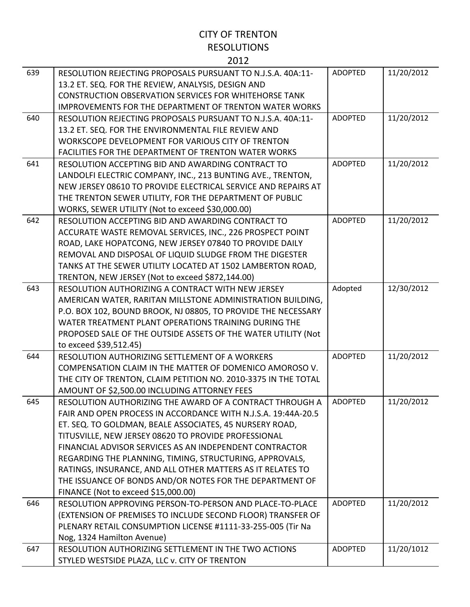| 639 | RESOLUTION REJECTING PROPOSALS PURSUANT TO N.J.S.A. 40A:11-<br>13.2 ET. SEQ. FOR THE REVIEW, ANALYSIS, DESIGN AND | <b>ADOPTED</b> | 11/20/2012 |
|-----|-------------------------------------------------------------------------------------------------------------------|----------------|------------|
|     | <b>CONSTRUCTION OBSERVATION SERVICES FOR WHITEHORSE TANK</b>                                                      |                |            |
|     | <b>IMPROVEMENTS FOR THE DEPARTMENT OF TRENTON WATER WORKS</b>                                                     |                |            |
| 640 | RESOLUTION REJECTING PROPOSALS PURSUANT TO N.J.S.A. 40A:11-                                                       | <b>ADOPTED</b> | 11/20/2012 |
|     | 13.2 ET. SEQ. FOR THE ENVIRONMENTAL FILE REVIEW AND                                                               |                |            |
|     | WORKSCOPE DEVELOPMENT FOR VARIOUS CITY OF TRENTON                                                                 |                |            |
|     | <b>FACILITIES FOR THE DEPARTMENT OF TRENTON WATER WORKS</b>                                                       |                |            |
| 641 | RESOLUTION ACCEPTING BID AND AWARDING CONTRACT TO                                                                 | <b>ADOPTED</b> | 11/20/2012 |
|     | LANDOLFI ELECTRIC COMPANY, INC., 213 BUNTING AVE., TRENTON,                                                       |                |            |
|     | NEW JERSEY 08610 TO PROVIDE ELECTRICAL SERVICE AND REPAIRS AT                                                     |                |            |
|     | THE TRENTON SEWER UTILITY, FOR THE DEPARTMENT OF PUBLIC                                                           |                |            |
|     | WORKS, SEWER UTILITY (Not to exceed \$30,000.00)                                                                  |                |            |
| 642 | RESOLUTION ACCEPTING BID AND AWARDING CONTRACT TO                                                                 | <b>ADOPTED</b> | 11/20/2012 |
|     | ACCURATE WASTE REMOVAL SERVICES, INC., 226 PROSPECT POINT                                                         |                |            |
|     | ROAD, LAKE HOPATCONG, NEW JERSEY 07840 TO PROVIDE DAILY                                                           |                |            |
|     | REMOVAL AND DISPOSAL OF LIQUID SLUDGE FROM THE DIGESTER                                                           |                |            |
|     | TANKS AT THE SEWER UTILITY LOCATED AT 1502 LAMBERTON ROAD,                                                        |                |            |
|     | TRENTON, NEW JERSEY (Not to exceed \$872,144.00)                                                                  |                |            |
| 643 | RESOLUTION AUTHORIZING A CONTRACT WITH NEW JERSEY                                                                 | Adopted        | 12/30/2012 |
|     | AMERICAN WATER, RARITAN MILLSTONE ADMINISTRATION BUILDING,                                                        |                |            |
|     | P.O. BOX 102, BOUND BROOK, NJ 08805, TO PROVIDE THE NECESSARY                                                     |                |            |
|     | WATER TREATMENT PLANT OPERATIONS TRAINING DURING THE                                                              |                |            |
|     | PROPOSED SALE OF THE OUTSIDE ASSETS OF THE WATER UTILITY (Not                                                     |                |            |
|     | to exceed \$39,512.45)                                                                                            |                |            |
| 644 | RESOLUTION AUTHORIZING SETTLEMENT OF A WORKERS                                                                    | <b>ADOPTED</b> | 11/20/2012 |
|     | COMPENSATION CLAIM IN THE MATTER OF DOMENICO AMOROSO V.                                                           |                |            |
|     | THE CITY OF TRENTON, CLAIM PETITION NO. 2010-3375 IN THE TOTAL                                                    |                |            |
|     | AMOUNT OF \$2,500.00 INCLUDING ATTORNEY FEES                                                                      |                |            |
| 645 | RESOLUTION AUTHORIZING THE AWARD OF A CONTRACT THROUGH A                                                          | <b>ADOPTED</b> | 11/20/2012 |
|     | FAIR AND OPEN PROCESS IN ACCORDANCE WITH N.J.S.A. 19:44A-20.5                                                     |                |            |
|     | ET. SEQ. TO GOLDMAN, BEALE ASSOCIATES, 45 NURSERY ROAD,                                                           |                |            |
|     | TITUSVILLE, NEW JERSEY 08620 TO PROVIDE PROFESSIONAL                                                              |                |            |
|     | FINANCIAL ADVISOR SERVICES AS AN INDEPENDENT CONTRACTOR                                                           |                |            |
|     | REGARDING THE PLANNING, TIMING, STRUCTURING, APPROVALS,                                                           |                |            |
|     | RATINGS, INSURANCE, AND ALL OTHER MATTERS AS IT RELATES TO                                                        |                |            |
|     | THE ISSUANCE OF BONDS AND/OR NOTES FOR THE DEPARTMENT OF                                                          |                |            |
|     | FINANCE (Not to exceed \$15,000.00)                                                                               |                |            |
| 646 | RESOLUTION APPROVING PERSON-TO-PERSON AND PLACE-TO-PLACE                                                          | <b>ADOPTED</b> | 11/20/2012 |
|     | (EXTENSION OF PREMISES TO INCLUDE SECOND FLOOR) TRANSFER OF                                                       |                |            |
|     | PLENARY RETAIL CONSUMPTION LICENSE #1111-33-255-005 (Tir Na                                                       |                |            |
|     | Nog, 1324 Hamilton Avenue)                                                                                        |                |            |
| 647 | RESOLUTION AUTHORIZING SETTLEMENT IN THE TWO ACTIONS                                                              | <b>ADOPTED</b> | 11/20/1012 |
|     | STYLED WESTSIDE PLAZA, LLC v. CITY OF TRENTON                                                                     |                |            |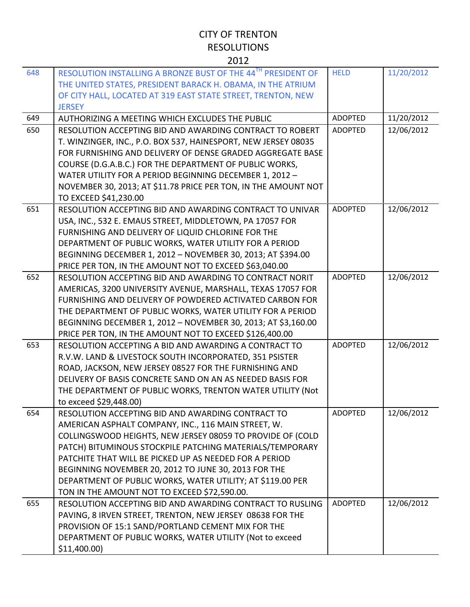|     | ∠∪⊥∠                                                                                                                                                                                        |                |            |
|-----|---------------------------------------------------------------------------------------------------------------------------------------------------------------------------------------------|----------------|------------|
| 648 | RESOLUTION INSTALLING A BRONZE BUST OF THE 44TH PRESIDENT OF<br>THE UNITED STATES, PRESIDENT BARACK H. OBAMA, IN THE ATRIUM<br>OF CITY HALL, LOCATED AT 319 EAST STATE STREET, TRENTON, NEW | <b>HELD</b>    | 11/20/2012 |
|     | <b>JERSEY</b>                                                                                                                                                                               |                |            |
| 649 | AUTHORIZING A MEETING WHICH EXCLUDES THE PUBLIC                                                                                                                                             | <b>ADOPTED</b> | 11/20/2012 |
| 650 | RESOLUTION ACCEPTING BID AND AWARDING CONTRACT TO ROBERT                                                                                                                                    | <b>ADOPTED</b> | 12/06/2012 |
|     | T. WINZINGER, INC., P.O. BOX 537, HAINESPORT, NEW JERSEY 08035                                                                                                                              |                |            |
|     | FOR FURNISHING AND DELIVERY OF DENSE GRADED AGGREGATE BASE                                                                                                                                  |                |            |
|     | COURSE (D.G.A.B.C.) FOR THE DEPARTMENT OF PUBLIC WORKS,                                                                                                                                     |                |            |
|     | WATER UTILITY FOR A PERIOD BEGINNING DECEMBER 1, 2012 -                                                                                                                                     |                |            |
|     | NOVEMBER 30, 2013; AT \$11.78 PRICE PER TON, IN THE AMOUNT NOT                                                                                                                              |                |            |
| 651 | TO EXCEED \$41,230.00<br>RESOLUTION ACCEPTING BID AND AWARDING CONTRACT TO UNIVAR                                                                                                           | <b>ADOPTED</b> | 12/06/2012 |
|     | USA, INC., 532 E. EMAUS STREET, MIDDLETOWN, PA 17057 FOR                                                                                                                                    |                |            |
|     | FURNISHING AND DELIVERY OF LIQUID CHLORINE FOR THE                                                                                                                                          |                |            |
|     | DEPARTMENT OF PUBLIC WORKS, WATER UTILITY FOR A PERIOD                                                                                                                                      |                |            |
|     | BEGINNING DECEMBER 1, 2012 - NOVEMBER 30, 2013; AT \$394.00                                                                                                                                 |                |            |
|     | PRICE PER TON, IN THE AMOUNT NOT TO EXCEED \$63,040.00                                                                                                                                      |                |            |
| 652 | RESOLUTION ACCEPTING BID AND AWARDING TO CONTRACT NORIT                                                                                                                                     | <b>ADOPTED</b> | 12/06/2012 |
|     | AMERICAS, 3200 UNIVERSITY AVENUE, MARSHALL, TEXAS 17057 FOR                                                                                                                                 |                |            |
|     | FURNISHING AND DELIVERY OF POWDERED ACTIVATED CARBON FOR                                                                                                                                    |                |            |
|     | THE DEPARTMENT OF PUBLIC WORKS, WATER UTILITY FOR A PERIOD                                                                                                                                  |                |            |
|     | BEGINNING DECEMBER 1, 2012 - NOVEMBER 30, 2013; AT \$3,160.00                                                                                                                               |                |            |
|     | PRICE PER TON, IN THE AMOUNT NOT TO EXCEED \$126,400.00                                                                                                                                     |                |            |
| 653 | RESOLUTION ACCEPTING A BID AND AWARDING A CONTRACT TO                                                                                                                                       | <b>ADOPTED</b> | 12/06/2012 |
|     | R.V.W. LAND & LIVESTOCK SOUTH INCORPORATED, 351 PSISTER                                                                                                                                     |                |            |
|     | ROAD, JACKSON, NEW JERSEY 08527 FOR THE FURNISHING AND                                                                                                                                      |                |            |
|     | DELIVERY OF BASIS CONCRETE SAND ON AN AS NEEDED BASIS FOR                                                                                                                                   |                |            |
|     | THE DEPARTMENT OF PUBLIC WORKS, TRENTON WATER UTILITY (Not                                                                                                                                  |                |            |
|     | to exceed \$29,448.00)                                                                                                                                                                      |                |            |
| 654 | RESOLUTION ACCEPTING BID AND AWARDING CONTRACT TO                                                                                                                                           | ADOPTED        | 12/06/2012 |
|     | AMERICAN ASPHALT COMPANY, INC., 116 MAIN STREET, W.                                                                                                                                         |                |            |
|     | COLLINGSWOOD HEIGHTS, NEW JERSEY 08059 TO PROVIDE OF (COLD                                                                                                                                  |                |            |
|     | PATCH) BITUMINOUS STOCKPILE PATCHING MATERIALS/TEMPORARY                                                                                                                                    |                |            |
|     | PATCHITE THAT WILL BE PICKED UP AS NEEDED FOR A PERIOD                                                                                                                                      |                |            |
|     | BEGINNING NOVEMBER 20, 2012 TO JUNE 30, 2013 FOR THE                                                                                                                                        |                |            |
|     | DEPARTMENT OF PUBLIC WORKS, WATER UTILITY; AT \$119.00 PER                                                                                                                                  |                |            |
|     | TON IN THE AMOUNT NOT TO EXCEED \$72,590.00.                                                                                                                                                |                |            |
| 655 | RESOLUTION ACCEPTING BID AND AWARDING CONTRACT TO RUSLING                                                                                                                                   | <b>ADOPTED</b> | 12/06/2012 |
|     | PAVING, 8 IRVEN STREET, TRENTON, NEW JERSEY 08638 FOR THE                                                                                                                                   |                |            |
|     | PROVISION OF 15:1 SAND/PORTLAND CEMENT MIX FOR THE                                                                                                                                          |                |            |
|     | DEPARTMENT OF PUBLIC WORKS, WATER UTILITY (Not to exceed                                                                                                                                    |                |            |
|     | $$11,400.00$ )                                                                                                                                                                              |                |            |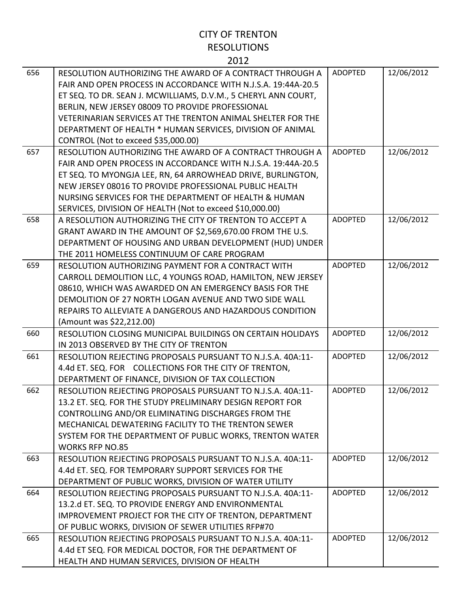| 656 | RESOLUTION AUTHORIZING THE AWARD OF A CONTRACT THROUGH A<br>FAIR AND OPEN PROCESS IN ACCORDANCE WITH N.J.S.A. 19:44A-20.5<br>ET SEQ. TO DR. SEAN J. MCWILLIAMS, D.V.M., 5 CHERYL ANN COURT,<br>BERLIN, NEW JERSEY 08009 TO PROVIDE PROFESSIONAL<br>VETERINARIAN SERVICES AT THE TRENTON ANIMAL SHELTER FOR THE<br>DEPARTMENT OF HEALTH * HUMAN SERVICES, DIVISION OF ANIMAL<br>CONTROL (Not to exceed \$35,000.00) | <b>ADOPTED</b> | 12/06/2012 |
|-----|--------------------------------------------------------------------------------------------------------------------------------------------------------------------------------------------------------------------------------------------------------------------------------------------------------------------------------------------------------------------------------------------------------------------|----------------|------------|
| 657 | RESOLUTION AUTHORIZING THE AWARD OF A CONTRACT THROUGH A<br>FAIR AND OPEN PROCESS IN ACCORDANCE WITH N.J.S.A. 19:44A-20.5<br>ET SEQ. TO MYONGJA LEE, RN, 64 ARROWHEAD DRIVE, BURLINGTON,<br>NEW JERSEY 08016 TO PROVIDE PROFESSIONAL PUBLIC HEALTH<br>NURSING SERVICES FOR THE DEPARTMENT OF HEALTH & HUMAN<br>SERVICES, DIVISION OF HEALTH (Not to exceed \$10,000.00)                                            | <b>ADOPTED</b> | 12/06/2012 |
| 658 | A RESOLUTION AUTHORIZING THE CITY OF TRENTON TO ACCEPT A<br>GRANT AWARD IN THE AMOUNT OF \$2,569,670.00 FROM THE U.S.<br>DEPARTMENT OF HOUSING AND URBAN DEVELOPMENT (HUD) UNDER<br>THE 2011 HOMELESS CONTINUUM OF CARE PROGRAM                                                                                                                                                                                    | <b>ADOPTED</b> | 12/06/2012 |
| 659 | RESOLUTION AUTHORIZING PAYMENT FOR A CONTRACT WITH<br>CARROLL DEMOLITION LLC, 4 YOUNGS ROAD, HAMILTON, NEW JERSEY<br>08610, WHICH WAS AWARDED ON AN EMERGENCY BASIS FOR THE<br>DEMOLITION OF 27 NORTH LOGAN AVENUE AND TWO SIDE WALL<br>REPAIRS TO ALLEVIATE A DANGEROUS AND HAZARDOUS CONDITION<br>(Amount was \$22,212.00)                                                                                       | <b>ADOPTED</b> | 12/06/2012 |
| 660 | <b>RESOLUTION CLOSING MUNICIPAL BUILDINGS ON CERTAIN HOLIDAYS</b><br>IN 2013 OBSERVED BY THE CITY OF TRENTON                                                                                                                                                                                                                                                                                                       | <b>ADOPTED</b> | 12/06/2012 |
| 661 | RESOLUTION REJECTING PROPOSALS PURSUANT TO N.J.S.A. 40A:11-<br>4.4d ET. SEQ. FOR COLLECTIONS FOR THE CITY OF TRENTON,<br>DEPARTMENT OF FINANCE, DIVISION OF TAX COLLECTION                                                                                                                                                                                                                                         | <b>ADOPTED</b> | 12/06/2012 |
| 662 | RESOLUTION REJECTING PROPOSALS PURSUANT TO N.J.S.A. 40A:11-<br>13.2 ET. SEQ. FOR THE STUDY PRELIMINARY DESIGN REPORT FOR<br>CONTROLLING AND/OR ELIMINATING DISCHARGES FROM THE<br>MECHANICAL DEWATERING FACILITY TO THE TRENTON SEWER<br>SYSTEM FOR THE DEPARTMENT OF PUBLIC WORKS, TRENTON WATER<br><b>WORKS RFP NO.85</b>                                                                                        | <b>ADOPTED</b> | 12/06/2012 |
| 663 | RESOLUTION REJECTING PROPOSALS PURSUANT TO N.J.S.A. 40A:11-<br>4.4d ET. SEQ. FOR TEMPORARY SUPPORT SERVICES FOR THE<br>DEPARTMENT OF PUBLIC WORKS, DIVISION OF WATER UTILITY                                                                                                                                                                                                                                       | <b>ADOPTED</b> | 12/06/2012 |
| 664 | RESOLUTION REJECTING PROPOSALS PURSUANT TO N.J.S.A. 40A:11-<br>13.2.d ET. SEQ. TO PROVIDE ENERGY AND ENVIRONMENTAL<br>IMPROVEMENT PROJECT FOR THE CITY OF TRENTON, DEPARTMENT<br>OF PUBLIC WORKS, DIVISION OF SEWER UTILITIES RFP#70                                                                                                                                                                               | <b>ADOPTED</b> | 12/06/2012 |
| 665 | RESOLUTION REJECTING PROPOSALS PURSUANT TO N.J.S.A. 40A:11-<br>4.4d ET SEQ. FOR MEDICAL DOCTOR, FOR THE DEPARTMENT OF<br>HEALTH AND HUMAN SERVICES, DIVISION OF HEALTH                                                                                                                                                                                                                                             | <b>ADOPTED</b> | 12/06/2012 |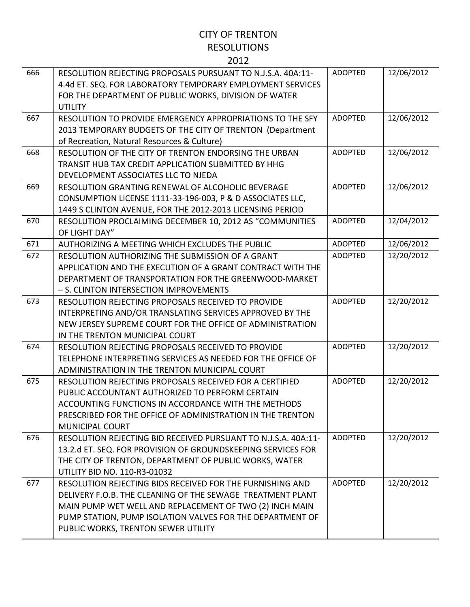| 666 | RESOLUTION REJECTING PROPOSALS PURSUANT TO N.J.S.A. 40A:11-    | <b>ADOPTED</b> | 12/06/2012 |
|-----|----------------------------------------------------------------|----------------|------------|
|     | 4.4d ET. SEQ. FOR LABORATORY TEMPORARY EMPLOYMENT SERVICES     |                |            |
|     | FOR THE DEPARTMENT OF PUBLIC WORKS, DIVISION OF WATER          |                |            |
|     | <b>UTILITY</b>                                                 |                |            |
| 667 | RESOLUTION TO PROVIDE EMERGENCY APPROPRIATIONS TO THE SFY      | <b>ADOPTED</b> | 12/06/2012 |
|     | 2013 TEMPORARY BUDGETS OF THE CITY OF TRENTON (Department      |                |            |
|     | of Recreation, Natural Resources & Culture)                    |                |            |
| 668 | RESOLUTION OF THE CITY OF TRENTON ENDORSING THE URBAN          | <b>ADOPTED</b> | 12/06/2012 |
|     | TRANSIT HUB TAX CREDIT APPLICATION SUBMITTED BY HHG            |                |            |
|     | DEVELOPMENT ASSOCIATES LLC TO NJEDA                            |                |            |
| 669 | RESOLUTION GRANTING RENEWAL OF ALCOHOLIC BEVERAGE              | <b>ADOPTED</b> | 12/06/2012 |
|     | CONSUMPTION LICENSE 1111-33-196-003, P & D ASSOCIATES LLC,     |                |            |
|     | 1449 S CLINTON AVENUE, FOR THE 2012-2013 LICENSING PERIOD      |                |            |
| 670 | RESOLUTION PROCLAIMING DECEMBER 10, 2012 AS "COMMUNITIES       | <b>ADOPTED</b> | 12/04/2012 |
|     | OF LIGHT DAY"                                                  |                |            |
| 671 | AUTHORIZING A MEETING WHICH EXCLUDES THE PUBLIC                | <b>ADOPTED</b> | 12/06/2012 |
| 672 | RESOLUTION AUTHORIZING THE SUBMISSION OF A GRANT               | <b>ADOPTED</b> | 12/20/2012 |
|     | APPLICATION AND THE EXECUTION OF A GRANT CONTRACT WITH THE     |                |            |
|     | DEPARTMENT OF TRANSPORTATION FOR THE GREENWOOD-MARKET          |                |            |
|     | - S. CLINTON INTERSECTION IMPROVEMENTS                         |                |            |
| 673 | RESOLUTION REJECTING PROPOSALS RECEIVED TO PROVIDE             | <b>ADOPTED</b> | 12/20/2012 |
|     | INTERPRETING AND/OR TRANSLATING SERVICES APPROVED BY THE       |                |            |
|     | NEW JERSEY SUPREME COURT FOR THE OFFICE OF ADMINISTRATION      |                |            |
|     | IN THE TRENTON MUNICIPAL COURT                                 |                |            |
| 674 | RESOLUTION REJECTING PROPOSALS RECEIVED TO PROVIDE             | <b>ADOPTED</b> | 12/20/2012 |
|     | TELEPHONE INTERPRETING SERVICES AS NEEDED FOR THE OFFICE OF    |                |            |
|     | ADMINISTRATION IN THE TRENTON MUNICIPAL COURT                  |                |            |
| 675 | RESOLUTION REJECTING PROPOSALS RECEIVED FOR A CERTIFIED        | <b>ADOPTED</b> | 12/20/2012 |
|     | PUBLIC ACCOUNTANT AUTHORIZED TO PERFORM CERTAIN                |                |            |
|     | ACCOUNTING FUNCTIONS IN ACCORDANCE WITH THE METHODS            |                |            |
|     | PRESCRIBED FOR THE OFFICE OF ADMINISTRATION IN THE TRENTON     |                |            |
|     | <b>MUNICIPAL COURT</b>                                         |                |            |
| 676 | RESOLUTION REJECTING BID RECEIVED PURSUANT TO N.J.S.A. 40A:11- | <b>ADOPTED</b> | 12/20/2012 |
|     | 13.2.d ET. SEQ. FOR PROVISION OF GROUNDSKEEPING SERVICES FOR   |                |            |
|     | THE CITY OF TRENTON, DEPARTMENT OF PUBLIC WORKS, WATER         |                |            |
|     | UTILITY BID NO. 110-R3-01032                                   |                |            |
| 677 | RESOLUTION REJECTING BIDS RECEIVED FOR THE FURNISHING AND      | <b>ADOPTED</b> | 12/20/2012 |
|     | DELIVERY F.O.B. THE CLEANING OF THE SEWAGE TREATMENT PLANT     |                |            |
|     | MAIN PUMP WET WELL AND REPLACEMENT OF TWO (2) INCH MAIN        |                |            |
|     | PUMP STATION, PUMP ISOLATION VALVES FOR THE DEPARTMENT OF      |                |            |
|     | PUBLIC WORKS, TRENTON SEWER UTILITY                            |                |            |